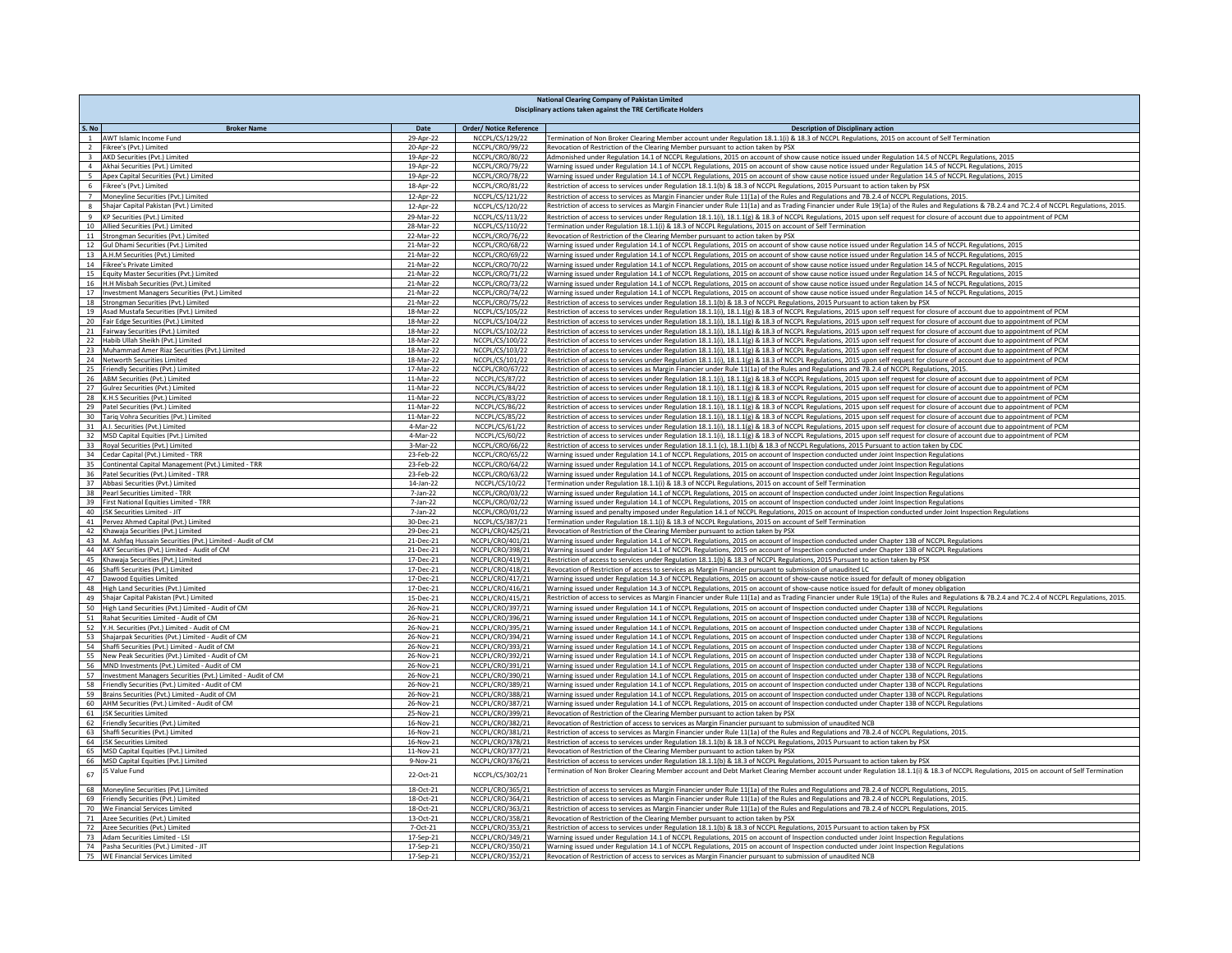|                         | National Clearing Company of Pakistan Limited<br>Disciplinary actions taken against the TRE Certificate Holders |                        |                                                   |                                                                                                                                                                                                                                                                                                                                                              |  |
|-------------------------|-----------------------------------------------------------------------------------------------------------------|------------------------|---------------------------------------------------|--------------------------------------------------------------------------------------------------------------------------------------------------------------------------------------------------------------------------------------------------------------------------------------------------------------------------------------------------------------|--|
|                         |                                                                                                                 |                        |                                                   |                                                                                                                                                                                                                                                                                                                                                              |  |
| S. No<br>$\mathbf 1$    | <b>Broker Name</b><br>AWT Islamic Income Fund                                                                   | Date<br>29-Apr-22      | <b>Order/ Notice Reference</b><br>NCCPL/CS/129/22 | <b>Description of Disciplinary action</b><br>Termination of Non Broker Clearing Member account under Regulation 18.1.1(i) & 18.3 of NCCPL Regulations, 2015 on account of Self Termination                                                                                                                                                                   |  |
| $\overline{2}$          | Fikree's (Pvt.) Limited                                                                                         | 20-Apr-22              | NCCPL/CRO/99/22                                   | Revocation of Restriction of the Clearing Member pursuant to action taken by PSX                                                                                                                                                                                                                                                                             |  |
| $\overline{\mathbf{3}}$ | AKD Securities (Pvt.) Limited                                                                                   | 19-Apr-22              | NCCPL/CRO/80/22                                   | Admonished under Regulation 14.1 of NCCPL Regulations, 2015 on account of show cause notice issued under Regulation 14.5 of NCCPL Regulations, 2015                                                                                                                                                                                                          |  |
| $\overline{4}$          | Akhai Securities (Pvt.) Limited                                                                                 | 19-Apr-22              | NCCPL/CRO/79/22                                   | Warning issued under Regulation 14.1 of NCCPL Regulations, 2015 on account of show cause notice issued under Regulation 14.5 of NCCPL Regulations, 2015                                                                                                                                                                                                      |  |
| 5 <sub>1</sub>          | Apex Capital Securities (Pvt.) Limited                                                                          | 19-Apr-22              | NCCPL/CRO/78/22                                   | Warning issued under Regulation 14.1 of NCCPL Regulations, 2015 on account of show cause notice issued under Regulation 14.5 of NCCPL Regulations, 2015                                                                                                                                                                                                      |  |
| $6\overline{6}$         | Fikree's (Pvt.) Limited<br>7 Moneyline Securities (Pvt.) Limited                                                | 18-Apr-22<br>12-Apr-22 | NCCPL/CRO/81/22<br>NCCPL/CS/121/22                | Restriction of access to services under Regulation 18.1.1(b) & 18.3 of NCCPL Regulations, 2015 Pursuant to action taken by PSX                                                                                                                                                                                                                               |  |
|                         | 8 Shajar Capital Pakistan (Pvt.) Limited                                                                        | 12-Apr-22              | NCCPL/CS/120/22                                   | Restriction of access to services as Margin Financier under Rule 11(1a) of the Rules and Regulations and 7B.2.4 of NCCPL Regulations, 2015.<br>Restriction of access to services as Margin Financier under Rule 11(1a) and as Trading Financier under Rule 19(1a) of the Rules and Regulations & 7B.2.4 and 7C.2.4 of NCCPL Regulations, 2015.               |  |
|                         | 9 KP Securities (Pvt.) Limited                                                                                  | 29-Mar-22              | NCCPL/CS/113/22                                   | Restriction of access to services under Regulation 18.1.1(i), 18.1.1(g) & 18.3 of NCCPL Regulations, 2015 upon self request for closure of account due to appointment of PCM                                                                                                                                                                                 |  |
|                         | 10 Allied Securities (Pvt.) Limited                                                                             | 28-Mar-22              | NCCPL/CS/110/22                                   | Termination under Regulation 18.1.1(i) & 18.3 of NCCPL Regulations, 2015 on account of Self Termination                                                                                                                                                                                                                                                      |  |
|                         | 11 Strongman Securities (Pvt.) Limited                                                                          | 22-Mar-22              | NCCPL/CRO/76/22                                   | Revocation of Restriction of the Clearing Member pursuant to action taken by PSX                                                                                                                                                                                                                                                                             |  |
| 12                      | Gul Dhami Securities (Pvt.) Limited                                                                             | 21-Mar-22              | NCCPL/CRO/68/22                                   | Warning issued under Regulation 14.1 of NCCPL Regulations, 2015 on account of show cause notice issued under Regulation 14.5 of NCCPL Regulations, 2015                                                                                                                                                                                                      |  |
|                         | 13 A.H.M Securities (Pvt.) Limited<br>14 Fikree's Private Limited                                               | 21-Mar-22<br>21-Mar-22 | NCCPL/CRO/69/22                                   | Warning issued under Regulation 14.1 of NCCPL Regulations, 2015 on account of show cause notice issued under Regulation 14.5 of NCCPL Regulations, 2015                                                                                                                                                                                                      |  |
|                         | 15 Equity Master Securities (Pvt.) Limited                                                                      | 21-Mar-22              | NCCPL/CRO/70/22<br>NCCPL/CRO/71/22                | Warning issued under Regulation 14.1 of NCCPL Regulations, 2015 on account of show cause notice issued under Regulation 14.5 of NCCPL Regulations, 2015<br>Warning issued under Regulation 14.1 of NCCPL Regulations, 2015 on account of show cause notice issued under Regulation 14.5 of NCCPL Regulations, 2015                                           |  |
|                         | 16 H.H Misbah Securities (Pvt.) Limited                                                                         | 21-Mar-22              | NCCPL/CRO/73/22                                   | Warning issued under Regulation 14.1 of NCCPL Regulations, 2015 on account of show cause notice issued under Regulation 14.5 of NCCPL Regulations, 2015                                                                                                                                                                                                      |  |
| 17                      | <b>Investment Managers Securities (Pvt.) Limited</b>                                                            | 21-Mar-22              | NCCPL/CRO/74/22                                   | Warning issued under Regulation 14.1 of NCCPL Regulations, 2015 on account of show cause notice issued under Regulation 14.5 of NCCPL Regulations, 2015                                                                                                                                                                                                      |  |
| 18                      | Strongman Securities (Pvt.) Limited                                                                             | 21-Mar-22              | NCCPL/CRO/75/22                                   | Restriction of access to services under Regulation 18.1.1(b) & 18.3 of NCCPL Regulations, 2015 Pursuant to action taken by PSX                                                                                                                                                                                                                               |  |
|                         | 19 Asad Mustafa Securities (Pvt.) Limited                                                                       | 18-Mar-22              | NCCPL/CS/105/22                                   | Restriction of access to services under Regulation 18.1.1(i), 18.1.1(g) & 18.3 of NCCPL Regulations, 2015 upon self request for closure of account due to appointment of PCM                                                                                                                                                                                 |  |
|                         | 20 Fair Edge Securities (Pvt.) Limited                                                                          | 18-Mar-22              | NCCPL/CS/104/22                                   | Restriction of access to services under Regulation 18.1.1(i), 18.1.1(g) & 18.3 of NCCPL Regulations, 2015 upon self request for closure of account due to appointment of PCM                                                                                                                                                                                 |  |
|                         | 21 Fairway Securities (Pvt.) Limited<br>22 Habib Ullah Sheikh (Pvt.) Limited                                    | 18-Mar-22<br>18-Mar-22 | NCCPL/CS/102/22<br>NCCPL/CS/100/22                | Restriction of access to services under Regulation 18.1.1(i), 18.1.1(g) & 18.3 of NCCPL Regulations, 2015 upon self request for closure of account due to appointment of PCM<br>Restriction of access to services under Regulation 18.1.1(i), 18.1.1(g) & 18.3 of NCCPL Regulations, 2015 upon self request for closure of account due to appointment of PCM |  |
|                         | 23 Muhammad Amer Riaz Securities (Pvt.) Limited                                                                 | 18-Mar-22              | NCCPL/CS/103/22                                   | Restriction of access to services under Regulation 18.1.1(i), 18.1.1(g) & 18.3 of NCCPL Regulations, 2015 upon self request for closure of account due to appointment of PCM                                                                                                                                                                                 |  |
|                         | 24 Networth Securities Limited                                                                                  | 18-Mar-22              | NCCPL/CS/101/22                                   | Restriction of access to services under Regulation 18.1.1(i), 18.1.1(g) & 18.3 of NCCPL Regulations, 2015 upon self request for closure of account due to appointment of PCM                                                                                                                                                                                 |  |
| 25                      | Friendly Securities (Pvt.) Limited                                                                              | 17-Mar-22              | NCCPL/CRO/67/22                                   | Restriction of access to services as Margin Financier under Rule 11(1a) of the Rules and Regulations and 7B.2.4 of NCCPL Regulations, 2015.                                                                                                                                                                                                                  |  |
|                         | 26 ABM Securities (Pvt.) Limited                                                                                | 11-Mar-22              | NCCPL/CS/87/22                                    | Restriction of access to services under Regulation 18.1.1(i), 18.1.1(g) & 18.3 of NCCPL Regulations, 2015 upon self request for closure of account due to appointment of PCM                                                                                                                                                                                 |  |
|                         | 27 Gulrez Securities (Pvt.) Limited                                                                             | 11-Mar-22              | NCCPL/CS/84/22                                    | Restriction of access to services under Regulation 18.1.1(i), 18.1.1(g) & 18.3 of NCCPL Regulations, 2015 upon self request for closure of account due to appointment of PCM                                                                                                                                                                                 |  |
|                         | 28 K.H.S Securities (Pvt.) Limited                                                                              | 11-Mar-22              | NCCPL/CS/83/22                                    | Restriction of access to services under Regulation 18.1.1(i), 18.1.1(g) & 18.3 of NCCPL Regulations, 2015 upon self request for closure of account due to appointment of PCM                                                                                                                                                                                 |  |
|                         | 29 Patel Securities (Pvt.) Limited<br>30 Tariq Vohra Securities (Pvt.) Limited                                  | 11-Mar-22<br>11-Mar-22 | NCCPL/CS/86/22                                    | Restriction of access to services under Regulation 18.1.1(i), 18.1.1(g) & 18.3 of NCCPL Regulations, 2015 upon self request for closure of account due to appointment of PCM                                                                                                                                                                                 |  |
|                         | 31 A.I. Securities (Pvt.) Limited                                                                               | 4-Mar-22               | NCCPL/CS/85/22<br>NCCPL/CS/61/22                  | Nestriction of access to services under Regulation 18.1.1(i), 18.1.1(g) & 18.3 of NCCPL Regulations, 2015 upon self request for closure of account due to appointment of PCM<br>Restriction of access to services under Regulation 18.1.1(i), 18.1.1(g) & 18.3 of NCCPL Regulations, 2015 upon self request for closure of account due to appointment of PCM |  |
|                         | 32 MSD Capital Equities (Pvt.) Limited                                                                          | 4-Mar-22               | NCCPL/CS/60/22                                    | Restriction of access to services under Regulation 18.1.1(i), 18.1.1(g) & 18.3 of NCCPL Regulations, 2015 upon self request for closure of account due to appointment of PCM                                                                                                                                                                                 |  |
|                         | 33 Royal Securities (Pvt.) Limited                                                                              | 3-Mar-22               | NCCPL/CRO/66/22                                   | Restriction of access to services under Regulation 18.1.1 (c), 18.1.1(b) & 18.3 of NCCPL Regulations, 2015 Pursuant to action taken by CDC                                                                                                                                                                                                                   |  |
|                         | 34 Cedar Capital (Pvt.) Limited - TRR                                                                           | 23-Feb-22              | NCCPL/CRO/65/22                                   | Warning issued under Regulation 14.1 of NCCPL Regulations, 2015 on account of Inspection conducted under Joint Inspection Regulations                                                                                                                                                                                                                        |  |
|                         | 35 Continental Capital Management (Pvt.) Limited - TRR                                                          | 23-Feb-22              | NCCPL/CRO/64/22                                   | Warning issued under Regulation 14.1 of NCCPL Regulations, 2015 on account of Inspection conducted under Joint Inspection Regulations                                                                                                                                                                                                                        |  |
| 37                      | 36 Patel Securities (Pvt.) Limited - TRR<br>Abbasi Securities (Pvt.) Limited                                    | 23-Feb-22<br>14-Jan-22 | NCCPL/CRO/63/22<br>NCCPL/CS/10/22                 | Warning issued under Regulation 14.1 of NCCPL Regulations, 2015 on account of Inspection conducted under Joint Inspection Regulations<br>Termination under Regulation 18.1.1(i) & 18.3 of NCCPL Regulations, 2015 on account of Self Termination                                                                                                             |  |
| 38                      | Pearl Securities Limited - TRR                                                                                  | 7-Jan-22               | NCCPL/CRO/03/22                                   | Warning issued under Regulation 14.1 of NCCPL Regulations, 2015 on account of Inspection conducted under Joint Inspection Regulations                                                                                                                                                                                                                        |  |
| 39                      | First National Equities Limited - TRR                                                                           | 7-Jan-22               | NCCPL/CRO/02/22                                   | Warning issued under Regulation 14.1 of NCCPL Regulations, 2015 on account of Inspection conducted under Joint Inspection Regulation                                                                                                                                                                                                                         |  |
| 40                      | <b>ISK Securities Limited - IIT</b>                                                                             | $7$ -Jan- $22$         | NCCPL/CRO/01/22                                   | Warning issued and penalty imposed under Regulation 14.1 of NCCPL Regulations, 2015 on account of Inspection conducted under Joint Inspection Regulations                                                                                                                                                                                                    |  |
|                         | 41 Pervez Ahmed Capital (Pvt.) Limited                                                                          | 30-Dec-21              | NCCPL/CS/387/21                                   | Termination under Regulation 18.1.1(i) & 18.3 of NCCPL Regulations, 2015 on account of Self Termination                                                                                                                                                                                                                                                      |  |
|                         | 42 Khawaja Securities (Pvt.) Limited                                                                            | 29-Dec-21              | NCCPL/CRO/425/21                                  | Revocation of Restriction of the Clearing Member pursuant to action taken by PSX                                                                                                                                                                                                                                                                             |  |
| 44                      | 43 M. Ashfaq Hussain Securities (Pvt.) Limited - Audit of CM<br>AKY Securities (Pvt.) Limited - Audit of CM     | 21-Dec-21<br>21-Dec-21 | NCCPL/CRO/401/21<br>NCCPL/CRO/398/21              | Warning issued under Regulation 14.1 of NCCPL Regulations, 2015 on account of Inspection conducted under Chapter 13B of NCCPL Regulations<br>Warning issued under Regulation 14.1 of NCCPL Regulations, 2015 on account of Inspection conducted under Chapter 13B of NCCPL Regulations                                                                       |  |
| 45                      | Khawaja Securities (Pvt.) Limited                                                                               | 17-Dec-21              | NCCPL/CRO/419/21                                  | Restriction of access to services under Regulation 18.1.1(b) & 18.3 of NCCPL Regulations, 2015 Pursuant to action taken by PSX                                                                                                                                                                                                                               |  |
| 46                      | Shaffi Securities (Pvt.) Limited                                                                                | 17-Dec-21              | NCCPL/CRO/418/21                                  | Revocation of Restriction of access to services as Margin Financier pursuant to submission of unaudited LC                                                                                                                                                                                                                                                   |  |
|                         | 47 Dawood Equities Limited                                                                                      | 17-Dec-21              | NCCPL/CRO/417/21                                  | Warning issued under Regulation 14.3 of NCCPL Regulations, 2015 on account of show-cause notice issued for default of money obligation                                                                                                                                                                                                                       |  |
|                         | 48 High Land Securities (Pvt.) Limited                                                                          | 17-Dec-21              | NCCPL/CRO/416/21                                  | Warning issued under Regulation 14.3 of NCCPL Regulations, 2015 on account of show-cause notice issued for default of money obligation                                                                                                                                                                                                                       |  |
| 49                      | Shajar Capital Pakistan (Pvt.) Limited                                                                          | 15-Dec-21              | NCCPL/CRO/415/21                                  | Restriction of access to services as Margin Financier under Rule 11(1a) and as Trading Financier under Rule 19(1a) of the Rules and Regulations & 7B.2.4 and 7C.2.4 of NCCPL Regulations, 2015.                                                                                                                                                              |  |
|                         | 50 High Land Securities (Pvt.) Limited - Audit of CM                                                            | 26-Nov-21              | NCCPL/CRO/397/21                                  | Warning issued under Regulation 14.1 of NCCPL Regulations, 2015 on account of Inspection conducted under Chapter 13B of NCCPL Regulations                                                                                                                                                                                                                    |  |
| 51                      | Rahat Securities Limited - Audit of CM<br>52 Y.H. Securities (Pvt.) Limited - Audit of CM                       | 26-Nov-21<br>26-Nov-21 | NCCPL/CRO/396/21<br>NCCPL/CRO/395/21              | Warning issued under Regulation 14.1 of NCCPL Regulations, 2015 on account of Inspection conducted under Chapter 13B of NCCPL Regulations<br>Warning issued under Regulation 14.1 of NCCPL Regulations, 2015 on account of Inspection conducted under Chapter 13B of NCCPL Regulations                                                                       |  |
| 53                      | Shajarpak Securities (Pvt.) Limited - Audit of CM                                                               | 26-Nov-21              | NCCPL/CRO/394/21                                  | Warning issued under Regulation 14.1 of NCCPL Regulations, 2015 on account of Inspection conducted under Chapter 13B of NCCPL Regulations                                                                                                                                                                                                                    |  |
|                         | 54 Shaffi Securities (Pvt.) Limited - Audit of CM                                                               | 26-Nov-21              | NCCPL/CRO/393/21                                  | Warning issued under Regulation 14.1 of NCCPL Regulations, 2015 on account of Inspection conducted under Chapter 13B of NCCPL Regulations                                                                                                                                                                                                                    |  |
|                         | 55 New Peak Securities (Pvt.) Limited - Audit of CM                                                             | 26-Nov-21              | NCCPL/CRO/392/21                                  | Warning issued under Regulation 14.1 of NCCPL Regulations, 2015 on account of Inspection conducted under Chapter 13B of NCCPL Regulations                                                                                                                                                                                                                    |  |
|                         | 56 MND Investments (Pvt.) Limited - Audit of CM                                                                 | 26-Nov-21              | NCCPL/CRO/391/21                                  | Warning issued under Regulation 14.1 of NCCPL Regulations, 2015 on account of Inspection conducted under Chapter 13B of NCCPL Regulations                                                                                                                                                                                                                    |  |
|                         | 57 Investment Managers Securities (Pvt.) Limited - Audit of CM                                                  | 26-Nov-21              | NCCPL/CRO/390/21                                  | Warning issued under Regulation 14.1 of NCCPL Regulations, 2015 on account of Inspection conducted under Chapter 13B of NCCPL Regulations                                                                                                                                                                                                                    |  |
| 59                      | 58 Friendly Securities (Pvt.) Limited - Audit of CM                                                             | 26-Nov-21<br>26-Nov-21 | NCCPL/CRO/389/21                                  | Warning issued under Regulation 14.1 of NCCPL Regulations, 2015 on account of Inspection conducted under Chapter 13B of NCCPL Regulations                                                                                                                                                                                                                    |  |
|                         | Brains Securities (Pvt.) Limited - Audit of CM<br>60 AHM Securities (Pvt.) Limited - Audit of CM                | 26-Nov-21              | NCCPL/CRO/388/21<br>NCCPL/CRO/387/21              | Warning issued under Regulation 14.1 of NCCPL Regulations, 2015 on account of Inspection conducted under Chapter 13B of NCCPL Regulations<br>Warning issued under Regulation 14.1 of NCCPL Regulations, 2015 on account of Inspection conducted under Chapter 13B of NCCPL Regulations                                                                       |  |
|                         | 61 JSK Securities Limited                                                                                       | 25-Nov-21              | NCCPL/CRO/399/21                                  | Revocation of Restriction of the Clearing Member pursuant to action taken by PSX                                                                                                                                                                                                                                                                             |  |
|                         | 62 Friendly Securities (Pvt.) Limited                                                                           | 16-Nov-21              | NCCPL/CRO/382/21                                  | Revocation of Restriction of access to services as Margin Financier pursuant to submission of unaudited NCB                                                                                                                                                                                                                                                  |  |
|                         | 63 Shaffi Securities (Pvt.) Limited                                                                             | 16-Nov-21              | NCCPL/CRO/381/21                                  | Restriction of access to services as Margin Financier under Rule 11(1a) of the Rules and Regulations and 7B.2.4 of NCCPL Regulations, 2015.                                                                                                                                                                                                                  |  |
|                         | 64 JSK Securities Limited                                                                                       | 16-Nov-21              | NCCPL/CRO/378/21                                  | Restriction of access to services under Regulation 18.1.1(b) & 18.3 of NCCPL Regulations, 2015 Pursuant to action taken by PSX                                                                                                                                                                                                                               |  |
| 65                      | MSD Capital Equities (Pvt.) Limited                                                                             | 11-Nov-21              | NCCPL/CRO/377/21                                  | Revocation of Restriction of the Clearing Member pursuant to action taken by PSX                                                                                                                                                                                                                                                                             |  |
|                         | 66 MSD Capital Equities (Pvt.) Limited                                                                          | 9-Nov-21               | NCCPL/CRO/376/21                                  | Restriction of access to services under Regulation 18.1.1(b) & 18.3 of NCCPL Regulations, 2015 Pursuant to action taken by PSX                                                                                                                                                                                                                               |  |
| 67                      | JS Value Fund                                                                                                   | 22-Oct-21              | NCCPL/CS/302/21                                   | ermination of Non Broker Clearing Member account and Debt Market Clearing Member account under Regulation 18.1.1(i) & 18.3 of NCCPL Regulations, 2015 on account of Self Termination                                                                                                                                                                         |  |
|                         | 68 Moneyline Securities (Pvt.) Limited                                                                          | 18-Oct-21              | NCCPL/CRO/365/21                                  | Restriction of access to services as Margin Financier under Rule 11(1a) of the Rules and Regulations and 7B.2.4 of NCCPL Regulations, 2015.                                                                                                                                                                                                                  |  |
|                         | 69 Friendly Securities (Pvt.) Limited                                                                           | 18-Oct-21              | NCCPL/CRO/364/21                                  | Restriction of access to services as Margin Financier under Rule 11(1a) of the Rules and Regulations and 7B.2.4 of NCCPL Regulations, 2015.                                                                                                                                                                                                                  |  |
|                         | 70 We Financial Services Limited                                                                                | 18-Oct-21              | NCCPL/CRO/363/21                                  | Restriction of access to services as Margin Financier under Rule 11(1a) of the Rules and Regulations and 7B.2.4 of NCCPL Regulations, 2015.                                                                                                                                                                                                                  |  |
|                         | 71 Azee Securities (Pvt.) Limited                                                                               | 13-Oct-21              | NCCPL/CRO/358/21                                  | Revocation of Restriction of the Clearing Member pursuant to action taken by PSX                                                                                                                                                                                                                                                                             |  |
| 72                      | Azee Securities (Pvt.) Limited                                                                                  | 7-Oct-21               | NCCPL/CRO/353/21                                  | Restriction of access to services under Regulation 18.1.1(b) & 18.3 of NCCPL Regulations, 2015 Pursuant to action taken by PSX                                                                                                                                                                                                                               |  |
|                         | 73 Adam Securities Limited - LSI<br>74 Pasha Securities (Pvt.) Limited - JIT                                    | 17-Sep-21<br>17-Sep-21 | NCCPL/CRO/349/21<br>NCCPL/CRO/350/21              | Warning issued under Regulation 14.1 of NCCPL Regulations, 2015 on account of Inspection conducted under Joint Inspection Regulations<br>Warning issued under Regulation 14.1 of NCCPL Regulations, 2015 on account of Inspection conducted under Joint Inspection Regulations                                                                               |  |
|                         | 75 WE Financial Services Limited                                                                                | 17-Sep-21              | NCCPL/CRO/352/21                                  | Revocation of Restriction of access to services as Margin Financier pursuant to submission of unaudited NCB                                                                                                                                                                                                                                                  |  |
|                         |                                                                                                                 |                        |                                                   |                                                                                                                                                                                                                                                                                                                                                              |  |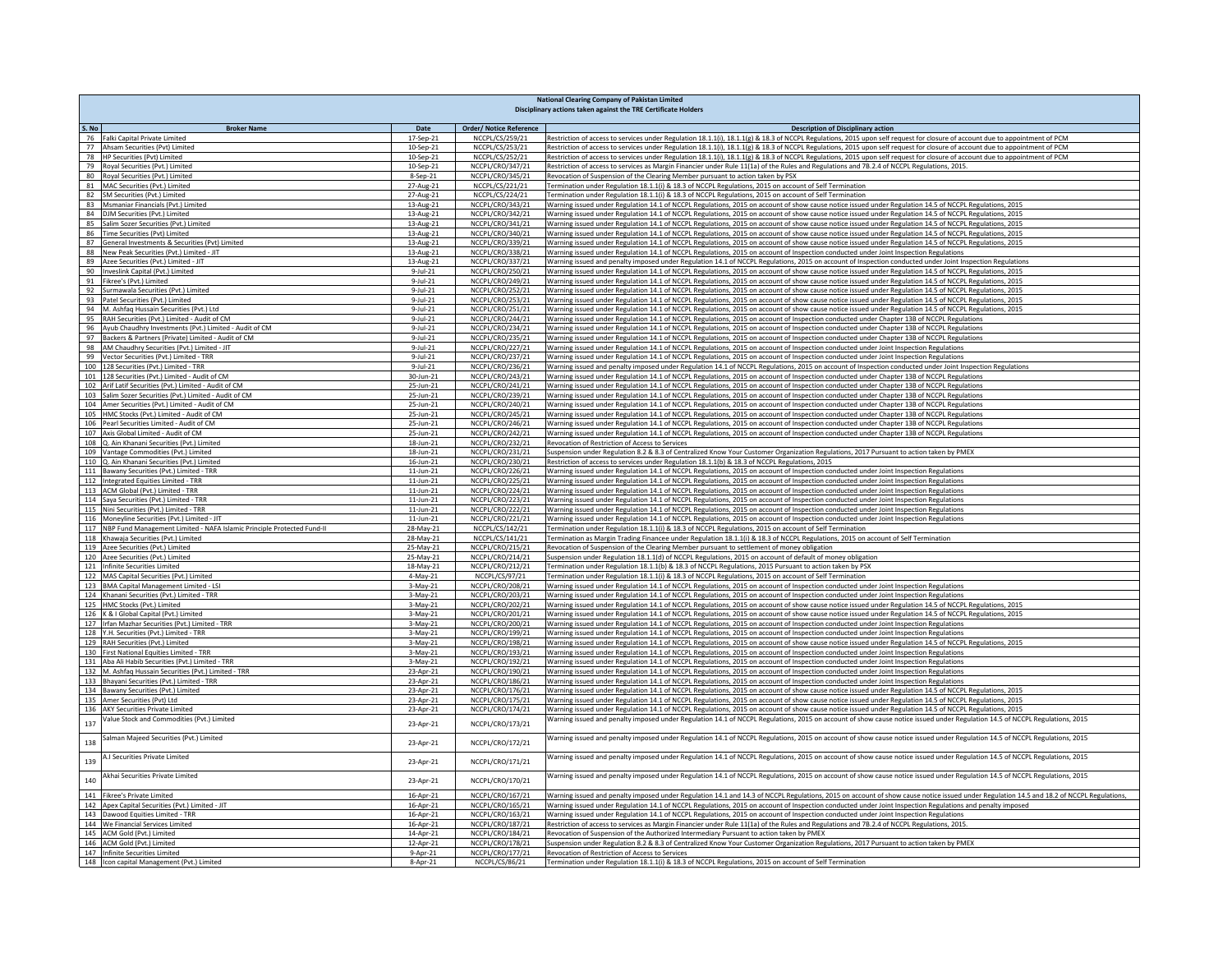| <b>National Clearing Company of Pakistan Limited</b><br>Disciplinary actions taken against the TRE Certificate Holders |                             |                                                   |                                                                                                                                                                                                                                                                                                  |
|------------------------------------------------------------------------------------------------------------------------|-----------------------------|---------------------------------------------------|--------------------------------------------------------------------------------------------------------------------------------------------------------------------------------------------------------------------------------------------------------------------------------------------------|
|                                                                                                                        |                             |                                                   |                                                                                                                                                                                                                                                                                                  |
| S. No<br><b>Broker Name</b><br>76 Falki Capital Private Limited                                                        | Date<br>17-Sep-21           | <b>Order/ Notice Reference</b><br>NCCPL/CS/259/21 | <b>Description of Disciplinary action</b><br>Restriction of access to services under Regulation 18.1.1(i), 18.1.1(g) & 18.3 of NCCPL Regulations, 2015 upon self request for closure of account due to appointment of PCM                                                                        |
| 77 Ahsam Securities (Pvt) Limited                                                                                      | 10-Sep-21                   | NCCPL/CS/253/21                                   | Restriction of access to services under Regulation 18.1.1(i), 18.1.1(g) & 18.3 of NCCPL Regulations, 2015 upon self request for closure of account due to appointment of PCM                                                                                                                     |
| 78 HP Securities (Pvt) Limited                                                                                         | 10-Sep-21                   | NCCPL/CS/252/21                                   | Restriction of access to services under Regulation 18.1.1(i), 18.1.1(g) & 18.3 of NCCPL Regulations, 2015 upon self request for closure of account due to appointment of PCM                                                                                                                     |
| 79 Royal Securities (Pvt.) Limited                                                                                     | 10-Sep-21                   | NCCPL/CRO/347/21                                  | Restriction of access to services as Margin Financier under Rule 11(1a) of the Rules and Regulations and 7B.2.4 of NCCPL Regulations, 2015.                                                                                                                                                      |
| 80 Royal Securities (Pvt.) Limited                                                                                     | 8-Sep-21                    | NCCPL/CRO/345/21                                  | Revocation of Suspension of the Clearing Member pursuant to action taken by PSX                                                                                                                                                                                                                  |
| 81 MAC Securities (Pvt.) Limited                                                                                       | 27-Aug-21                   | NCCPL/CS/221/21                                   | Termination under Regulation 18.1.1(i) & 18.3 of NCCPL Regulations, 2015 on account of Self Termination                                                                                                                                                                                          |
| 82<br>SM Securities (Pvt.) Limited                                                                                     | 27-Aug-21                   | NCCPL/CS/224/21                                   | Termination under Regulation 18.1.1(i) & 18.3 of NCCPL Regulations, 2015 on account of Self Termination                                                                                                                                                                                          |
| 83 Msmaniar Financials (Pvt.) Limited                                                                                  | 13-Aug-21                   | NCCPL/CRO/343/21                                  | Warning issued under Regulation 14.1 of NCCPL Regulations, 2015 on account of show cause notice issued under Regulation 14.5 of NCCPL Regulations, 2015                                                                                                                                          |
| 84 DJM Securities (Pvt.) Limited                                                                                       | 13-Aug-21                   | NCCPL/CRO/342/21                                  | Warning issued under Regulation 14.1 of NCCPL Regulations, 2015 on account of show cause notice issued under Regulation 14.5 of NCCPL Regulations, 2015                                                                                                                                          |
| 85 Salim Sozer Securities (Pvt.) Limited                                                                               | 13-Aug-21                   | NCCPL/CRO/341/21                                  | Warning issued under Regulation 14.1 of NCCPL Regulations, 2015 on account of show cause notice issued under Regulation 14.5 of NCCPL Regulations, 2015                                                                                                                                          |
| 86 Time Securities (Pvt) Limited                                                                                       | 13-Aug-21                   | NCCPL/CRO/340/21                                  | Warning issued under Regulation 14.1 of NCCPL Regulations, 2015 on account of show cause notice issued under Regulation 14.5 of NCCPL Regulations, 2015                                                                                                                                          |
| 87 General Investments & Securities (Pvt) Limited                                                                      | 13-Aug-21                   | NCCPL/CRO/339/21                                  | Warning issued under Regulation 14.1 of NCCPL Regulations, 2015 on account of show cause notice issued under Regulation 14.5 of NCCPL Regulations, 2015                                                                                                                                          |
| 88 New Peak Securities (Pvt.) Limited - JIT                                                                            | 13-Aug-21                   | NCCPL/CRO/338/21                                  | Warning issued under Regulation 14.1 of NCCPL Regulations, 2015 on account of Inspection conducted under Joint Inspection Regulations                                                                                                                                                            |
| 89<br>Azee Securities (Pvt.) Limited - JIT                                                                             | 13-Aug-21                   | NCCPL/CRO/337/21                                  | Warning issued and penalty imposed under Regulation 14.1 of NCCPL Regulations, 2015 on account of Inspection conducted under Joint Inspection Regulations                                                                                                                                        |
| 90 Inveslink Capital (Pvt.) Limited                                                                                    | $9-Jul-21$                  | NCCPL/CRO/250/21                                  | Warning issued under Regulation 14.1 of NCCPL Regulations, 2015 on account of show cause notice issued under Regulation 14.5 of NCCPL Regulations, 2015                                                                                                                                          |
| 91 Fikree's (Pvt.) Limited                                                                                             | $9-Jul-21$                  | NCCPL/CRO/249/21                                  | Warning issued under Regulation 14.1 of NCCPL Regulations, 2015 on account of show cause notice issued under Regulation 14.5 of NCCPL Regulations, 2015                                                                                                                                          |
| 92 Surmawala Securities (Pvt.) Limited                                                                                 | $9$ -Jul-21                 | NCCPL/CRO/252/21                                  | Warning issued under Regulation 14.1 of NCCPL Regulations, 2015 on account of show cause notice issued under Regulation 14.5 of NCCPL Regulations, 2015                                                                                                                                          |
| 93 Patel Securities (Pvt.) Limited                                                                                     | $9 -$ Jul-21                | NCCPL/CRO/253/21                                  | Warning issued under Regulation 14.1 of NCCPL Regulations, 2015 on account of show cause notice issued under Regulation 14.5 of NCCPL Regulations, 2015                                                                                                                                          |
| 94 M. Ashfaq Hussain Securities (Pvt.) Ltd                                                                             | $9$ -Jul-21                 | NCCPL/CRO/251/21                                  | Warning issued under Regulation 14.1 of NCCPL Regulations, 2015 on account of show cause notice issued under Regulation 14.5 of NCCPL Regulations, 2015                                                                                                                                          |
| 95 RAH Securities (Pvt.) Limited - Audit of CM                                                                         | 9-Jul-21<br>$9 -$ Jul $-21$ | NCCPL/CRO/244/21<br>NCCPL/CRO/234/21              | Warning issued under Regulation 14.1 of NCCPL Regulations, 2015 on account of Inspection conducted under Chapter 13B of NCCPL Regulations                                                                                                                                                        |
| 96 Ayub Chaudhry Investments (Pvt.) Limited - Audit of CM                                                              |                             |                                                   | Warning issued under Regulation 14.1 of NCCPL Regulations, 2015 on account of Inspection conducted under Chapter 13B of NCCPL Regulations                                                                                                                                                        |
| 97 Backers & Partners (Private) Limited - Audit of CM<br>98 AM Chaudhry Securities (Pvt.) Limited - JIT                | $9$ -Jul-21<br>$9-Jul-21$   | NCCPL/CRO/235/21<br>NCCPL/CRO/227/21              | Warning issued under Regulation 14.1 of NCCPL Regulations, 2015 on account of Inspection conducted under Chapter 13B of NCCPL Regulations<br>Warning issued under Regulation 14.1 of NCCPL Regulations, 2015 on account of Inspection conducted under Joint Inspection Regulations               |
| 99 Vector Securities (Pvt.) Limited - TRR                                                                              | $9 -$ Jul $-21$             | NCCPL/CRO/237/21                                  | Warning issued under Regulation 14.1 of NCCPL Regulations, 2015 on account of Inspection conducted under Joint Inspection Regulations                                                                                                                                                            |
| 100 128 Securities (Pvt.) Limited - TRR                                                                                | $9 -$ Jul-21                | NCCPL/CRO/236/21                                  | Warning issued and penalty imposed under Regulation 14.1 of NCCPL Regulations, 2015 on account of Inspection conducted under Joint Inspection Regulations                                                                                                                                        |
| 101 128 Securities (Pvt.) Limited - Audit of CM                                                                        | 30-Jun-21                   | NCCPL/CRO/243/21                                  | Warning issued under Regulation 14.1 of NCCPL Regulations, 2015 on account of Inspection conducted under Chapter 13B of NCCPL Regulations                                                                                                                                                        |
| 102 Arif Latif Securities (Pvt.) Limited - Audit of CM                                                                 | 25-Jun-21                   | NCCPL/CRO/241/21                                  | Warning issued under Regulation 14.1 of NCCPL Regulations, 2015 on account of Inspection conducted under Chapter 13B of NCCPL Regulations                                                                                                                                                        |
| 103 Salim Sozer Securities (Pvt.) Limited - Audit of CM                                                                | 25-Jun-21                   | NCCPL/CRO/239/21                                  | Warning issued under Regulation 14.1 of NCCPL Regulations, 2015 on account of Inspection conducted under Chapter 13B of NCCPL Regulations                                                                                                                                                        |
| 104 Amer Securities (Pvt.) Limited - Audit of CM                                                                       | 25-Jun-21                   | NCCPL/CRO/240/21                                  | Warning issued under Regulation 14.1 of NCCPL Regulations, 2015 on account of Inspection conducted under Chapter 13B of NCCPL Regulations                                                                                                                                                        |
| 105 HMC Stocks (Pvt.) Limited - Audit of CM                                                                            | 25-Jun-21                   | NCCPL/CRO/245/21                                  | Warning issued under Regulation 14.1 of NCCPL Regulations, 2015 on account of Inspection conducted under Chapter 13B of NCCPL Regulations                                                                                                                                                        |
| 106 Pearl Securities Limited - Audit of CM                                                                             | 25-Jun-21                   | NCCPL/CRO/246/21                                  | Warning issued under Regulation 14.1 of NCCPL Regulations, 2015 on account of Inspection conducted under Chapter 13B of NCCPL Regulations                                                                                                                                                        |
| 107 Axis Global Limited - Audit of CM                                                                                  | 25-Jun-21                   | NCCPL/CRO/242/21                                  | Warning issued under Regulation 14.1 of NCCPL Regulations, 2015 on account of Inspection conducted under Chapter 13B of NCCPL Regulations                                                                                                                                                        |
| 108 Q. Ain Khanani Securities (Pvt.) Limited                                                                           | 18-Jun-21                   | NCCPL/CRO/232/21                                  | Revocation of Restriction of Access to Services                                                                                                                                                                                                                                                  |
| 109 Vantage Commodities (Pvt.) Limited                                                                                 | 18-Jun-21                   | NCCPL/CRO/231/21                                  | Suspension under Regulation 8.2 & 8.3 of Centralized Know Your Customer Organization Regulations, 2017 Pursuant to action taken by PMEX                                                                                                                                                          |
| 110 Q. Ain Khanani Securities (Pvt.) Limited                                                                           | 16-Jun-21                   | NCCPL/CRO/230/21                                  | Restriction of access to services under Regulation 18.1.1(b) & 18.3 of NCCPL Regulations, 2015                                                                                                                                                                                                   |
| 111 Bawany Securities (Pvt.) Limited - TRR                                                                             | 11-Jun-21                   | NCCPL/CRO/226/21                                  | Warning issued under Regulation 14.1 of NCCPL Regulations, 2015 on account of Inspection conducted under Joint Inspection Regulations                                                                                                                                                            |
| 112 Integrated Equities Limited - TRR                                                                                  | $11$ -Jun- $21$             | NCCPL/CRO/225/21                                  | Warning issued under Regulation 14.1 of NCCPL Regulations, 2015 on account of Inspection conducted under Joint Inspection Regulations                                                                                                                                                            |
| 113 ACM Global (Pvt.) Limited - TRR                                                                                    | $11$ -Jun- $21$             | NCCPL/CRO/224/21                                  | Warning issued under Regulation 14.1 of NCCPL Regulations, 2015 on account of Inspection conducted under Joint Inspection Regulations                                                                                                                                                            |
| 114 Saya Securities (Pvt.) Limited - TRR                                                                               | $11$ -Jun-21                | NCCPL/CRO/223/21                                  | Warning issued under Regulation 14.1 of NCCPL Regulations, 2015 on account of Inspection conducted under Joint Inspection Regulations                                                                                                                                                            |
| 115 Nini Securities (Pvt.) Limited - TRR                                                                               | $11$ -Jun-21                | NCCPL/CRO/222/21                                  | Warning issued under Regulation 14.1 of NCCPL Regulations, 2015 on account of Inspection conducted under Joint Inspection Regulations                                                                                                                                                            |
| 116 Moneyline Securities (Pvt.) Limited - JIT                                                                          | $11$ -Jun- $21$             | NCCPL/CRO/221/21                                  | Warning issued under Regulation 14.1 of NCCPL Regulations, 2015 on account of Inspection conducted under Joint Inspection Regulations                                                                                                                                                            |
| 117 NBP Fund Management Limited - NAFA Islamic Principle Protected Fund-II                                             | 28-May-21                   | NCCPL/CS/142/21                                   | Termination under Regulation 18.1.1(i) & 18.3 of NCCPL Regulations, 2015 on account of Self Termination                                                                                                                                                                                          |
| 118 Khawaja Securities (Pvt.) Limited                                                                                  | 28-May-21                   | NCCPL/CS/141/21                                   | Termination as Margin Trading Financee under Regulation 18.1.1(i) & 18.3 of NCCPL Regulations, 2015 on account of Self Termination                                                                                                                                                               |
| 119 Azee Securities (Pvt.) Limited                                                                                     | 25-May-21                   | NCCPL/CRO/215/21                                  | Revocation of Suspension of the Clearing Member pursuant to settlement of money obligation                                                                                                                                                                                                       |
| 120 Azee Securities (Pvt.) Limited                                                                                     | 25-May-21                   | NCCPL/CRO/214/21                                  | Suspension under Regulation 18.1.1(d) of NCCPL Regulations, 2015 on account of default of money obligation                                                                                                                                                                                       |
| 121 Infinite Securities Limited                                                                                        | 18-May-21                   | NCCPL/CRO/212/21                                  | Termination under Regulation 18.1.1(b) & 18.3 of NCCPL Regulations, 2015 Pursuant to action taken by PSX                                                                                                                                                                                         |
| 122 MAS Capital Securities (Pvt.) Limited                                                                              | $4-May-21$                  | NCCPL/CS/97/21                                    | Termination under Regulation 18.1.1(i) & 18.3 of NCCPL Regulations, 2015 on account of Self Termination                                                                                                                                                                                          |
| 123 BMA Capital Management Limited - LSI                                                                               | 3-May-21                    | NCCPL/CRO/208/21                                  | Warning issued under Regulation 14.1 of NCCPL Regulations, 2015 on account of Inspection conducted under Joint Inspection Regulations                                                                                                                                                            |
| 124 Khanani Securities (Pvt.) Limited - TRR                                                                            | 3-May-21                    | NCCPL/CRO/203/21                                  | Warning issued under Regulation 14.1 of NCCPL Regulations, 2015 on account of Inspection conducted under Joint Inspection Regulations                                                                                                                                                            |
| 125 HMC Stocks (Pvt.) Limited                                                                                          | 3-May-21                    | NCCPL/CRO/202/21                                  | Warning issued under Regulation 14.1 of NCCPL Regulations, 2015 on account of show cause notice issued under Regulation 14.5 of NCCPL Regulations, 2015                                                                                                                                          |
| 126 K & I Global Capital (Pvt.) Limited                                                                                | 3-May-21                    | NCCPL/CRO/201/21<br>NCCPL/CRO/200/21              | Warning issued under Regulation 14.1 of NCCPL Regulations, 2015 on account of show cause notice issued under Regulation 14.5 of NCCPL Regulations, 2015                                                                                                                                          |
| 127 Irfan Mazhar Securities (Pvt.) Limited - TRR<br>128 Y.H. Securities (Pvt.) Limited - TRR                           | 3-May-21                    |                                                   | Warning issued under Regulation 14.1 of NCCPL Regulations, 2015 on account of Inspection conducted under Joint Inspection Regulations                                                                                                                                                            |
| 129 RAH Securities (Pvt.) Limited                                                                                      | 3-May-21<br>3-May-21        | NCCPL/CRO/199/21<br>NCCPL/CRO/198/21              | Warning issued under Regulation 14.1 of NCCPL Regulations, 2015 on account of Inspection conducted under Joint Inspection Regulations<br>Warning issued under Regulation 14.1 of NCCPL Regulations, 2015 on account of show cause notice issued under Regulation 14.5 of NCCPL Regulations, 2015 |
| 130 First National Equities Limited - TRR                                                                              | $3-May-21$                  | NCCPL/CRO/193/21                                  | Warning issued under Regulation 14.1 of NCCPL Regulations, 2015 on account of Inspection conducted under Joint Inspection Regulations                                                                                                                                                            |
| 131 Aba Ali Habib Securities (Pvt.) Limited - TRR                                                                      | 3-May-21                    | NCCPL/CRO/192/21                                  | Warning issued under Regulation 14.1 of NCCPL Regulations, 2015 on account of Inspection conducted under Joint Inspection Regulations                                                                                                                                                            |
| 132 M. Ashfaq Hussain Securities (Pvt.) Limited - TRR                                                                  | 23-Apr-21                   | NCCPL/CRO/190/21                                  | Warning issued under Regulation 14.1 of NCCPL Regulations, 2015 on account of Inspection conducted under Joint Inspection Regulations                                                                                                                                                            |
| 133 Bhayani Securities (Pvt.) Limited - TRR                                                                            | 23-Apr-21                   | NCCPL/CRO/186/21                                  | Warning issued under Regulation 14.1 of NCCPL Regulations, 2015 on account of Inspection conducted under Joint Inspection Regulations                                                                                                                                                            |
| 134 Bawany Securities (Pvt.) Limited                                                                                   | 23-Apr-21                   | NCCPL/CRO/176/21                                  | Warning issued under Regulation 14.1 of NCCPL Regulations, 2015 on account of show cause notice issued under Regulation 14.5 of NCCPL Regulations, 2015                                                                                                                                          |
| 135 Amer Securities (Pvt) Ltd                                                                                          | 23-Apr-21                   | NCCPL/CRO/175/21                                  | Warning issued under Regulation 14.1 of NCCPL Regulations, 2015 on account of show cause notice issued under Regulation 14.5 of NCCPL Regulations, 2015                                                                                                                                          |
| 136 AKY Securities Private Limited                                                                                     | 23-Apr-21                   | NCCPL/CRO/174/21                                  | Warning issued under Regulation 14.1 of NCCPL Regulations, 2015 on account of show cause notice issued under Regulation 14.5 of NCCPL Regulations, 2015                                                                                                                                          |
| Value Stock and Commodities (Pvt.) Limited<br>137                                                                      | 23-Apr-21                   | NCCPL/CRO/173/21                                  | Narning issued and penalty imposed under Regulation 14.1 of NCCPL Regulations, 2015 on account of show cause notice issued under Regulation 14.5 of NCCPL Regulations, 2015                                                                                                                      |
| Salman Majeed Securities (Pvt.) Limited<br>138                                                                         | 23-Apr-21                   | NCCPL/CRO/172/21                                  | Warning issued and penalty imposed under Regulation 14.1 of NCCPL Regulations, 2015 on account of show cause notice issued under Regulation 14.5 of NCCPL Regulations, 2015                                                                                                                      |
| A.I Securities Private Limited<br>139                                                                                  | 23-Apr-21                   | NCCPL/CRO/171/21                                  | Warning issued and penalty imposed under Regulation 14.1 of NCCPL Regulations, 2015 on account of show cause notice issued under Regulation 14.5 of NCCPL Regulations, 2015                                                                                                                      |
| Akhai Securities Private Limited<br>140                                                                                | 23-Apr-21                   | NCCPL/CRO/170/21                                  | Warning issued and penalty imposed under Regulation 14.1 of NCCPL Regulations, 2015 on account of show cause notice issued under Regulation 14.5 of NCCPL Regulations, 2015                                                                                                                      |
| 141 Fikree's Private Limited                                                                                           | 16-Apr-21                   | NCCPL/CRO/167/21                                  | Warning issued and penalty imposed under Regulation 14.1 and 14.3 of NCCPL Regulations, 2015 on account of show cause notice issued under Regulation 14.5 and 18.2 of NCCPL Regulations,                                                                                                         |
| 142 Apex Capital Securities (Pvt.) Limited - JIT                                                                       | 16-Apr-21                   | NCCPL/CRO/165/21                                  | Warning issued under Regulation 14.1 of NCCPL Regulations, 2015 on account of Inspection conducted under Joint Inspection Regulations and penalty imposed                                                                                                                                        |
| 143 Dawood Equities Limited - TRR                                                                                      | 16-Apr-21                   | NCCPL/CRO/163/21                                  | Warning issued under Regulation 14.1 of NCCPL Regulations, 2015 on account of Inspection conducted under Joint Inspection Regulations                                                                                                                                                            |
| 144 We Financial Services Limited                                                                                      | 16-Apr-21                   | NCCPL/CRO/187/21                                  | Restriction of access to services as Margin Financier under Rule 11(1a) of the Rules and Regulations and 7B.2.4 of NCCPL Regulations, 2015.                                                                                                                                                      |
| 145 ACM Gold (Pvt.) Limited                                                                                            | 14-Apr-21                   | NCCPL/CRO/184/21                                  | Revocation of Suspension of the Authorized Intermediary Pursuant to action taken by PMEX                                                                                                                                                                                                         |
| 146 ACM Gold (Pvt.) Limited                                                                                            | 12-Apr-21                   | NCCPL/CRO/178/21                                  | Suspension under Regulation 8.2 & 8.3 of Centralized Know Your Customer Organization Regulations, 2017 Pursuant to action taken by PMEX                                                                                                                                                          |
| 147 Infinite Securities Limited                                                                                        | 9-Apr-21                    | NCCPL/CRO/177/21                                  | Revocation of Restriction of Access to Services                                                                                                                                                                                                                                                  |
| 148   Icon capital Management (Pvt.) Limited                                                                           | 8-Apr-21                    | NCCPL/CS/86/21                                    | Termination under Regulation 18.1.1(i) & 18.3 of NCCPL Regulations, 2015 on account of Self Termination                                                                                                                                                                                          |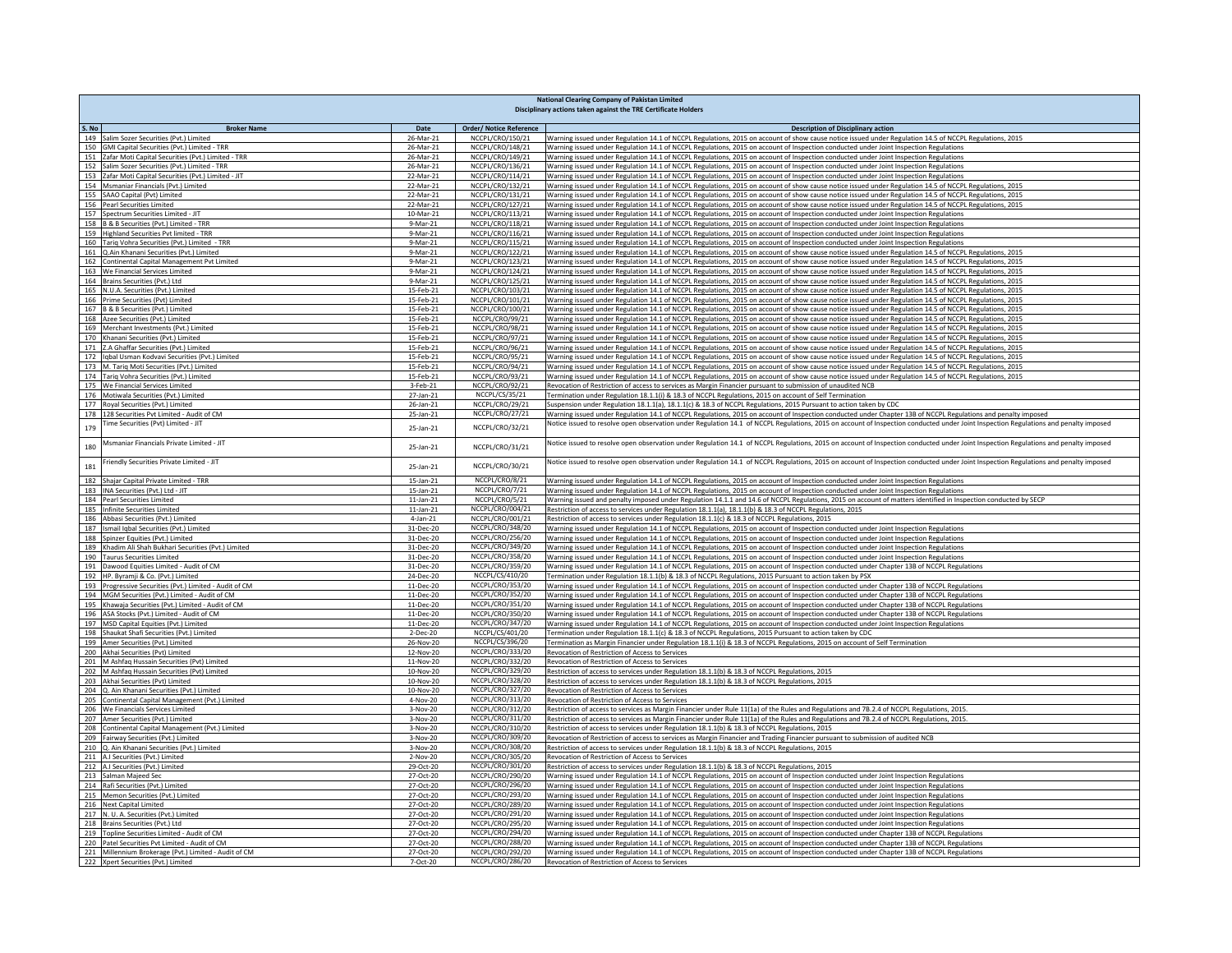|       | <b>National Clearing Company of Pakistan Limited</b><br>Disciplinary actions taken against the TRE Certificate Holders |                             |                                      |                                                                                                                                                                                                                                                                                                                    |  |
|-------|------------------------------------------------------------------------------------------------------------------------|-----------------------------|--------------------------------------|--------------------------------------------------------------------------------------------------------------------------------------------------------------------------------------------------------------------------------------------------------------------------------------------------------------------|--|
|       |                                                                                                                        |                             |                                      |                                                                                                                                                                                                                                                                                                                    |  |
| S. No | <b>Broker Name</b>                                                                                                     | Date                        | <b>Order/ Notice Reference</b>       | <b>Description of Disciplinary action</b>                                                                                                                                                                                                                                                                          |  |
|       | 149 Salim Sozer Securities (Pvt.) Limited<br>150 GMI Capital Securities (Pvt.) Limited - TRR                           | 26-Mar-21<br>26-Mar-21      | NCCPL/CRO/150/21<br>NCCPL/CRO/148/21 | Warning issued under Regulation 14.1 of NCCPL Regulations, 2015 on account of show cause notice issued under Regulation 14.5 of NCCPL Regulations, 2015<br>Warning issued under Regulation 14.1 of NCCPL Regulations, 2015 on account of Inspection conducted under Joint Inspection Regulations                   |  |
| 151   | Zafar Moti Capital Securities (Pvt.) Limited - TRR                                                                     | 26-Mar-21                   | NCCPL/CRO/149/21                     | Warning issued under Regulation 14.1 of NCCPL Regulations, 2015 on account of Inspection conducted under Joint Inspection Regulations                                                                                                                                                                              |  |
|       | 152 Salim Sozer Securities (Pvt.) Limited - TRR                                                                        | 26-Mar-21                   | NCCPL/CRO/136/21                     | Warning issued under Regulation 14.1 of NCCPL Regulations, 2015 on account of Inspection conducted under Joint Inspection Regulations                                                                                                                                                                              |  |
|       | 153 Zafar Moti Capital Securities (Pvt.) Limited - JIT                                                                 | 22-Mar-21                   | NCCPL/CRO/114/21                     | Warning issued under Regulation 14.1 of NCCPL Regulations, 2015 on account of Inspection conducted under Joint Inspection Regulations                                                                                                                                                                              |  |
|       | 154 Msmaniar Financials (Pvt.) Limited                                                                                 | 22-Mar-21                   | NCCPL/CRO/132/21                     | Warning issued under Regulation 14.1 of NCCPL Regulations, 2015 on account of show cause notice issued under Regulation 14.5 of NCCPL Regulations, 2015                                                                                                                                                            |  |
|       | 155 SAAO Capital (Pvt) Limited                                                                                         | 22-Mar-21                   | NCCPL/CRO/131/21                     | Warning issued under Regulation 14.1 of NCCPL Regulations, 2015 on account of show cause notice issued under Regulation 14.5 of NCCPL Regulations, 2015                                                                                                                                                            |  |
|       | 156 Pearl Securities Limited                                                                                           | 22-Mar-21                   | NCCPL/CRO/127/21                     | Warning issued under Regulation 14.1 of NCCPL Regulations, 2015 on account of show cause notice issued under Regulation 14.5 of NCCPL Regulations, 2015                                                                                                                                                            |  |
|       | 157 Spectrum Securities Limited - JIT<br>158 B & B Securities (Pvt.) Limited - TRR                                     | 10-Mar-21<br>9-Mar-21       | NCCPL/CRO/113/21<br>NCCPL/CRO/118/21 | Warning issued under Regulation 14.1 of NCCPL Regulations, 2015 on account of Inspection conducted under Joint Inspection Regulations<br>Warning issued under Regulation 14.1 of NCCPL Regulations, 2015 on account of Inspection conducted under Joint Inspection Regulations                                     |  |
|       | 159 Highland Securities Pvt limited - TRR                                                                              | 9-Mar-21                    | NCCPL/CRO/116/21                     | Warning issued under Regulation 14.1 of NCCPL Regulations, 2015 on account of Inspection conducted under Joint Inspection Regulations                                                                                                                                                                              |  |
|       | 160 Tariq Vohra Securities (Pvt.) Limited - TRR                                                                        | 9-Mar-21                    | NCCPL/CRO/115/21                     | Warning issued under Regulation 14.1 of NCCPL Regulations, 2015 on account of Inspection conducted under Joint Inspection Regulations                                                                                                                                                                              |  |
|       | 161 Q.Ain Khanani Securities (Pvt.) Limited                                                                            | 9-Mar-21                    | NCCPL/CRO/122/21                     | Warning issued under Regulation 14.1 of NCCPL Regulations, 2015 on account of show cause notice issued under Regulation 14.5 of NCCPL Regulations, 2015                                                                                                                                                            |  |
|       | 162 Continental Capital Management Pvt Limited                                                                         | 9-Mar-21                    | NCCPL/CRO/123/21                     | Warning issued under Regulation 14.1 of NCCPL Regulations, 2015 on account of show cause notice issued under Regulation 14.5 of NCCPL Regulations, 2015                                                                                                                                                            |  |
|       | 163 We Financial Services Limited                                                                                      | 9-Mar-21                    | NCCPL/CRO/124/21                     | Warning issued under Regulation 14.1 of NCCPL Regulations, 2015 on account of show cause notice issued under Regulation 14.5 of NCCPL Regulations, 2015                                                                                                                                                            |  |
|       | 164 Brains Securities (Pvt.) Ltd<br>165 N.U.A. Securities (Pvt.) Limited                                               | 9-Mar-21<br>15-Feb-21       | NCCPL/CRO/125/21<br>NCCPL/CRO/103/21 | Warning issued under Regulation 14.1 of NCCPL Regulations, 2015 on account of show cause notice issued under Regulation 14.5 of NCCPL Regulations, 2015<br>Warning issued under Regulation 14.1 of NCCPL Regulations, 2015 on account of show cause notice issued under Regulation 14.5 of NCCPL Regulations, 2015 |  |
|       | 166 Prime Securities (Pvt) Limited                                                                                     | 15-Feb-21                   | NCCPL/CRO/101/21                     | Warning issued under Regulation 14.1 of NCCPL Regulations, 2015 on account of show cause notice issued under Regulation 14.5 of NCCPL Regulations, 2015                                                                                                                                                            |  |
|       | 167 B & B Securities (Pvt.) Limited                                                                                    | 15-Feb-21                   | NCCPL/CRO/100/21                     | Warning issued under Regulation 14.1 of NCCPL Regulations, 2015 on account of show cause notice issued under Regulation 14.5 of NCCPL Regulations, 2015                                                                                                                                                            |  |
|       | 168 Azee Securities (Pvt.) Limited                                                                                     | 15-Feb-21                   | NCCPL/CRO/99/21                      | Warning issued under Regulation 14.1 of NCCPL Regulations, 2015 on account of show cause notice issued under Regulation 14.5 of NCCPL Regulations, 2015                                                                                                                                                            |  |
|       | 169 Merchant Investments (Pvt.) Limited                                                                                | 15-Feb-21                   | NCCPL/CRO/98/21                      | Warning issued under Regulation 14.1 of NCCPL Regulations, 2015 on account of show cause notice issued under Regulation 14.5 of NCCPL Regulations, 2015                                                                                                                                                            |  |
|       | 170 Khanani Securities (Pvt.) Limited                                                                                  | 15-Feb-21                   | NCCPL/CRO/97/21                      | Warning issued under Regulation 14.1 of NCCPL Regulations, 2015 on account of show cause notice issued under Regulation 14.5 of NCCPL Regulations, 2015                                                                                                                                                            |  |
|       | 171 Z.A Ghaffar Securities (Pvt.) Limited                                                                              | 15-Feb-21                   | NCCPL/CRO/96/21                      | Warning issued under Regulation 14.1 of NCCPL Regulations, 2015 on account of show cause notice issued under Regulation 14.5 of NCCPL Regulations, 2015                                                                                                                                                            |  |
|       | 172   Iqbal Usman Kodvavi Securities (Pvt.) Limited<br>173 M. Tariq Moti Securities (Pvt.) Limited                     | 15-Feb-21<br>15-Feb-21      | NCCPL/CRO/95/21<br>NCCPL/CRO/94/21   | Warning issued under Regulation 14.1 of NCCPL Regulations, 2015 on account of show cause notice issued under Regulation 14.5 of NCCPL Regulations, 2015                                                                                                                                                            |  |
|       | 174 Tariq Vohra Securities (Pvt.) Limited                                                                              | 15-Feb-21                   | NCCPL/CRO/93/21                      | Warning issued under Regulation 14.1 of NCCPL Regulations, 2015 on account of show cause notice issued under Regulation 14.5 of NCCPL Regulations, 2015<br>Warning issued under Regulation 14.1 of NCCPL Regulations, 2015 on account of show cause notice issued under Regulation 14.5 of NCCPL Regulations, 2015 |  |
|       | 175 We Financial Services Limited                                                                                      | 3-Feb-21                    | NCCPL/CRO/92/21                      | Revocation of Restriction of access to services as Margin Financier pursuant to submission of unaudited NCB                                                                                                                                                                                                        |  |
|       | 176 Motiwala Securities (Pvt.) Limited                                                                                 | 27-Jan-21                   | NCCPL/CS/35/21                       | ermination under Regulation 18.1.1(i) & 18.3 of NCCPL Regulations, 2015 on account of Self Termination                                                                                                                                                                                                             |  |
|       | 177 Royal Securities (Pvt.) Limited                                                                                    | 26-Jan-21                   | NCCPL/CRO/29/21                      | Suspension under Regulation 18.1.1(a), 18.1.1(c) & 18.3 of NCCPL Regulations, 2015 Pursuant to action taken by CDC                                                                                                                                                                                                 |  |
|       | 178 128 Securities Pvt Limited - Audit of CM                                                                           | 25-Jan-21                   | NCCPL/CRO/27/21                      | Warning issued under Regulation 14.1 of NCCPL Regulations, 2015 on account of Inspection conducted under Chapter 13B of NCCPL Regulations and penalty imposed                                                                                                                                                      |  |
| 179   | Time Securities (Pvt) Limited - JIT                                                                                    | 25-Jan-21                   | NCCPL/CRO/32/21                      | Notice issued to resolve open observation under Regulation 14.1 of NCCPL Regulations, 2015 on account of Inspection conducted under Joint Inspection Regulations and penalty imposed                                                                                                                               |  |
| 180   | Msmaniar Financials Private Limited - JIT                                                                              | 25-Jan-21                   | NCCPL/CRO/31/21                      | lotice issued to resolve open observation under Regulation 14.1 of NCCPL Regulations, 2015 on account of Inspection conducted under Joint Inspection Regulations and penalty imposed                                                                                                                               |  |
| 181   | Friendly Securities Private Limited - JIT                                                                              | 25-Jan-21                   | NCCPL/CRO/30/21                      | Notice issued to resolve open observation under Regulation 14.1 of NCCPL Regulations, 2015 on account of Inspection conducted under Joint Inspection Regulations and penalty imposed                                                                                                                               |  |
|       | 182 Shajar Capital Private Limited - TRR                                                                               | 15-Jan-21                   | NCCPL/CRO/8/21                       | Warning issued under Regulation 14.1 of NCCPL Regulations, 2015 on account of Inspection conducted under Joint Inspection Regulations                                                                                                                                                                              |  |
|       | 183   INA Securities (Pvt.) Ltd - JIT                                                                                  | 15-Jan-21                   | NCCPL/CRO/7/21                       | Warning issued under Regulation 14.1 of NCCPL Regulations, 2015 on account of Inspection conducted under Joint Inspection Regulations                                                                                                                                                                              |  |
|       | 184 Pearl Securities Limited                                                                                           | $11$ -Jan- $21$             | NCCPL/CRO/5/21                       | Warning issued and penalty imposed under Regulation 14.1.1 and 14.6 of NCCPL Regulations, 2015 on account of matters identified in Inspection conducted by SECP                                                                                                                                                    |  |
| 185   | <b>Infinite Securities Limited</b><br>186 Abbasi Securities (Pvt.) Limited                                             | $11$ -Jan- $21$<br>4-Jan-21 | NCCPL/CRO/004/21<br>NCCPL/CRO/001/21 | Restriction of access to services under Regulation 18.1.1(a), 18.1.1(b) & 18.3 of NCCPL Regulations, 2015<br>Restriction of access to services under Regulation 18.1.1(c) & 18.3 of NCCPL Regulations, 2015                                                                                                        |  |
|       | 187 Ismail Iqbal Securities (Pvt.) Limited                                                                             | 31-Dec-20                   | NCCPL/CRO/348/20                     | Warning issued under Regulation 14.1 of NCCPL Regulations, 2015 on account of Inspection conducted under Joint Inspection Regulations                                                                                                                                                                              |  |
|       | 188 Spinzer Equities (Pvt.) Limited                                                                                    | 31-Dec-20                   | NCCPL/CRO/256/20                     | Warning issued under Regulation 14.1 of NCCPL Regulations, 2015 on account of Inspection conducted under Joint Inspection Regulations                                                                                                                                                                              |  |
|       | 189 Khadim Ali Shah Bukhari Securities (Pvt.) Limited                                                                  | 31-Dec-20                   | NCCPL/CRO/349/20                     | Warning issued under Regulation 14.1 of NCCPL Regulations, 2015 on account of Inspection conducted under Joint Inspection Regulations                                                                                                                                                                              |  |
|       | 190 Taurus Securities Limited                                                                                          | 31-Dec-20                   | NCCPL/CRO/358/20                     | Warning issued under Regulation 14.1 of NCCPL Regulations, 2015 on account of Inspection conducted under Joint Inspection Regulations                                                                                                                                                                              |  |
|       | 191 Dawood Equities Limited - Audit of CM                                                                              | 31-Dec-20                   | NCCPL/CRO/359/20                     | Warning issued under Regulation 14.1 of NCCPL Regulations, 2015 on account of Inspection conducted under Chapter 13B of NCCPL Regulations                                                                                                                                                                          |  |
|       | 192 HP. Byramji & Co. (Pvt.) Limited<br>193 Progressive Securities (Pvt.) Limited - Audit of CM                        | 24-Dec-20<br>11-Dec-20      | NCCPL/CS/410/20<br>NCCPL/CRO/353/20  | ermination under Regulation 18.1.1(b) & 18.3 of NCCPL Regulations, 2015 Pursuant to action taken by PSX<br>Warning issued under Regulation 14.1 of NCCPL Regulations, 2015 on account of Inspection conducted under Chapter 13B of NCCPL Regulations                                                               |  |
|       | 194 MGM Securities (Pvt.) Limited - Audit of CM                                                                        | 11-Dec-20                   | NCCPL/CRO/352/20                     | Warning issued under Regulation 14.1 of NCCPL Regulations, 2015 on account of Inspection conducted under Chapter 13B of NCCPL Regulations                                                                                                                                                                          |  |
|       | 195 Khawaja Securities (Pvt.) Limited - Audit of CM                                                                    | 11-Dec-20                   | NCCPL/CRO/351/20                     | Warning issued under Regulation 14.1 of NCCPL Regulations, 2015 on account of Inspection conducted under Chapter 13B of NCCPL Regulations                                                                                                                                                                          |  |
|       | 196 ASA Stocks (Pvt.) Limited - Audit of CM                                                                            | 11-Dec-20                   | NCCPL/CRO/350/20                     | Warning issued under Regulation 14.1 of NCCPL Regulations, 2015 on account of Inspection conducted under Chapter 13B of NCCPL Regulations                                                                                                                                                                          |  |
|       | 197 MSD Capital Equities (Pvt.) Limited                                                                                | 11-Dec-20                   | NCCPL/CRO/347/20                     | Warning issued under Regulation 14.1 of NCCPL Regulations, 2015 on account of Inspection conducted under Joint Inspection Regulations                                                                                                                                                                              |  |
|       | 198 Shaukat Shafi Securities (Pvt.) Limited                                                                            | 2-Dec-20                    | NCCPL/CS/401/20                      | Termination under Regulation 18.1.1(c) & 18.3 of NCCPL Regulations, 2015 Pursuant to action taken by CDC                                                                                                                                                                                                           |  |
|       | 199 Amer Securities (Pvt.) Limited<br>200 Akhai Securities (Pvt) Limited                                               | 26-Nov-20<br>12-Nov-20      | NCCPL/CS/396/20<br>NCCPL/CRO/333/20  | Termination as Margin Financier under Regulation 18.1.1(i) & 18.3 of NCCPL Regulations, 2015 on account of Self Termination<br>Revocation of Restriction of Access to Services                                                                                                                                     |  |
|       | 201 M Ashfaq Hussain Securities (Pvt) Limited                                                                          | 11-Nov-20                   | NCCPL/CRO/332/20                     | Revocation of Restriction of Access to Services                                                                                                                                                                                                                                                                    |  |
|       | 202 M Ashfaq Hussain Securities (Pvt) Limited                                                                          | 10-Nov-20                   | NCCPL/CRO/329/20                     | Restriction of access to services under Regulation 18.1.1(b) & 18.3 of NCCPL Regulations, 2015                                                                                                                                                                                                                     |  |
|       | 203 Akhai Securities (Pvt) Limited                                                                                     | 10-Nov-20                   | NCCPL/CRO/328/20                     | Restriction of access to services under Regulation 18.1.1(b) & 18.3 of NCCPL Regulations, 2015                                                                                                                                                                                                                     |  |
|       | 204 Q. Ain Khanani Securities (Pvt.) Limited                                                                           | 10-Nov-20                   | NCCPL/CRO/327/20                     | Revocation of Restriction of Access to Services                                                                                                                                                                                                                                                                    |  |
|       | 205 Continental Capital Management (Pvt.) Limited                                                                      | 4-Nov-20                    | NCCPL/CRO/313/20                     | Revocation of Restriction of Access to Services                                                                                                                                                                                                                                                                    |  |
|       | 206 We Financials Services Limited                                                                                     | 3-Nov-20                    | NCCPL/CRO/312/20                     | Restriction of access to services as Margin Financier under Rule 11(1a) of the Rules and Regulations and 7B.2.4 of NCCPL Regulations, 2015.                                                                                                                                                                        |  |
|       | 207 Amer Securities (Pvt.) Limited                                                                                     | 3-Nov-20                    | NCCPL/CRO/311/20<br>NCCPL/CRO/310/20 | Restriction of access to services as Margin Financier under Rule 11(1a) of the Rules and Regulations and 7B.2.4 of NCCPL Regulations, 2015.                                                                                                                                                                        |  |
|       | 208 Continental Capital Management (Pvt.) Limited<br>209 Fairway Securities (Pvt.) Limited                             | 3-Nov-20<br>3-Nov-20        | NCCPL/CRO/309/20                     | Restriction of access to services under Regulation 18.1.1(b) & 18.3 of NCCPL Regulations, 2015<br>Revocation of Restriction of access to services as Margin Financier and Trading Financier pursuant to submission of audited NCB                                                                                  |  |
|       | 210 Q. Ain Khanani Securities (Pvt.) Limited                                                                           | 3-Nov-20                    | NCCPL/CRO/308/20                     | Restriction of access to services under Regulation 18.1.1(b) & 18.3 of NCCPL Regulations, 2015                                                                                                                                                                                                                     |  |
|       | 211 A.I Securities (Pvt.) Limited                                                                                      | 2-Nov-20                    | NCCPL/CRO/305/20                     | Revocation of Restriction of Access to Services                                                                                                                                                                                                                                                                    |  |
|       | 212 A.I Securities (Pvt.) Limited                                                                                      | 29-Oct-20                   | NCCPL/CRO/301/20                     | Restriction of access to services under Regulation 18.1.1(b) & 18.3 of NCCPL Regulations, 2015                                                                                                                                                                                                                     |  |
|       | 213 Salman Maieed Sec                                                                                                  | 27-Oct-20                   | NCCPL/CRO/290/20                     | Warning issued under Regulation 14.1 of NCCPL Regulations, 2015 on account of Inspection conducted under Joint Inspection Regulations                                                                                                                                                                              |  |
|       | 214 Rafi Securities (Pvt.) Limited<br>215 Memon Securities (Pvt.) Limited                                              | 27-Oct-20<br>27-Oct-20      | NCCPL/CRO/296/20<br>NCCPL/CRO/293/20 | Warning issued under Regulation 14.1 of NCCPL Regulations, 2015 on account of Inspection conducted under Joint Inspection Regulations                                                                                                                                                                              |  |
|       | 216 Next Capital Limited                                                                                               | 27-Oct-20                   | NCCPL/CRO/289/20                     | Warning issued under Regulation 14.1 of NCCPL Regulations, 2015 on account of Inspection conducted under Joint Inspection Regulations<br>Warning issued under Regulation 14.1 of NCCPL Regulations, 2015 on account of Inspection conducted under Joint Inspection Regulations                                     |  |
|       | 217 N. U. A. Securities (Pvt.) Limited                                                                                 | 27-Oct-20                   | NCCPL/CRO/291/20                     | Warning issued under Regulation 14.1 of NCCPL Regulations, 2015 on account of Inspection conducted under Joint Inspection Regulations                                                                                                                                                                              |  |
|       | 218 Brains Securities (Pvt.) Ltd                                                                                       | 27-Oct-20                   | NCCPL/CRO/295/20                     | Warning issued under Regulation 14.1 of NCCPL Regulations, 2015 on account of Inspection conducted under Joint Inspection Regulations                                                                                                                                                                              |  |
|       | 219 Topline Securities Limited - Audit of CM                                                                           | 27-Oct-20                   | NCCPL/CRO/294/20                     | Warning issued under Regulation 14.1 of NCCPL Regulations, 2015 on account of Inspection conducted under Chapter 13B of NCCPL Regulations                                                                                                                                                                          |  |
|       | 220 Patel Securities Pvt Limited - Audit of CM                                                                         | 27-Oct-20                   | NCCPL/CRO/288/20                     | Warning issued under Regulation 14.1 of NCCPL Regulations, 2015 on account of Inspection conducted under Chapter 13B of NCCPL Regulations                                                                                                                                                                          |  |
|       | 221 Millennium Brokerage (Pvt.) Limited - Audit of CM<br>222 Xpert Securities (Pvt.) Limited                           | 27-Oct-20<br>7-Oct-20       | NCCPL/CRO/292/20<br>NCCPL/CRO/286/20 | Warning issued under Regulation 14.1 of NCCPL Regulations, 2015 on account of Inspection conducted under Chapter 13B of NCCPL Regulations<br>Revocation of Restriction of Access to Services                                                                                                                       |  |
|       |                                                                                                                        |                             |                                      |                                                                                                                                                                                                                                                                                                                    |  |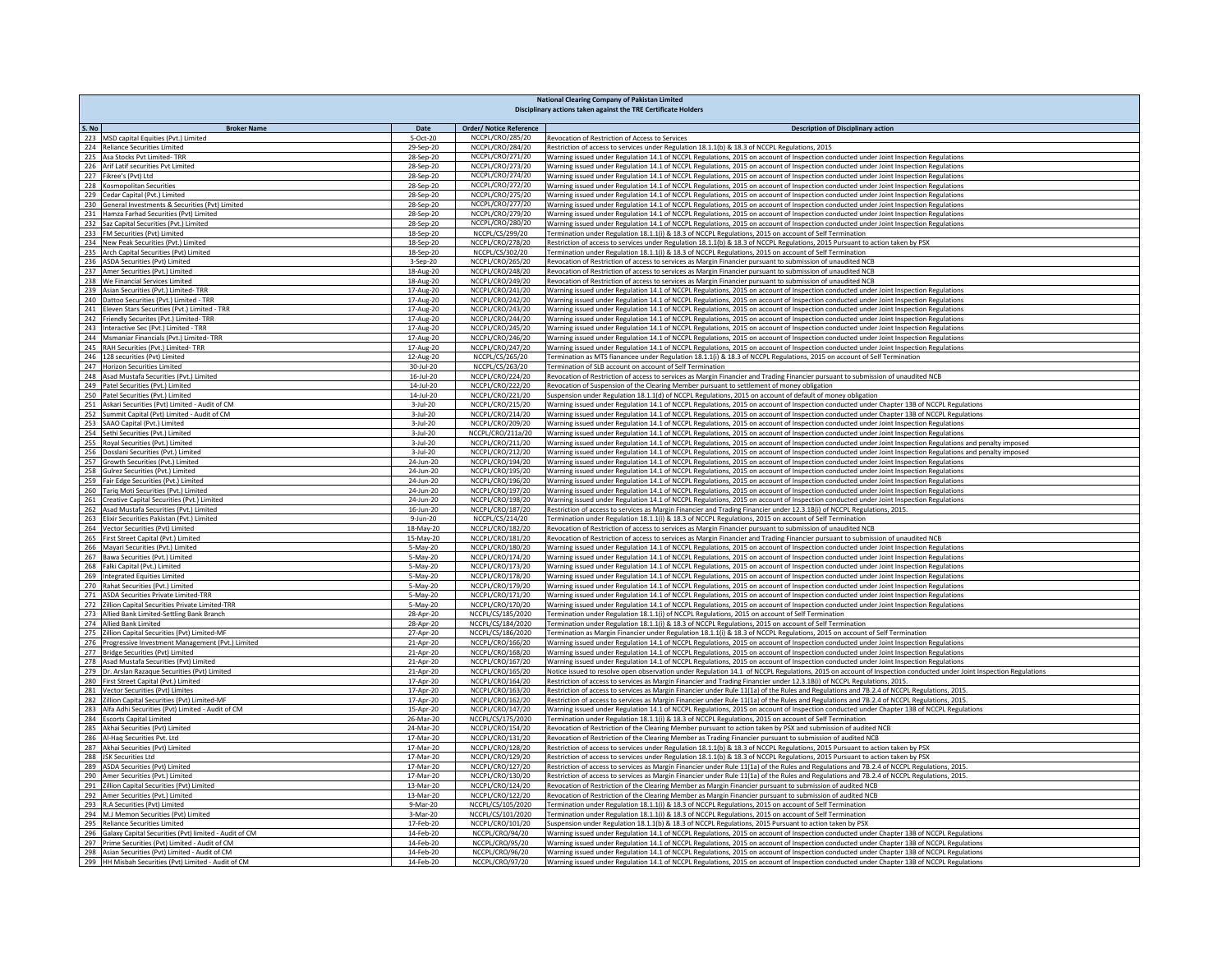|       | <b>National Clearing Company of Pakistan Limited</b><br>Disciplinary actions taken against the TRE Certificate Holders |                        |                                                    |                                                                                                                                                                                                                                                                                                    |  |  |
|-------|------------------------------------------------------------------------------------------------------------------------|------------------------|----------------------------------------------------|----------------------------------------------------------------------------------------------------------------------------------------------------------------------------------------------------------------------------------------------------------------------------------------------------|--|--|
|       |                                                                                                                        |                        |                                                    |                                                                                                                                                                                                                                                                                                    |  |  |
| S. No | <b>Broker Name</b><br>223 MSD capital Equities (Pvt.) Limited                                                          | Date<br>5-Oct-20       | <b>Order/ Notice Reference</b><br>NCCPL/CRO/285/20 | <b>Description of Disciplinary action</b><br>Revocation of Restriction of Access to Services                                                                                                                                                                                                       |  |  |
|       | 224 Reliance Securities Limited                                                                                        | 29-Sep-20              | NCCPL/CRO/284/20                                   | Restriction of access to services under Regulation 18.1.1(b) & 18.3 of NCCPL Regulations, 2015                                                                                                                                                                                                     |  |  |
|       | 225 Asa Stocks Pvt Limited- TRR                                                                                        | 28-Sep-20              | NCCPL/CRO/271/20                                   | Warning issued under Regulation 14.1 of NCCPL Regulations, 2015 on account of Inspection conducted under Joint Inspection Regulations                                                                                                                                                              |  |  |
|       | 226 Arif Latif securities Pvt Limited                                                                                  | 28-Sep-20              | NCCPL/CRO/273/20                                   | Warning issued under Regulation 14.1 of NCCPL Regulations, 2015 on account of Inspection conducted under Joint Inspection Regulations                                                                                                                                                              |  |  |
|       | 227 Fikree's (Pvt) Ltd                                                                                                 | 28-Sep-20              | NCCPL/CRO/274/20                                   | Warning issued under Regulation 14.1 of NCCPL Regulations, 2015 on account of Inspection conducted under Joint Inspection Regulations                                                                                                                                                              |  |  |
|       | 228 Kosmopolitan Securities<br>229 Cedar Capital (Pvt.) Limited                                                        | 28-Sep-20<br>28-Sep-20 | NCCPL/CRO/272/20<br>NCCPL/CRO/275/20               | Warning issued under Regulation 14.1 of NCCPL Regulations, 2015 on account of Inspection conducted under Joint Inspection Regulations<br>Warning issued under Regulation 14.1 of NCCPL Regulations, 2015 on account of Inspection conducted under Joint Inspection Regulations                     |  |  |
|       | 230 General Investments & Securities (Pvt) Limited                                                                     | 28-Sep-20              | NCCPL/CRO/277/20                                   | Warning issued under Regulation 14.1 of NCCPL Regulations, 2015 on account of Inspection conducted under Joint Inspection Regulations                                                                                                                                                              |  |  |
|       | 231 Hamza Farhad Securities (Pvt) Limited                                                                              | 28-Sep-20              | NCCPL/CRO/279/20                                   | Warning issued under Regulation 14.1 of NCCPL Regulations, 2015 on account of Inspection conducted under Joint Inspection Regulations                                                                                                                                                              |  |  |
|       | 232 Saz Capital Securities (Pvt.) Limited                                                                              | 28-Sep-20              | NCCPL/CRO/280/20                                   | Warning issued under Regulation 14.1 of NCCPL Regulations, 2015 on account of Inspection conducted under Joint Inspection Regulations                                                                                                                                                              |  |  |
|       | 233 FM Securities (Pvt) Limited                                                                                        | 18-Sep-20              | NCCPL/CS/299/20                                    | Termination under Regulation 18.1.1(i) & 18.3 of NCCPL Regulations, 2015 on account of Self Termination                                                                                                                                                                                            |  |  |
| 235   | 234 New Peak Securities (Pvt.) Limited<br>Arch Capital Securities (Pvt) Limited                                        | 18-Sep-20<br>18-Sep-20 | NCCPL/CRO/278/20<br>NCCPL/CS/302/20                | Restriction of access to services under Regulation 18.1.1(b) & 18.3 of NCCPL Regulations, 2015 Pursuant to action taken by PSX<br>Termination under Regulation 18.1.1(i) & 18.3 of NCCPL Regulations, 2015 on account of Self Termination                                                          |  |  |
|       | 236 ASDA Securities (Pvt) Limited                                                                                      | 3-Sep-20               | NCCPL/CRO/265/20                                   | Revocation of Restriction of access to services as Margin Financier pursuant to submission of unaudited NCB                                                                                                                                                                                        |  |  |
|       | 237 Amer Securities (Pvt.) Limited                                                                                     | 18-Aug-20              | NCCPL/CRO/248/20                                   | Revocation of Restriction of access to services as Margin Financier pursuant to submission of unaudited NCB                                                                                                                                                                                        |  |  |
|       | 238 We Financial Services Limited                                                                                      | 18-Aug-20              | NCCPL/CRO/249/20                                   | Revocation of Restriction of access to services as Margin Financier pursuant to submission of unaudited NCB                                                                                                                                                                                        |  |  |
|       | 239 Asian Securities (Pvt.) Limited-TRR                                                                                | 17-Aug-20              | NCCPL/CRO/241/20                                   | Warning issued under Regulation 14.1 of NCCPL Regulations, 2015 on account of Inspection conducted under Joint Inspection Regulations                                                                                                                                                              |  |  |
|       | 240 Dattoo Securities (Pvt.) Limited - TRR                                                                             | 17-Aug-20              | NCCPL/CRO/242/20                                   | Warning issued under Regulation 14.1 of NCCPL Regulations, 2015 on account of Inspection conducted under Joint Inspection Regulations                                                                                                                                                              |  |  |
|       | 241 Eleven Stars Securities (Pvt.) Limited - TRR<br>242 Friendly Securites (Pvt.) Limited-TRR                          | 17-Aug-20<br>17-Aug-20 | NCCPL/CRO/243/20<br>NCCPL/CRO/244/20               | Warning issued under Regulation 14.1 of NCCPL Regulations, 2015 on account of Inspection conducted under Joint Inspection Regulations<br>Warning issued under Regulation 14.1 of NCCPL Regulations, 2015 on account of Inspection conducted under Joint Inspection Regulations                     |  |  |
|       | 243 Interactive Sec (Pvt.) Limited - TRR                                                                               | 17-Aug-20              | NCCPL/CRO/245/20                                   | Warning issued under Regulation 14.1 of NCCPL Regulations, 2015 on account of Inspection conducted under Joint Inspection Regulations                                                                                                                                                              |  |  |
|       | 244 Msmaniar Financials (Pvt.) Limited-TRR                                                                             | 17-Aug-20              | NCCPL/CRO/246/20                                   | Warning issued under Regulation 14.1 of NCCPL Regulations, 2015 on account of Inspection conducted under Joint Inspection Regulations                                                                                                                                                              |  |  |
|       | 245 RAH Securities (Pvt.) Limited- TRR                                                                                 | 17-Aug-20              | NCCPL/CRO/247/20                                   | Warning issued under Regulation 14.1 of NCCPL Regulations, 2015 on account of Inspection conducted under Joint Inspection Regulations                                                                                                                                                              |  |  |
|       | 246 128 securities (Pvt) Limited                                                                                       | 12-Aug-20              | NCCPL/CS/265/20                                    | Termination as MTS fianancee under Regulation 18.1.1(i) & 18.3 of NCCPL Regulations, 2015 on account of Self Termination                                                                                                                                                                           |  |  |
|       | 247 Horizon Securities Limited                                                                                         | 30-Jul-20              | NCCPL/CS/263/20                                    | Termination of SLB account on account of Self Termination                                                                                                                                                                                                                                          |  |  |
|       | 248 Asad Mustafa Securities (Pvt.) Limited<br>249 Patel Securities (Pvt.) Limited                                      | 16-Jul-20<br>14-Jul-20 | NCCPL/CRO/224/20<br>NCCPL/CRO/222/20               | Revocation of Restriction of access to services as Margin Financier and Trading Financier pursuant to submission of unaudited NCB<br>Revocation of Suspension of the Clearing Member pursuant to settlement of money obligation                                                                    |  |  |
|       | 250 Patel Securities (Pvt.) Limited                                                                                    | 14-Jul-20              | NCCPL/CRO/221/20                                   | Suspension under Regulation 18.1.1(d) of NCCPL Regulations, 2015 on account of default of money obligation                                                                                                                                                                                         |  |  |
|       | 251 Askari Securities (Pvt) Limited - Audit of CM                                                                      | 3-Jul-20               | NCCPL/CRO/215/20                                   | Warning issued under Regulation 14.1 of NCCPL Regulations, 2015 on account of Inspection conducted under Chapter 13B of NCCPL Regulations                                                                                                                                                          |  |  |
|       | 252 Summit Capital (Pvt) Limited - Audit of CM                                                                         | 3-Jul-20               | NCCPL/CRO/214/20                                   | Warning issued under Regulation 14.1 of NCCPL Regulations, 2015 on account of Inspection conducted under Chapter 13B of NCCPL Regulations                                                                                                                                                          |  |  |
|       | 253 SAAO Capital (Pvt.) Limited                                                                                        | 3-Jul-20               | NCCPL/CRO/209/20                                   | Warning issued under Regulation 14.1 of NCCPL Regulations, 2015 on account of Inspection conducted under Joint Inspection Regulations                                                                                                                                                              |  |  |
|       | 254 Sethi Securities (Pvt.) Limited                                                                                    | 3-Jul-20               | NCCPL/CRO/211a/20                                  | Warning issued under Regulation 14.1 of NCCPL Regulations, 2015 on account of Inspection conducted under Joint Inspection Regulations                                                                                                                                                              |  |  |
|       | 255 Royal Securities (Pvt.) Limited<br>256 Dosslani Securities (Pvt.) Limited                                          | 3-Jul-20               | NCCPL/CRO/211/20<br>NCCPL/CRO/212/20               | Warning issued under Regulation 14.1 of NCCPL Regulations, 2015 on account of Inspection conducted under Joint Inspection Regulations and penalty imposed                                                                                                                                          |  |  |
|       | 257 Growth Securities (Pvt.) Limited                                                                                   | 3-Jul-20<br>24-Jun-20  | NCCPL/CRO/194/20                                   | Warning issued under Regulation 14.1 of NCCPL Regulations, 2015 on account of Inspection conducted under Joint Inspection Regulations and penalty imposed<br>Warning issued under Regulation 14.1 of NCCPL Regulations, 2015 on account of Inspection conducted under Joint Inspection Regulations |  |  |
|       | 258 Gulrez Securities (Pvt.) Limited                                                                                   | 24-Jun-20              | NCCPL/CRO/195/20                                   | Warning issued under Regulation 14.1 of NCCPL Regulations, 2015 on account of Inspection conducted under Joint Inspection Regulations                                                                                                                                                              |  |  |
|       | 259 Fair Edge Securities (Pvt.) Limited                                                                                | 24-Jun-20              | NCCPL/CRO/196/20                                   | Warning issued under Regulation 14.1 of NCCPL Regulations, 2015 on account of Inspection conducted under Joint Inspection Regulations                                                                                                                                                              |  |  |
|       | 260 Tariq Moti Securities (Pvt.) Limited                                                                               | 24-Jun-20              | NCCPL/CRO/197/20                                   | Warning issued under Regulation 14.1 of NCCPL Regulations, 2015 on account of Inspection conducted under Joint Inspection Regulations                                                                                                                                                              |  |  |
|       | 261 Creative Capital Securities (Pvt.) Limited                                                                         | 24-Jun-20              | NCCPL/CRO/198/20                                   | Warning issued under Regulation 14.1 of NCCPL Regulations, 2015 on account of Inspection conducted under Joint Inspection Regulations                                                                                                                                                              |  |  |
|       | 262 Asad Mustafa Securities (Pvt.) Limited<br>263 Elixir Securities Pakistan (Pvt.) Limited                            | 16-Jun-20              | NCCPL/CRO/187/20<br>NCCPL/CS/214/20                | Restriction of access to services as Margin Financier and Trading Financier under 12.3.1B(i) of NCCPL Regulations, 2015<br>Termination under Regulation 18.1.1(i) & 18.3 of NCCPL Regulations, 2015 on account of Self Termination                                                                 |  |  |
|       | 264 Vector Securities (Pvt) Limited                                                                                    | 9-Jun-20<br>18-May-20  | NCCPL/CRO/182/20                                   | Revocation of Restriction of access to services as Margin Financier pursuant to submission of unaudited NCB                                                                                                                                                                                        |  |  |
|       | 265 First Street Capital (Pvt.) Limited                                                                                | 15-May-20              | NCCPL/CRO/181/20                                   | Revocation of Restriction of access to services as Margin Financier and Trading Financier pursuant to submission of unaudited NCB                                                                                                                                                                  |  |  |
|       | 266 Mayari Securities (Pvt.) Limited                                                                                   | 5-May-20               | NCCPL/CRO/180/20                                   | Warning issued under Regulation 14.1 of NCCPL Regulations, 2015 on account of Inspection conducted under Joint Inspection Regulations                                                                                                                                                              |  |  |
|       | 267 Bawa Securities (Pvt.) Limited                                                                                     | 5-May-20               | NCCPL/CRO/174/20                                   | Warning issued under Regulation 14.1 of NCCPL Regulations, 2015 on account of Inspection conducted under Joint Inspection Regulations                                                                                                                                                              |  |  |
|       | 268 Falki Capital (Pvt.) Limited                                                                                       | 5-May-20               | NCCPL/CRO/173/20                                   | Warning issued under Regulation 14.1 of NCCPL Regulations, 2015 on account of Inspection conducted under Joint Inspection Regulations                                                                                                                                                              |  |  |
|       | 269 Integrated Equities Limited<br>270 Rahat Securities (Pvt.) Limited                                                 | 5-May-20<br>5-May-20   | NCCPL/CRO/178/20<br>NCCPL/CRO/179/20               | Warning issued under Regulation 14.1 of NCCPL Regulations, 2015 on account of Inspection conducted under Joint Inspection Regulations<br>Warning issued under Regulation 14.1 of NCCPL Regulations, 2015 on account of Inspection conducted under Joint Inspection Regulations                     |  |  |
|       | 271 ASDA Securities Private Limited-TRR                                                                                | 5-May-20               | NCCPL/CRO/171/20                                   | Warning issued under Regulation 14.1 of NCCPL Regulations, 2015 on account of Inspection conducted under Joint Inspection Regulations                                                                                                                                                              |  |  |
|       | 272 Zillion Capital Securities Private Limited-TRR                                                                     | 5-May-20               | NCCPL/CRO/170/20                                   | Warning issued under Regulation 14.1 of NCCPL Regulations, 2015 on account of Inspection conducted under Joint Inspection Regulations                                                                                                                                                              |  |  |
|       | 273 Allied Bank Limited-Settling Bank Branch                                                                           | 28-Apr-20              | NCCPL/CS/185/2020                                  | Termination under Regulation 18.1.1(i) of NCCPL Regulations, 2015 on account of Self Termination                                                                                                                                                                                                   |  |  |
|       | 274 Allied Bank Limited                                                                                                | 28-Apr-20              | NCCPL/CS/184/2020                                  | Termination under Regulation 18.1.1(i) & 18.3 of NCCPL Regulations, 2015 on account of Self Termination                                                                                                                                                                                            |  |  |
|       | 275 Zillion Capital Securities (Pvt) Limited-MF                                                                        | 27-Apr-20              | NCCPL/CS/186/2020                                  | Termination as Margin Financier under Regulation 18.1.1(i) & 18.3 of NCCPL Regulations, 2015 on account of Self Termination                                                                                                                                                                        |  |  |
|       | 276 Progressive Investment Management (Pvt.) Limited<br>277 Bridge Securities (Pvt) Limited                            | 21-Apr-20<br>21-Apr-20 | NCCPL/CRO/166/20<br>NCCPL/CRO/168/20               | Warning issued under Regulation 14.1 of NCCPL Regulations, 2015 on account of Inspection conducted under Joint Inspection Regulations<br>Warning issued under Regulation 14.1 of NCCPL Regulations, 2015 on account of Inspection conducted under Joint Inspection Regulations                     |  |  |
|       | 278 Asad Mustafa Securities (Pvt) Limited                                                                              | 21-Apr-20              | NCCPL/CRO/167/20                                   | Warning issued under Regulation 14.1 of NCCPL Regulations, 2015 on account of Inspection conducted under Joint Inspection Regulations                                                                                                                                                              |  |  |
|       | 279 Dr. Arslan Razaque Securities (Pvt) Limited                                                                        | 21-Apr-20              | NCCPL/CRO/165/20                                   | Notice issued to resolve open observation under Regulation 14.1 of NCCPL Regulations, 2015 on account of Inspection conducted under Joint Inspection Regulations                                                                                                                                   |  |  |
|       | 280 First Street Capital (Pvt.) Limited                                                                                | 17-Apr-20              | NCCPL/CRO/164/20                                   | Restriction of access to services as Margin Financier and Trading Financier under 12.3.1B(i) of NCCPL Regulations, 2015.                                                                                                                                                                           |  |  |
|       | 281 Vector Securities (Pvt) Limites                                                                                    | 17-Apr-20              | NCCPL/CRO/163/20                                   | Restriction of access to services as Margin Financier under Rule 11(1a) of the Rules and Regulations and 7B.2.4 of NCCPL Regulations, 2015                                                                                                                                                         |  |  |
|       | 282 Zillion Capital Securities (Pvt) Limited-MF                                                                        | 17-Apr-20              | NCCPL/CRO/162/20                                   | Restriction of access to services as Margin Financier under Rule 11(1a) of the Rules and Regulations and 7B.2.4 of NCCPL Regulations, 2015.                                                                                                                                                        |  |  |
|       | 283 Alfa Adhi Securities (Pvt) Limited - Audit of CM<br>284 Escorts Capital Limited                                    | 15-Apr-20<br>26-Mar-20 | NCCPL/CRO/147/20<br>NCCPL/CS/175/2020              | Warning issued under Regulation 14.1 of NCCPL Regulations, 2015 on account of Inspection conducted under Chapter 13B of NCCPL Regulations<br>Termination under Regulation 18.1.1(i) & 18.3 of NCCPL Regulations, 2015 on account of Self Termination                                               |  |  |
|       | 285 Akhai Securities (Pvt) Limited                                                                                     | 24-Mar-20              | NCCPL/CRO/154/20                                   | Revocation of Restriction of the Clearing Member pursuant to action taken by PSX and submission of audited NCB                                                                                                                                                                                     |  |  |
|       | 286 Al-Haq Securities Pvt. Ltd                                                                                         | 17-Mar-20              | NCCPL/CRO/131/20                                   | Revocation of Restriction of the Clearing Member as Trading Financier pursuant to submission of audited NCB                                                                                                                                                                                        |  |  |
|       | 287 Akhai Securities (Pvt) Limited                                                                                     | 17-Mar-20              | NCCPL/CRO/128/20                                   | Restriction of access to services under Regulation 18.1.1(b) & 18.3 of NCCPL Regulations, 2015 Pursuant to action taken by PSX                                                                                                                                                                     |  |  |
|       | 288 JSK Securities Ltd                                                                                                 | 17-Mar-20              | NCCPL/CRO/129/20                                   | Restriction of access to services under Regulation 18.1.1(b) & 18.3 of NCCPL Regulations, 2015 Pursuant to action taken by PSX                                                                                                                                                                     |  |  |
|       | 289 ASDA Securities (Pvt) Limited                                                                                      | 17-Mar-20              | NCCPL/CRO/127/20                                   | Restriction of access to services as Margin Financier under Rule 11(1a) of the Rules and Regulations and 7B.2.4 of NCCPL Regulations, 2015.                                                                                                                                                        |  |  |
|       | 290 Amer Securities (Pvt.) Limited<br>291 Zillion Capital Securities (Pvt) Limited                                     | 17-Mar-20<br>13-Mar-20 | NCCPL/CRO/130/20<br>NCCPL/CRO/124/20               | Restriction of access to services as Margin Financier under Rule 11(1a) of the Rules and Regulations and 7B.2.4 of NCCPL Regulations, 2015.<br>Revocation of Restriction of the Clearing Member as Margin Financier pursuant to submission of audited NCB                                          |  |  |
|       | 292 Amer Securities (Pvt.) Limited                                                                                     | 13-Mar-20              | NCCPL/CRO/122/20                                   | Revocation of Restriction of the Clearing Member as Margin Financier pursuant to submission of audited NCB                                                                                                                                                                                         |  |  |
|       | 293 R.A Securities (Pvt) Limited                                                                                       | 9-Mar-20               | NCCPL/CS/105/2020                                  | Termination under Regulation 18.1.1(i) & 18.3 of NCCPL Regulations, 2015 on account of Self Termination                                                                                                                                                                                            |  |  |
|       | 294 M.J Memon Securities (Pvt) Limited                                                                                 | 3-Mar-20               | NCCPL/CS/101/2020                                  | Termination under Regulation 18.1.1(i) & 18.3 of NCCPL Regulations, 2015 on account of Self Termination                                                                                                                                                                                            |  |  |
|       | 295 Reliance Securities Limited                                                                                        | 17-Feb-20              | NCCPL/CRO/101/20                                   | Suspension under Regulation 18.1.1(b) & 18.3 of NCCPL Regulations, 2015 Pursuant to action taken by PSX                                                                                                                                                                                            |  |  |
|       | 296 Galaxy Capital Securities (Pvt) limited - Audit of CM                                                              | 14-Feb-20              | NCCPL/CRO/94/20                                    | Warning issued under Regulation 14.1 of NCCPL Regulations, 2015 on account of Inspection conducted under Chapter 13B of NCCPL Regulations                                                                                                                                                          |  |  |
|       | 297 Prime Securities (Pvt) Limited - Audit of CM<br>298 Asian Securities (Pvt) Limited - Audit of CM                   | 14-Feb-20<br>14-Feb-20 | NCCPL/CRO/95/20<br>NCCPL/CRO/96/20                 | Warning issued under Regulation 14.1 of NCCPL Regulations, 2015 on account of Inspection conducted under Chapter 13B of NCCPL Regulations<br>Warning issued under Regulation 14.1 of NCCPL Regulations, 2015 on account of Inspection conducted under Chapter 13B of NCCPL Regulations             |  |  |
|       | 299 HH Misbah Securities (Pvt) Limited - Audit of CM                                                                   | 14-Feb-20              | NCCPL/CRO/97/20                                    | Warning issued under Regulation 14.1 of NCCPL Regulations, 2015 on account of Inspection conducted under Chapter 13B of NCCPL Regulations                                                                                                                                                          |  |  |
|       |                                                                                                                        |                        |                                                    |                                                                                                                                                                                                                                                                                                    |  |  |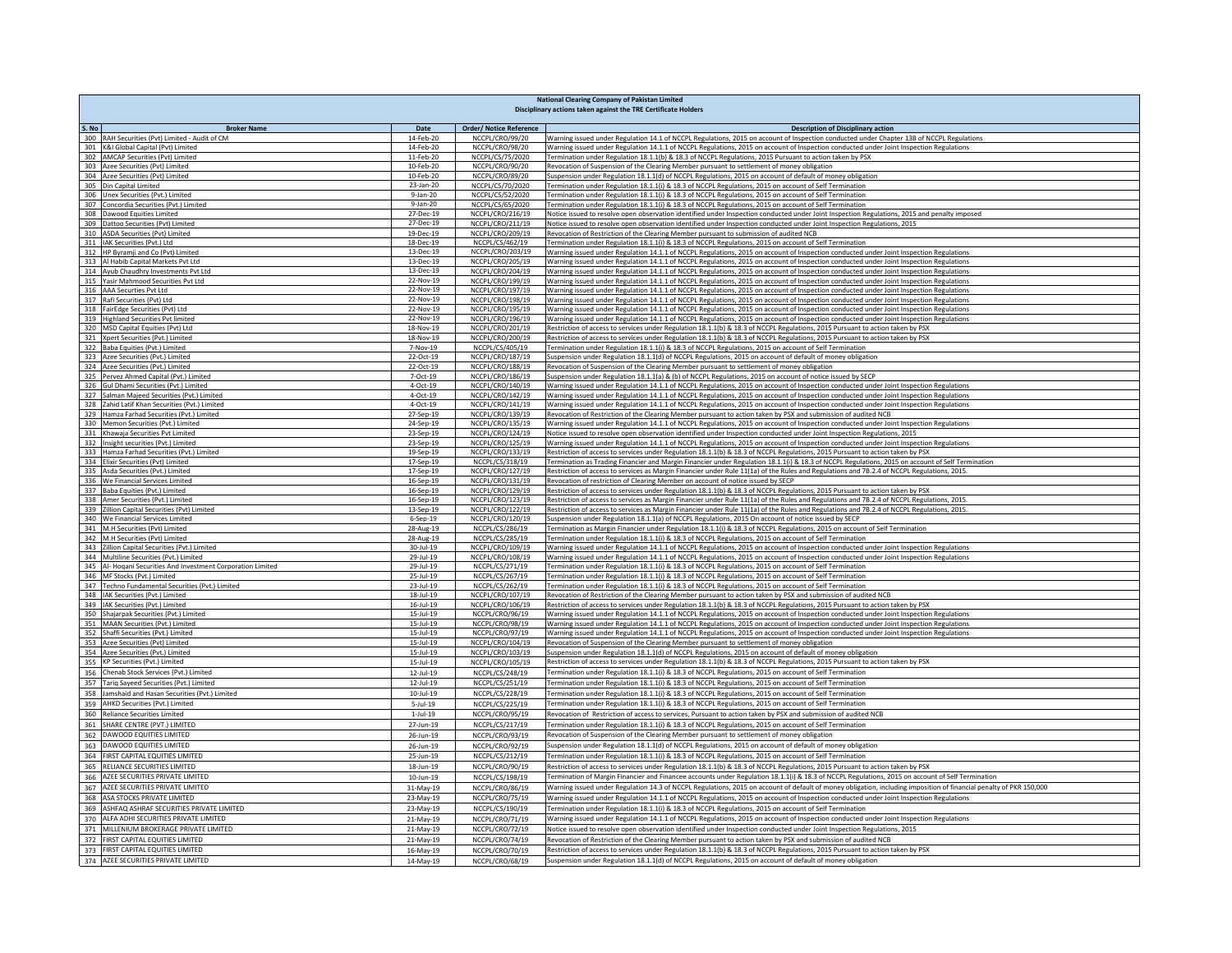|                                                                                  | <b>National Clearing Company of Pakistan Limited</b> |                                      |                                                                                                                                                                                                                                                                                    |  |  |
|----------------------------------------------------------------------------------|------------------------------------------------------|--------------------------------------|------------------------------------------------------------------------------------------------------------------------------------------------------------------------------------------------------------------------------------------------------------------------------------|--|--|
|                                                                                  |                                                      |                                      | Disciplinary actions taken against the TRE Certificate Holders                                                                                                                                                                                                                     |  |  |
| S. No<br><b>Broker Name</b>                                                      | Date                                                 | <b>Order/ Notice Reference</b>       | <b>Description of Disciplinary action</b>                                                                                                                                                                                                                                          |  |  |
| 300 RAH Securities (Pvt) Limited - Audit of CM                                   | 14-Feb-20                                            | NCCPL/CRO/99/20                      | Warning issued under Regulation 14.1 of NCCPL Regulations, 2015 on account of Inspection conducted under Chapter 13B of NCCPL Regulations                                                                                                                                          |  |  |
| 301 K&I Global Capital (Pvt) Limited                                             | 14-Feb-20                                            | NCCPL/CRO/98/20                      | Warning issued under Regulation 14.1.1 of NCCPL Regulations, 2015 on account of Inspection conducted under Joint Inspection Regulations                                                                                                                                            |  |  |
| 302 AMCAP Securities (Pvt) Limited                                               | 11-Feb-20                                            | NCCPL/CS/75/2020                     | Termination under Regulation 18.1.1(b) & 18.3 of NCCPL Regulations, 2015 Pursuant to action taken by PSX                                                                                                                                                                           |  |  |
| 303 Azee Securities (Pvt) Limited<br>304 Azee Securities (Pvt) Limited           | 10-Feb-20<br>10-Feb-20                               | NCCPL/CRO/90/20<br>NCCPL/CRO/89/20   | Revocation of Suspension of the Clearing Member pursuant to settlement of money obligation<br>Suspension under Regulation 18.1.1(d) of NCCPL Regulations, 2015 on account of default of money obligation                                                                           |  |  |
| 305 Din Capital Limited                                                          | 23-Jan-20                                            | NCCPL/CS/70/2020                     | Termination under Regulation 18.1.1(i) & 18.3 of NCCPL Regulations, 2015 on account of Self Termination                                                                                                                                                                            |  |  |
| 306 Unex Securities (Pvt.) Limited                                               | $9-Jan-20$                                           | NCCPL/CS/52/2020                     | Termination under Regulation 18.1.1(i) & 18.3 of NCCPL Regulations, 2015 on account of Self Termination                                                                                                                                                                            |  |  |
| 307 Concordia Securities (Pvt.) Limited                                          | 9-Jan-20                                             | NCCPL/CS/65/2020                     | Termination under Regulation 18.1.1(i) & 18.3 of NCCPL Regulations, 2015 on account of Self Termination                                                                                                                                                                            |  |  |
| 308 Dawood Equities Limited                                                      | 27-Dec-19                                            | NCCPL/CRO/216/19                     | Notice issued to resolve open observation identified under Inspection conducted under Joint Inspection Regulations, 2015 and penalty imposed                                                                                                                                       |  |  |
| 309 Dattoo Securities (Pvt) Limited                                              | 27-Dec-19                                            | NCCPL/CRO/211/19                     | Notice issued to resolve open observation identified under Inspection conducted under Joint Inspection Regulations, 2015                                                                                                                                                           |  |  |
| 310 ASDA Securities (Pvt) Limited                                                | 19-Dec-19                                            | NCCPL/CRO/209/19                     | Revocation of Restriction of the Clearing Member pursuant to submission of audited NCB                                                                                                                                                                                             |  |  |
| 311 IAK Securities (Pvt.) Ltd                                                    | 18-Dec-19                                            | NCCPL/CS/462/19                      | Termination under Regulation 18.1.1(i) & 18.3 of NCCPL Regulations, 2015 on account of Self Termination                                                                                                                                                                            |  |  |
| 312 HP Byramji and Co (Pvt) Limited                                              | 13-Dec-19<br>13-Dec-19                               | NCCPL/CRO/203/19                     | Warning issued under Regulation 14.1.1 of NCCPL Regulations, 2015 on account of Inspection conducted under Joint Inspection Regulations                                                                                                                                            |  |  |
| 313 Al Habib Capital Markets Pvt Ltd<br>314 Ayub Chaudhry Investments Pvt Ltd    | 13-Dec-19                                            | NCCPL/CRO/205/19<br>NCCPL/CRO/204/19 | Warning issued under Regulation 14.1.1 of NCCPL Regulations, 2015 on account of Inspection conducted under Joint Inspection Regulations<br>Warning issued under Regulation 14.1.1 of NCCPL Regulations, 2015 on account of Inspection conducted under Joint Inspection Regulations |  |  |
| 315 Yasir Mahmood Securities Pvt Ltd                                             | 22-Nov-19                                            | NCCPL/CRO/199/19                     | Warning issued under Regulation 14.1.1 of NCCPL Regulations, 2015 on account of Inspection conducted under Joint Inspection Regulations                                                                                                                                            |  |  |
| 316 AAA Securties Pvt Ltd                                                        | 22-Nov-19                                            | NCCPL/CRO/197/19                     | Warning issued under Regulation 14.1.1 of NCCPL Regulations, 2015 on account of Inspection conducted under Joint Inspection Regulations                                                                                                                                            |  |  |
| 317 Rafi Securities (Pvt) Ltd                                                    | 22-Nov-19                                            | NCCPL/CRO/198/19                     | Warning issued under Regulation 14.1.1 of NCCPL Regulations, 2015 on account of Inspection conducted under Joint Inspection Regulations                                                                                                                                            |  |  |
| 318 FairEdge Securities (Pvt) Ltd                                                | 22-Nov-19                                            | NCCPL/CRO/195/19                     | Warning issued under Regulation 14.1.1 of NCCPL Regulations, 2015 on account of Inspection conducted under Joint Inspection Regulations                                                                                                                                            |  |  |
| 319 Highland Securities Pvt limited                                              | 22-Nov-19                                            | NCCPL/CRO/196/19                     | Warning issued under Regulation 14.1.1 of NCCPL Regulations, 2015 on account of Inspection conducted under Joint Inspection Regulations                                                                                                                                            |  |  |
| 320 MSD Capital Equities (Pvt) Ltd                                               | 18-Nov-19                                            | NCCPL/CRO/201/19                     | Restriction of access to services under Regulation 18.1.1(b) & 18.3 of NCCPL Regulations, 2015 Pursuant to action taken by PSX                                                                                                                                                     |  |  |
| 321 Xpert Securities (Pvt.) Limited                                              | 18-Nov-19                                            | NCCPL/CRO/200/19                     | Restriction of access to services under Regulation 18.1.1(b) & 18.3 of NCCPL Regulations, 2015 Pursuant to action taken by PSX                                                                                                                                                     |  |  |
| 322 Baba Equities (Pvt.) Limited                                                 | 7-Nov-19                                             | NCCPL/CS/405/19                      | Termination under Regulation 18.1.1(i) & 18.3 of NCCPL Regulations, 2015 on account of Self Termination                                                                                                                                                                            |  |  |
| 323 Azee Securities (Pvt.) Limited                                               | 22-Oct-19                                            | NCCPL/CRO/187/19                     | Suspension under Regulation 18.1.1(d) of NCCPL Regulations, 2015 on account of default of money obligation                                                                                                                                                                         |  |  |
| 324 Azee Securities (Pvt.) Limited<br>325 Pervez Ahmed Capital (Pvt.) Limited    | 22-Oct-19<br>7-Oct-19                                | NCCPL/CRO/188/19                     | Revocation of Suspension of the Clearing Member pursuant to settlement of money obligation<br>Suspension under Regulation 18.1.1(a) & (b) of NCCPL Regulations, 2015 on account of notice issued by SECP                                                                           |  |  |
| 326 Gul Dhami Securities (Pvt.) Limited                                          | 4-Oct-19                                             | NCCPL/CRO/186/19<br>NCCPL/CRO/140/19 | Warning issued under Regulation 14.1.1 of NCCPL Regulations, 2015 on account of Inspection conducted under Joint Inspection Regulations                                                                                                                                            |  |  |
| 327 Salman Majeed Securities (Pvt.) Limited                                      | 4-Oct-19                                             | NCCPL/CRO/142/19                     | Warning issued under Regulation 14.1.1 of NCCPL Regulations, 2015 on account of Inspection conducted under Joint Inspection Regulations                                                                                                                                            |  |  |
| 328 Zahid Latif Khan Securities (Pvt.) Limited                                   | 4-Oct-19                                             | NCCPL/CRO/141/19                     | Warning issued under Regulation 14.1.1 of NCCPL Regulations, 2015 on account of Inspection conducted under Joint Inspection Regulations                                                                                                                                            |  |  |
| 329 Hamza Farhad Securities (Pvt.) Limited                                       | 27-Sep-19                                            | NCCPL/CRO/139/19                     | Revocation of Restriction of the Clearing Member pursuant to action taken by PSX and submission of audited NCB                                                                                                                                                                     |  |  |
| 330 Memon Securities (Pvt.) Limited                                              | 24-Sep-19                                            | NCCPL/CRO/135/19                     | Warning issued under Regulation 14.1.1 of NCCPL Regulations, 2015 on account of Inspection conducted under Joint Inspection Regulations                                                                                                                                            |  |  |
| 331 Khawaja Securities Pvt Limited                                               | 23-Sep-19                                            | NCCPL/CRO/124/19                     | Notice issued to resolve open observation identified under Inspection conducted under Joint Inspection Regulations, 2015                                                                                                                                                           |  |  |
| 332 Insight securities (Pvt.) Limited                                            | 23-Sep-19                                            | NCCPL/CRO/125/19                     | Warning issued under Regulation 14.1.1 of NCCPL Regulations, 2015 on account of Inspection conducted under Joint Inspection Regulations                                                                                                                                            |  |  |
| 333 Hamza Farhad Securities (Pvt.) Limited                                       | 19-Sep-19                                            | NCCPL/CRO/133/19                     | Restriction of access to services under Regulation 18.1.1(b) & 18.3 of NCCPL Regulations, 2015 Pursuant to action taken by PSX                                                                                                                                                     |  |  |
| 334 Elixir Securities (Pvt) Limited                                              | 17-Sep-19                                            | NCCPL/CS/318/19                      | Termination as Trading Financier and Margin Financier under Regulation 18.1.1(i) & 18.3 of NCCPL Regulations, 2015 on account of Self Termination                                                                                                                                  |  |  |
| 335 Asda Securities (Pvt.) Limited                                               | 17-Sep-19                                            | NCCPL/CRO/127/19                     | Restriction of access to services as Margin Financier under Rule 11(1a) of the Rules and Regulations and 7B.2.4 of NCCPL Regulations, 2015.                                                                                                                                        |  |  |
| 336 We Financial Services Limited<br>337 Baba Equities (Pvt.) Limited            | 16-Sep-19<br>16-Sep-19                               | NCCPL/CRO/131/19<br>NCCPL/CRO/129/19 | Revocation of restriction of Clearing Member on account of notice issued by SECP<br>Restriction of access to services under Regulation 18.1.1(b) & 18.3 of NCCPL Regulations, 2015 Pursuant to action taken by PSX                                                                 |  |  |
| 338 Amer Securities (Pvt.) Limited                                               | 16-Sep-19                                            | NCCPL/CRO/123/19                     | Restriction of access to services as Margin Financier under Rule 11(1a) of the Rules and Regulations and 7B.2.4 of NCCPL Regulations, 2015.                                                                                                                                        |  |  |
| 339 Zillion Capital Securities (Pvt) Limited                                     | 13-Sep-19                                            | NCCPL/CRO/122/19                     | Restriction of access to services as Margin Financier under Rule 11(1a) of the Rules and Regulations and 7B.2.4 of NCCPL Regulations, 2015.                                                                                                                                        |  |  |
| 340 We Financial Services Limited                                                | 6-Sep-19                                             | NCCPL/CRO/120/19                     | Suspension under Regulation 18.1.1(a) of NCCPL Regulations, 2015 On account of notice issued by SECP                                                                                                                                                                               |  |  |
| 341 M.H Securities (Pvt) Limited                                                 | 28-Aug-19                                            | NCCPL/CS/286/19                      | Termination as Margin Financier under Regulation 18.1.1(i) & 18.3 of NCCPL Regulations, 2015 on account of Self Termination                                                                                                                                                        |  |  |
| 342 M.H Securities (Pvt) Limited                                                 | 28-Aug-19                                            | NCCPL/CS/285/19                      | Termination under Regulation 18.1.1(i) & 18.3 of NCCPL Regulations, 2015 on account of Self Termination                                                                                                                                                                            |  |  |
| 343 Zillion Capital Securities (Pvt.) Limited                                    | $30 -$ Jul-19                                        | NCCPL/CRO/109/19                     | Warning issued under Regulation 14.1.1 of NCCPL Regulations, 2015 on account of Inspection conducted under Joint Inspection Regulations                                                                                                                                            |  |  |
| 344 Multiline Securities (Pvt.) Limited                                          | 29-Jul-19                                            | NCCPL/CRO/108/19                     | Warning issued under Regulation 14.1.1 of NCCPL Regulations, 2015 on account of Inspection conducted under Joint Inspection Regulations                                                                                                                                            |  |  |
| 345 Al- Hoqani Securities And Investment Corporation Limited                     | 29-Jul-19                                            | NCCPL/CS/271/19                      | Termination under Regulation 18.1.1(i) & 18.3 of NCCPL Regulations, 2015 on account of Self Termination                                                                                                                                                                            |  |  |
| 346 MF Stocks (Pvt.) Limited<br>347 Techno Fundamental Securities (Pvt.) Limited | 25-Jul-19<br>23-Jul-19                               | NCCPL/CS/267/19<br>NCCPL/CS/262/19   | Termination under Regulation 18.1.1(i) & 18.3 of NCCPL Regulations, 2015 on account of Self Termination<br>Termination under Regulation 18.1.1(i) & 18.3 of NCCPL Regulations, 2015 on account of Self Termination                                                                 |  |  |
| 348   IAK Securities (Pvt.) Limited                                              | 18-Jul-19                                            | NCCPL/CRO/107/19                     | Revocation of Restriction of the Clearing Member pursuant to action taken by PSX and submission of audited NCB                                                                                                                                                                     |  |  |
| 349 IAK Securities (Pvt.) Limited                                                | 16-Jul-19                                            | NCCPL/CRO/106/19                     | Restriction of access to services under Regulation 18.1.1(b) & 18.3 of NCCPL Regulations, 2015 Pursuant to action taken by PSX                                                                                                                                                     |  |  |
| 350 Shajarpak Securities (Pvt.) Limited                                          | $15 - 10 - 19$                                       | NCCPL/CRO/96/19                      | Warning issued under Regulation 14.1.1 of NCCPL Regulations, 2015 on account of Inspection conducted under Joint Inspection Regulations                                                                                                                                            |  |  |
| 351 MAAN Securities (Pvt.) Limited                                               | 15-Jul-19                                            | NCCPL/CRO/98/19                      | Warning issued under Regulation 14.1.1 of NCCPL Regulations, 2015 on account of Inspection conducted under Joint Inspection Regulations                                                                                                                                            |  |  |
| 352 Shaffi Securities (Pvt.) Limited                                             | 15-Jul-19                                            | NCCPL/CRO/97/19                      | Warning issued under Regulation 14.1.1 of NCCPL Regulations, 2015 on account of Inspection conducted under Joint Inspection Regulations                                                                                                                                            |  |  |
| 353 Azee Securities (Pvt) Limited                                                | 15-Jul-19                                            | NCCPL/CRO/104/19                     | Revocation of Suspension of the Clearing Member pursuant to settlement of money obligation                                                                                                                                                                                         |  |  |
| 354 Azee Securities (Pvt.) Limited                                               | 15-Jul-19                                            | NCCPL/CRO/103/19                     | Suspension under Regulation 18.1.1(d) of NCCPL Regulations, 2015 on account of default of money obligation                                                                                                                                                                         |  |  |
| 355 KP Securities (Pvt.) Limited                                                 | 15-Jul-19                                            | NCCPL/CRO/105/19                     | Restriction of access to services under Regulation 18.1.1(b) & 18.3 of NCCPL Regulations, 2015 Pursuant to action taken by PSX                                                                                                                                                     |  |  |
| 356 Chenab Stock Services (Pvt.) Limited                                         | 12-Jul-19                                            | NCCPL/CS/248/19                      | Termination under Regulation 18.1.1(i) & 18.3 of NCCPL Regulations, 2015 on account of Self Termination                                                                                                                                                                            |  |  |
| 357 Tariq Sayeed Securities (Pvt.) Limited                                       | 12-Jul-19                                            | NCCPL/CS/251/19                      | Termination under Regulation 18.1.1(i) & 18.3 of NCCPL Regulations, 2015 on account of Self Termination                                                                                                                                                                            |  |  |
| 358 Jamshaid and Hasan Securities (Pvt.) Limited                                 | 10-Jul-19                                            | NCCPL/CS/228/19                      | Termination under Regulation 18.1.1(i) & 18.3 of NCCPL Regulations, 2015 on account of Self Termination                                                                                                                                                                            |  |  |
| 359 AHKD Securities (Pvt.) Limited<br>360 Reliance Securities Limited            | $5 -$ Jul $-19$                                      | NCCPL/CS/225/19                      | Termination under Regulation 18.1.1(i) & 18.3 of NCCPL Regulations, 2015 on account of Self Termination<br>Revocation of Restriction of access to services, Pursuant to action taken by PSX and submission of audited NCB                                                          |  |  |
| 361 SHARE CENTRE (PVT.) LIMITED                                                  | $1-Jul-19$                                           | NCCPL/CRO/95/19                      | Termination under Regulation 18.1.1(i) & 18.3 of NCCPL Regulations, 2015 on account of Self Termination                                                                                                                                                                            |  |  |
| 362 DAWOOD EQUITIES LIMITED                                                      | 27-Jun-19                                            | NCCPL/CS/217/19<br>NCCPL/CRO/93/19   | Revocation of Suspension of the Clearing Member pursuant to settlement of money obligation                                                                                                                                                                                         |  |  |
| 363 DAWOOD EQUITIES LIMITED                                                      | 26-Jun-19                                            |                                      | Suspension under Regulation 18.1.1(d) of NCCPL Regulations, 2015 on account of default of money obligation                                                                                                                                                                         |  |  |
| 364 FIRST CAPITAL EQUITIES LIMITED                                               | 26-Jun-19                                            | NCCPL/CRO/92/19                      |                                                                                                                                                                                                                                                                                    |  |  |
| 365 RELIANCE SECURITIES LIMITED                                                  | 25-Jun-19                                            | NCCPL/CS/212/19                      | Termination under Regulation 18.1.1(i) & 18.3 of NCCPL Regulations, 2015 on account of Self Termination<br>Restriction of access to services under Regulation 18.1.1(b) & 18.3 of NCCPL Regulations, 2015 Pursuant to action taken by PSX                                          |  |  |
|                                                                                  | 18-Jun-19                                            | NCCPL/CRO/90/19                      |                                                                                                                                                                                                                                                                                    |  |  |
| 366 AZEE SECURITIES PRIVATE LIMITED<br>367 AZEE SECURITIES PRIVATE LIMITED       | $10$ -Jun-19                                         | NCCPL/CS/198/19                      | Termination of Margin Financier and Financee accounts under Regulation 18.1.1(i) & 18.3 of NCCPL Regulations, 2015 on account of Self Termination                                                                                                                                  |  |  |
|                                                                                  | 31-May-19                                            | NCCPL/CRO/86/19                      | Warning issued under Regulation 14.3 of NCCPL Regulations, 2015 on account of default of money obligation, including imposition of financial penalty of PKR 150,000                                                                                                                |  |  |
| 368 ASA STOCKS PRIVATE LIMITED                                                   | 23-May-19                                            | NCCPL/CRO/75/19                      | Warning issued under Regulation 14.1.1 of NCCPL Regulations, 2015 on account of Inspection conducted under Joint Inspection Regulations                                                                                                                                            |  |  |
| 369 ASHFAQ ASHRAF SECURITIES PRIVATE LIMITED                                     | 23-May-19                                            | NCCPL/CS/190/19                      | Termination under Regulation 18.1.1(i) & 18.3 of NCCPL Regulations, 2015 on account of Self Termination                                                                                                                                                                            |  |  |
| 370 ALFA ADHI SECURITIES PRIVATE LIMITED                                         | 21-May-19                                            | NCCPL/CRO/71/19                      | Warning issued under Regulation 14.1.1 of NCCPL Regulations, 2015 on account of Inspection conducted under Joint Inspection Regulations                                                                                                                                            |  |  |
| 371 MILLENIUM BROKERAGE PRIVATE LIMITED                                          | 21-May-19                                            | NCCPL/CRO/72/19                      | Notice issued to resolve open observation identified under Inspection conducted under Joint Inspection Regulations, 2015                                                                                                                                                           |  |  |
| 372 FIRST CAPITAL EQUITIES LIMITED<br>373 FIRST CAPITAL EQUITIES LIMITED         | 21-May-19<br>16-May-19                               | NCCPL/CRO/74/19<br>NCCPL/CRO/70/19   | Revocation of Restriction of the Clearing Member pursuant to action taken by PSX and submission of audited NCB<br>Restriction of access to services under Regulation 18.1.1(b) & 18.3 of NCCPL Regulations, 2015 Pursuant to action taken by PSX                                   |  |  |
| 374 AZEE SECURITIES PRIVATE LIMITED                                              |                                                      |                                      | Suspension under Regulation 18.1.1(d) of NCCPL Regulations, 2015 on account of default of money obligation                                                                                                                                                                         |  |  |
|                                                                                  | 14-May-19                                            | NCCPL/CRO/68/19                      |                                                                                                                                                                                                                                                                                    |  |  |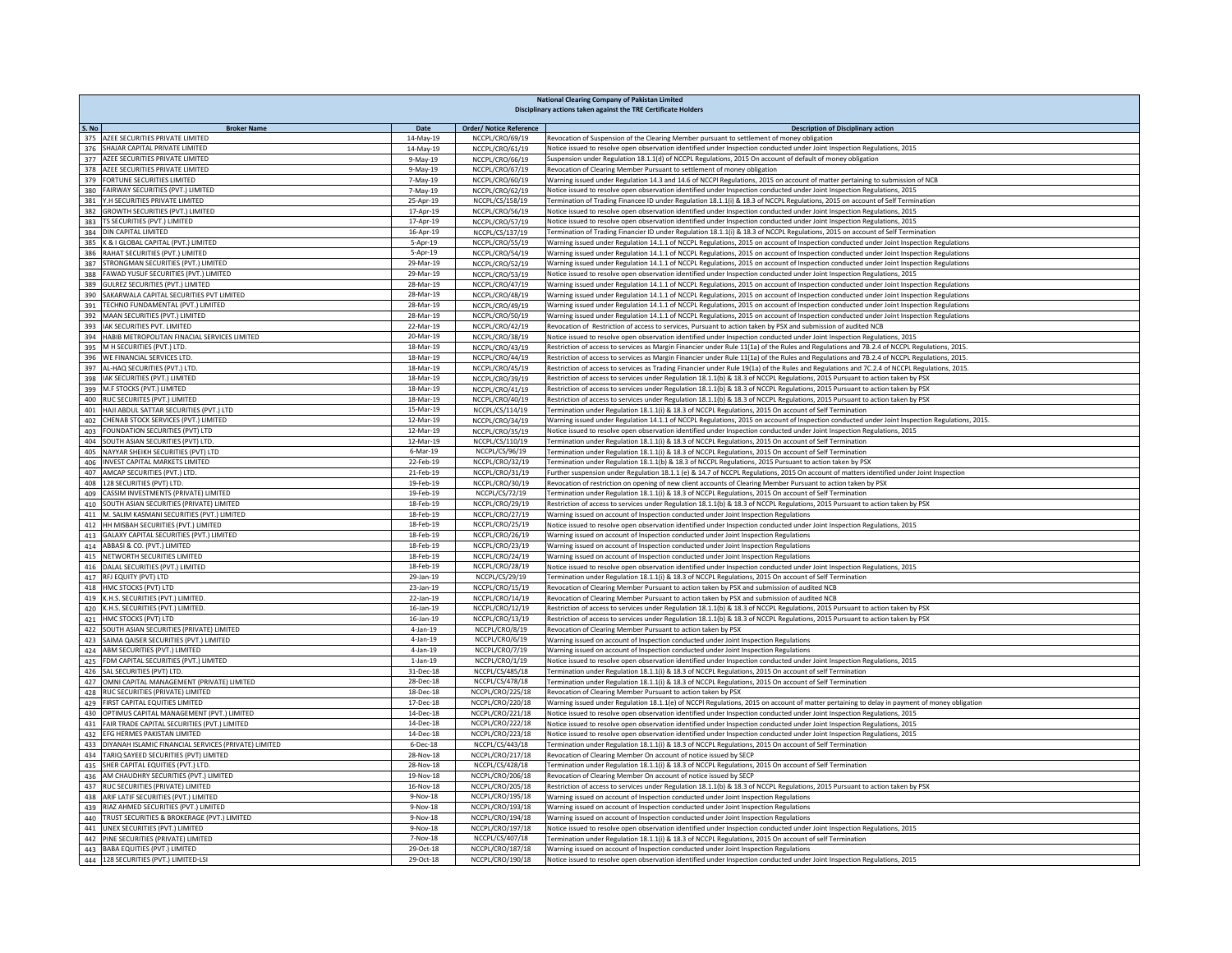|            | <b>National Clearing Company of Pakistan Limited</b><br>Disciplinary actions taken against the TRE Certificate Holders |                             |                                      |                                                                                                                                                                                                                                                                                |  |  |
|------------|------------------------------------------------------------------------------------------------------------------------|-----------------------------|--------------------------------------|--------------------------------------------------------------------------------------------------------------------------------------------------------------------------------------------------------------------------------------------------------------------------------|--|--|
| S. No      | <b>Broker Name</b>                                                                                                     | Date                        | <b>Order/ Notice Reference</b>       | <b>Description of Disciplinary action</b>                                                                                                                                                                                                                                      |  |  |
|            | 375 AZEE SECURITIES PRIVATE LIMITED                                                                                    | 14-May-19                   | NCCPL/CRO/69/19                      | Revocation of Suspension of the Clearing Member pursuant to settlement of money obligation                                                                                                                                                                                     |  |  |
|            | 376 SHAJAR CAPITAL PRIVATE LIMITED                                                                                     | 14-May-19                   | NCCPL/CRO/61/19                      | Notice issued to resolve open observation identified under Inspection conducted under Joint Inspection Regulations, 2015                                                                                                                                                       |  |  |
|            | 377 AZEE SECURITIES PRIVATE LIMITED                                                                                    | 9-May-19                    | NCCPL/CRO/66/19                      | Suspension under Regulation 18.1.1(d) of NCCPL Regulations, 2015 On account of default of money obligation                                                                                                                                                                     |  |  |
|            | 378 AZEE SECURITIES PRIVATE LIMITED                                                                                    | 9-May-19                    | NCCPL/CRO/67/19                      | Revocation of Clearing Member Pursuant to settlement of money obligation                                                                                                                                                                                                       |  |  |
|            | 379 FORTUNE SECURITIES LIMITED                                                                                         | 7-May-19                    | NCCPL/CRO/60/19                      | Warning issued under Regulation 14.3 and 14.6 of NCCPI Regulations, 2015 on account of matter pertaining to submission of NCB                                                                                                                                                  |  |  |
| 380        | FAIRWAY SECURITIES (PVT.) LIMITED<br>381 Y.H SECURITIES PRIVATE LIMITED                                                | 7-May-19<br>25-Apr-19       | NCCPL/CRO/62/19<br>NCCPL/CS/158/19   | Votice issued to resolve open observation identified under Inspection conducted under Joint Inspection Regulations, 2015<br>Termination of Trading Financee ID under Regulation 18.1.1(i) & 18.3 of NCCPL Regulations, 2015 on account of Self Termination                     |  |  |
| 382        | GROWTH SECURITIES (PVT.) LIMITED                                                                                       | 17-Apr-19                   | NCCPL/CRO/56/19                      | Notice issued to resolve open observation identified under Inspection conducted under Joint Inspection Regulations, 2015                                                                                                                                                       |  |  |
|            | 383 TS SECURITIES (PVT.) LIMITED                                                                                       | 17-Apr-19                   | NCCPL/CRO/57/19                      | Notice issued to resolve open observation identified under Inspection conducted under Joint Inspection Regulations, 2015                                                                                                                                                       |  |  |
|            | 384 DIN CAPITAL LIMITED                                                                                                | 16-Apr-19                   | NCCPL/CS/137/19                      | Termination of Trading Financier ID under Regulation 18.1.1(i) & 18.3 of NCCPL Regulations, 2015 on account of Self Termination                                                                                                                                                |  |  |
|            | 385 K & I GLOBAL CAPITAL (PVT.) LIMITED                                                                                | 5-Apr-19                    | NCCPL/CRO/55/19                      | Warning issued under Regulation 14.1.1 of NCCPL Regulations, 2015 on account of Inspection conducted under Joint Inspection Regulations                                                                                                                                        |  |  |
|            | 386 RAHAT SECURITIES (PVT.) LIMITED                                                                                    | 5-Apr-19                    | NCCPL/CRO/54/19                      | Warning issued under Regulation 14.1.1 of NCCPL Regulations, 2015 on account of Inspection conducted under Joint Inspection Regulations                                                                                                                                        |  |  |
|            | 387 STRONGMAN SECURITIES (PVT.) LIMITED                                                                                | 29-Mar-19<br>29-Mar-19      | NCCPL/CRO/52/19                      | Warning issued under Regulation 14.1.1 of NCCPL Regulations, 2015 on account of Inspection conducted under Joint Inspection Regulations                                                                                                                                        |  |  |
|            | 388 FAWAD YUSUF SECURITIES (PVT.) LIMITED<br>389 GULREZ SECURITIES (PVT.) LIMITED                                      | 28-Mar-19                   | NCCPL/CRO/53/19                      | Notice issued to resolve open observation identified under Inspection conducted under Joint Inspection Regulations, 2015<br>Warning issued under Regulation 14.1.1 of NCCPL Regulations, 2015 on account of Inspection conducted under Joint Inspection Regulations            |  |  |
|            | 390 SAKARWALA CAPITAL SECURITIES PVT LIMITED                                                                           | 28-Mar-19                   | NCCPL/CRO/47/19<br>NCCPL/CRO/48/19   | Warning issued under Regulation 14.1.1 of NCCPL Regulations, 2015 on account of Inspection conducted under Joint Inspection Regulations                                                                                                                                        |  |  |
|            | 391 TECHNO FUNDAMENTAL (PVT.) LIMITED                                                                                  | 28-Mar-19                   | NCCPL/CRO/49/19                      | Warning issued under Regulation 14.1.1 of NCCPL Regulations, 2015 on account of Inspection conducted under Joint Inspection Regulations                                                                                                                                        |  |  |
|            | 392 MAAN SECURITIES (PVT.) LIMITED                                                                                     | 28-Mar-19                   | NCCPL/CRO/50/19                      | Warning issued under Regulation 14.1.1 of NCCPL Regulations, 2015 on account of Inspection conducted under Joint Inspection Regulations                                                                                                                                        |  |  |
|            | 393 IAK SECURITIES PVT. LIMITED                                                                                        | 22-Mar-19                   | NCCPL/CRO/42/19                      | Revocation of Restriction of access to services, Pursuant to action taken by PSX and submission of audited NCB                                                                                                                                                                 |  |  |
|            | 394 HABIB METROPOLITAN FINACIAL SERVICES LIMITED                                                                       | 20-Mar-19                   | NCCPL/CRO/38/19                      | Notice issued to resolve open observation identified under Inspection conducted under Joint Inspection Regulations, 2015                                                                                                                                                       |  |  |
|            | 395 M H SECURITIES (PVT.) LTD.                                                                                         | 18-Mar-19                   | NCCPL/CRO/43/19                      | Restriction of access to services as Margin Financier under Rule 11(1a) of the Rules and Regulations and 7B.2.4 of NCCPL Regulations, 2015.                                                                                                                                    |  |  |
|            | 396 WE FINANCIAL SERVICES LTD.<br>397 AL-HAQ SECURITIES (PVT.) LTD.                                                    | 18-Mar-19                   | NCCPL/CRO/44/19                      | Restriction of access to services as Margin Financier under Rule 11(1a) of the Rules and Regulations and 7B.2.4 of NCCPL Regulations, 2015.                                                                                                                                    |  |  |
|            | 398   IAK SECURITIES (PVT.) LIMITED                                                                                    | 18-Mar-19<br>18-Mar-19      | NCCPL/CRO/45/19<br>NCCPL/CRO/39/19   | Restriction of access to services as Trading Financier under Rule 19(1a) of the Rules and Regulations and 7C.2.4 of NCCPL Regulations, 2015.<br>Restriction of access to services under Regulation 18.1.1(b) & 18.3 of NCCPL Regulations, 2015 Pursuant to action taken by PSX |  |  |
|            | 399 M.F STOCKS (PVT.) LIMITED                                                                                          | 18-Mar-19                   | NCCPL/CRO/41/19                      | Restriction of access to services under Regulation 18.1.1(b) & 18.3 of NCCPL Regulations, 2015 Pursuant to action taken by PSX                                                                                                                                                 |  |  |
|            | 400 RUC SECURITES (PVT.) LIMITED                                                                                       | 18-Mar-19                   | NCCPL/CRO/40/19                      | Restriction of access to services under Regulation 18.1.1(b) & 18.3 of NCCPL Regulations, 2015 Pursuant to action taken by PSX                                                                                                                                                 |  |  |
| 401        | HAJI ABDUL SATTAR SECURITIES (PVT.) LTD                                                                                | 15-Mar-19                   | NCCPL/CS/114/19                      | Termination under Regulation 18.1.1(i) & 18.3 of NCCPL Regulations, 2015 On account of Self Termination                                                                                                                                                                        |  |  |
| 402        | CHENAB STOCK SERVICES (PVT.) LIMITED                                                                                   | 12-Mar-19                   | NCCPL/CRO/34/19                      | Warning issued under Regulation 14.1.1 of NCCPL Regulations, 2015 on account of Inspection conducted under Joint Inspection Regulations, 2015.                                                                                                                                 |  |  |
|            | 403 FOUNDATION SECURITIES (PVT) LTD                                                                                    | 12-Mar-19                   | NCCPL/CRO/35/19                      | Notice issued to resolve open observation identified under Inspection conducted under Joint Inspection Regulations, 2015                                                                                                                                                       |  |  |
|            | 404 SOUTH ASIAN SECURITIES (PVT) LTD.                                                                                  | 12-Mar-19                   | NCCPL/CS/110/19                      | Termination under Regulation 18.1.1(i) & 18.3 of NCCPL Regulations, 2015 On account of Self Termination                                                                                                                                                                        |  |  |
|            | 405 NAYYAR SHEIKH SECURITIES (PVT) LTD<br>406 INVEST CAPITAL MARKETS LIMITED                                           | $6 - Mar - 19$<br>22-Feb-19 | NCCPL/CS/96/19<br>NCCPL/CRO/32/19    | Termination under Regulation 18.1.1(i) & 18.3 of NCCPL Regulations, 2015 On account of Self Termination<br>Termination under Regulation 18.1.1(b) & 18.3 of NCCPL Regulations, 2015 Pursuant to action taken by PSX                                                            |  |  |
|            | 407 AMCAP SECURITIES (PVT.) LTD.                                                                                       | 21-Feb-19                   | NCCPL/CRO/31/19                      | Further suspension under Regulation 18.1.1 (e) & 14.7 of NCCPL Regulations, 2015 On account of matters identified under Joint Inspection                                                                                                                                       |  |  |
|            | 408 128 SECURITIES (PVT) LTD.                                                                                          | 19-Feb-19                   | NCCPL/CRO/30/19                      | Revocation of restriction on opening of new client accounts of Clearing Member Pursuant to action taken by PSX                                                                                                                                                                 |  |  |
|            | 409 CASSIM INVESTMENTS (PRIVATE) LIMITED                                                                               | 19-Feb-19                   | NCCPL/CS/72/19                       | Termination under Regulation 18.1.1(i) & 18.3 of NCCPL Regulations, 2015 On account of Self Termination                                                                                                                                                                        |  |  |
|            | 410 SOUTH ASIAN SECURITIES (PRIVATE) LIMITED                                                                           | 18-Feb-19                   | NCCPL/CRO/29/19                      | Restriction of access to services under Regulation 18.1.1(b) & 18.3 of NCCPL Regulations, 2015 Pursuant to action taken by PSX                                                                                                                                                 |  |  |
| 411        | M. SALIM KASMANI SECURITIES (PVT.) LIMITED                                                                             | 18-Feb-19                   | NCCPL/CRO/27/19                      | Warning issued on account of Inspection conducted under Joint Inspection Regulations                                                                                                                                                                                           |  |  |
| 412        | HH MISBAH SECURITIES (PVT.) LIMITED                                                                                    | 18-Feb-19                   | NCCPL/CRO/25/19                      | Notice issued to resolve open observation identified under Inspection conducted under Joint Inspection Regulations, 2015                                                                                                                                                       |  |  |
|            | 413 GALAXY CAPITAL SECURITIES (PVT.) LIMITED<br>414 ABBASI & CO. (PVT.) LIMITED                                        | 18-Feb-19                   | NCCPL/CRO/26/19<br>NCCPL/CRO/23/19   | Warning issued on account of Inspection conducted under Joint Inspection Regulations                                                                                                                                                                                           |  |  |
|            | 415 NETWORTH SECURITIES LIMITED                                                                                        | 18-Feb-19<br>18-Feb-19      | NCCPL/CRO/24/19                      | Warning issued on account of Inspection conducted under Joint Inspection Regulations<br>Warning issued on account of Inspection conducted under Joint Inspection Regulations                                                                                                   |  |  |
|            | 416 DALAL SECURITIES (PVT.) LIMITED                                                                                    | 18-Feb-19                   | NCCPL/CRO/28/19                      | Notice issued to resolve open observation identified under Inspection conducted under Joint Inspection Regulations, 2015                                                                                                                                                       |  |  |
|            | 417 RFJ EQUITY (PVT) LTD                                                                                               | 29-Jan-19                   | NCCPL/CS/29/19                       | Termination under Regulation 18.1.1(i) & 18.3 of NCCPL Regulations, 2015 On account of Self Termination                                                                                                                                                                        |  |  |
|            | 418 HMC STOCKS (PVT) LTD                                                                                               | 23-Jan-19                   | NCCPL/CRO/15/19                      | Revocation of Clearing Member Pursuant to action taken by PSX and submission of audited NCB                                                                                                                                                                                    |  |  |
|            | 419 K.H.S. SECURITIES (PVT.) LIMITED.                                                                                  | 22-Jan-19                   | NCCPL/CRO/14/19                      | Revocation of Clearing Member Pursuant to action taken by PSX and submission of audited NCB                                                                                                                                                                                    |  |  |
|            | 420 K.H.S. SECURITIES (PVT.) LIMITED.                                                                                  | 16-Jan-19                   | NCCPL/CRO/12/19                      | Restriction of access to services under Regulation 18.1.1(b) & 18.3 of NCCPL Regulations, 2015 Pursuant to action taken by PSX                                                                                                                                                 |  |  |
|            | 421 HMC STOCKS (PVT) LTD<br>SOUTH ASIAN SECURITIES (PRIVATE) LIMITED                                                   | 16-Jan-19<br>$4$ -Jan-19    | NCCPL/CRO/13/19<br>NCCPL/CRO/8/19    | Restriction of access to services under Regulation 18.1.1(b) & 18.3 of NCCPL Regulations, 2015 Pursuant to action taken by PSX<br>Revocation of Clearing Member Pursuant to action taken by PSX                                                                                |  |  |
| 422<br>423 | SAIMA QAISER SECURITIES (PVT.) LIMITED                                                                                 | $4$ -Jan-19                 | NCCPL/CRO/6/19                       | Warning issued on account of Inspection conducted under Joint Inspection Regulations                                                                                                                                                                                           |  |  |
|            | 424 ABM SECURITIES (PVT.) LIMITED                                                                                      | 4-Jan-19                    | NCCPL/CRO/7/19                       | Warning issued on account of Inspection conducted under Joint Inspection Regulations                                                                                                                                                                                           |  |  |
| 425        | FDM CAPITAL SECURITIES (PVT.) LIMITED                                                                                  | $1$ -Jan- $19$              | NCCPL/CRO/1/19                       | Notice issued to resolve open observation identified under Inspection conducted under Joint Inspection Regulations, 2015                                                                                                                                                       |  |  |
|            | 426 SAL SECURITIES (PVT) LTD.                                                                                          | 31-Dec-18                   | NCCPL/CS/485/18                      | Termination under Regulation 18.1.1(i) & 18.3 of NCCPL Regulations, 2015 On account of self Termination                                                                                                                                                                        |  |  |
|            | 427 OMNI CAPITAL MANAGEMENT (PRIVATE) LIMITED                                                                          | 28-Dec-18                   | NCCPL/CS/478/18                      | Termination under Regulation 18.1.1(i) & 18.3 of NCCPL Regulations, 2015 On account of Self Termination                                                                                                                                                                        |  |  |
|            | 428 RUC SECURITIES (PRIVATE) LIMITED                                                                                   | 18-Dec-18                   | NCCPL/CRO/225/18                     | Revocation of Clearing Member Pursuant to action taken by PSX                                                                                                                                                                                                                  |  |  |
|            | 429 FIRST CAPITAL EQUITIES LIMITED<br>430 OPTIMUS CAPITAL MANAGEMENT (PVT.) LIMITED                                    | 17-Dec-18<br>14-Dec-18      | NCCPL/CRO/220/18<br>NCCPL/CRO/221/18 | Warning issued under Regulation 18.1.1(e) of NCCPI Regulations, 2015 on account of matter pertaining to delay in payment of money obligation<br>Notice issued to resolve open observation identified under Inspection conducted under Joint Inspection Regulations, 2015       |  |  |
|            | 431 FAIR TRADE CAPITAL SECURITIES (PVT.) LIMITED                                                                       | 14-Dec-18                   | NCCPL/CRO/222/18                     | Notice issued to resolve open observation identified under Inspection conducted under Joint Inspection Regulations, 2015                                                                                                                                                       |  |  |
|            | 432 EFG HERMES PAKISTAN LIMITED                                                                                        | 14-Dec-18                   | NCCPL/CRO/223/18                     | Notice issued to resolve open observation identified under Inspection conducted under Joint Inspection Regulations, 2015                                                                                                                                                       |  |  |
|            | 433 DIYANAH ISLAMIC FINANCIAL SERVICES (PRIVATE) LIMITED                                                               | $6$ -Dec-18                 | <b>NCCPL/CS/443/18</b>               | Termination under Regulation 18.1.1(i) & 18.3 of NCCPL Regulations, 2015 On account of Self Termination                                                                                                                                                                        |  |  |
|            | 434 TARIQ SAYEED SECURITIES (PVT) LIMITED                                                                              | 28-Nov-18                   | NCCPL/CRO/217/18                     | Revocation of Clearing Member On account of notice issued by SECP                                                                                                                                                                                                              |  |  |
|            | 435 SHER CAPITAL EQUITIES (PVT.) LTD.                                                                                  | 28-Nov-18                   | NCCPL/CS/428/18                      | Termination under Regulation 18.1.1(i) & 18.3 of NCCPL Regulations, 2015 On account of Self Termination                                                                                                                                                                        |  |  |
|            | 436 AM CHAUDHRY SECURITIES (PVT.) LIMITED                                                                              | 19-Nov-18                   | NCCPL/CRO/206/18                     | Revocation of Clearing Member On account of notice issued by SECP                                                                                                                                                                                                              |  |  |
|            | 437 RUC SECURITIES (PRIVATE) LIMITED<br>438 ARIF LATIF SECURITIES (PVT.) LIMITED                                       | 16-Nov-18                   | NCCPL/CRO/205/18<br>NCCPL/CRO/195/18 | Restriction of access to services under Regulation 18.1.1(b) & 18.3 of NCCPL Regulations, 2015 Pursuant to action taken by PSX                                                                                                                                                 |  |  |
|            | 439 RIAZ AHMED SECURITIES (PVT.) LIMITED                                                                               | 9-Nov-18<br>9-Nov-18        | NCCPL/CRO/193/18                     | Warning issued on account of Inspection conducted under Joint Inspection Regulations<br>Warning issued on account of Inspection conducted under Joint Inspection Regulations                                                                                                   |  |  |
|            | 440 TRUST SECURITIES & BROKERAGE (PVT.) LIMITED                                                                        | 9-Nov-18                    | NCCPL/CRO/194/18                     | Warning issued on account of Inspection conducted under Joint Inspection Regulations                                                                                                                                                                                           |  |  |
|            | 441 UNEX SECURITIES (PVT.) LIMITED                                                                                     | $9-Nov-18$                  | NCCPL/CRO/197/18                     | Notice issued to resolve open observation identified under Inspection conducted under Joint Inspection Regulations, 2015                                                                                                                                                       |  |  |
|            | 442 PINE SECURITIES (PRIVATE) LIMITED                                                                                  | 7-Nov-18                    | NCCPL/CS/407/18                      | Termination under Regulation 18.1.1(i) & 18.3 of NCCPL Regulations, 2015 On account of self Termination                                                                                                                                                                        |  |  |
|            | 443 BABA EQUITIES (PVT.) LIMITED                                                                                       | 29-Oct-18                   | NCCPL/CRO/187/18                     | Warning issued on account of Inspection conducted under Joint Inspection Regulations                                                                                                                                                                                           |  |  |
|            | 444 128 SECURITIES (PVT.) LIMITED-LSI                                                                                  | 29-Oct-18                   | NCCPL/CRO/190/18                     | Notice issued to resolve open observation identified under Inspection conducted under Joint Inspection Regulations, 2015                                                                                                                                                       |  |  |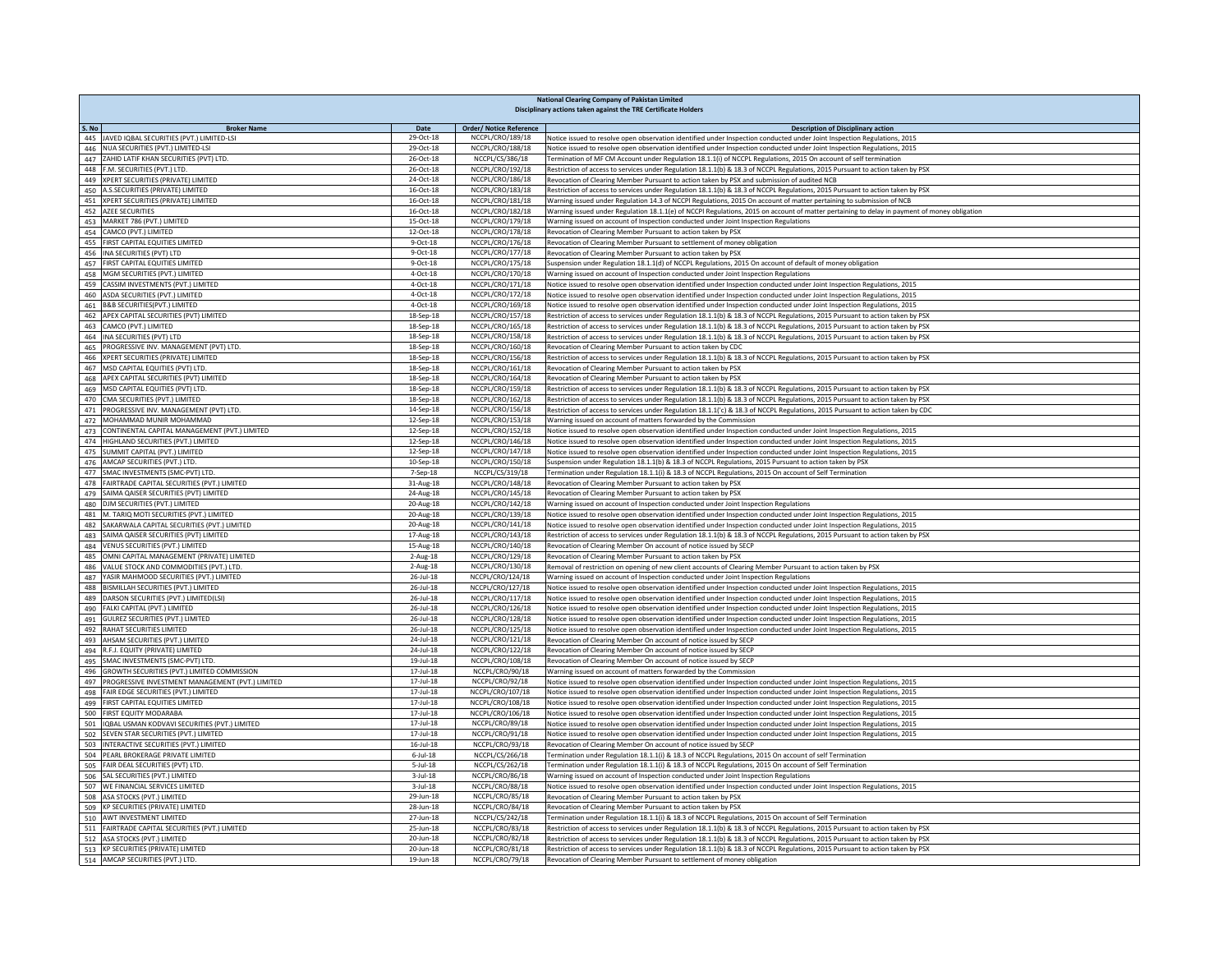|            | <b>National Clearing Company of Pakistan Limited</b><br>Disciplinary actions taken against the TRE Certificate Holders |                             |                                      |                                                                                                                                                                                                                                                      |  |  |
|------------|------------------------------------------------------------------------------------------------------------------------|-----------------------------|--------------------------------------|------------------------------------------------------------------------------------------------------------------------------------------------------------------------------------------------------------------------------------------------------|--|--|
| S. No      | <b>Broker Name</b>                                                                                                     | Date                        | <b>Order/ Notice Reference</b>       | <b>Description of Disciplinary action</b>                                                                                                                                                                                                            |  |  |
|            | 445 JAVED IQBAL SECURITIES (PVT.) LIMITED-LSI                                                                          | 29-Oct-18                   | NCCPL/CRO/189/18                     | Notice issued to resolve open observation identified under Inspection conducted under Joint Inspection Regulations, 2015                                                                                                                             |  |  |
|            | 446 NUA SECURITIES (PVT.) LIMITED-LSI                                                                                  | 29-Oct-18                   | NCCPL/CRO/188/18                     | Notice issued to resolve open observation identified under Inspection conducted under Joint Inspection Regulations, 2015                                                                                                                             |  |  |
|            | 447 ZAHID LATIF KHAN SECURITIES (PVT) LTD.                                                                             | 26-Oct-18                   | NCCPL/CS/386/18                      | Termination of MF CM Account under Regulation 18.1.1(i) of NCCPL Regulations, 2015 On account of self termination                                                                                                                                    |  |  |
|            | 448 F.M. SECURITIES (PVT.) LTD.                                                                                        | 26-Oct-18                   | NCCPL/CRO/192/18                     | Restriction of access to services under Regulation 18.1.1(b) & 18.3 of NCCPL Regulations, 2015 Pursuant to action taken by PSX                                                                                                                       |  |  |
|            | 449 XPERT SECURITIES (PRIVATE) LIMITED<br>450 A.S.SECURITIES (PRIVATE) LIMITED                                         | 24-Oct-18<br>16-Oct-18      | NCCPL/CRO/186/18<br>NCCPL/CRO/183/18 | Revocation of Clearing Member Pursuant to action taken by PSX and submission of audited NCB<br>Restriction of access to services under Regulation 18.1.1(b) & 18.3 of NCCPL Regulations, 2015 Pursuant to action taken by PSX                        |  |  |
|            | 451 XPERT SECURITIES (PRIVATE) LIMITED                                                                                 | $16$ -Oct- $18$             | NCCPL/CRO/181/18                     | Warning issued under Regulation 14.3 of NCCPI Regulations, 2015 On account of matter pertaining to submission of NCB                                                                                                                                 |  |  |
|            | 452 AZEE SECURITIES                                                                                                    | 16-Oct-18                   | NCCPL/CRO/182/18                     | Warning issued under Regulation 18.1.1(e) of NCCPI Regulations, 2015 on account of matter pertaining to delay in payment of money obligation                                                                                                         |  |  |
|            | 453 MARKET 786 (PVT.) LIMITED                                                                                          | $15$ -Oct-18 $\,$           | NCCPL/CRO/179/18                     | Warning issued on account of Inspection conducted under Joint Inspection Regulations                                                                                                                                                                 |  |  |
|            | 454 CAMCO (PVT.) LIMITED                                                                                               | 12-Oct-18                   | NCCPL/CRO/178/18                     | Revocation of Clearing Member Pursuant to action taken by PSX                                                                                                                                                                                        |  |  |
| 455        | FIRST CAPITAL EQUITIES LIMITED                                                                                         | 9-Oct-18                    | NCCPL/CRO/176/18                     | Revocation of Clearing Member Pursuant to settlement of money obligation                                                                                                                                                                             |  |  |
|            | 456 INA SECURITIES (PVT) LTD                                                                                           | 9-Oct-18                    | NCCPL/CRO/177/18                     | Revocation of Clearing Member Pursuant to action taken by PSX                                                                                                                                                                                        |  |  |
|            | 457 FIRST CAPITAL EQUITIES LIMITED<br>458 MGM SECURITIES (PVT.) LIMITED                                                | 9-Oct-18<br>4-Oct-18        | NCCPL/CRO/175/18<br>NCCPL/CRO/170/18 | Suspension under Regulation 18.1.1(d) of NCCPL Regulations, 2015 On account of default of money obligation<br>Warning issued on account of Inspection conducted under Joint Inspection Regulations                                                   |  |  |
|            | 459 CASSIM INVESTMENTS (PVT.) LIMITED                                                                                  | 4-Oct-18                    | NCCPL/CRO/171/18                     | Notice issued to resolve open observation identified under Inspection conducted under Joint Inspection Regulations, 2015                                                                                                                             |  |  |
|            | 460 ASDA SECURITIES (PVT.) LIMITED                                                                                     | 4-Oct-18                    | NCCPL/CRO/172/18                     | Notice issued to resolve open observation identified under Inspection conducted under Joint Inspection Regulations, 2015                                                                                                                             |  |  |
|            | 461 B&B SECURITIES(PVT.) LIMITED                                                                                       | 4-Oct-18                    | NCCPL/CRO/169/18                     | Notice issued to resolve open observation identified under Inspection conducted under Joint Inspection Regulations, 2015                                                                                                                             |  |  |
|            | 462 APEX CAPITAL SECURITIES (PVT) LIMITED                                                                              | 18-Sep-18                   | NCCPL/CRO/157/18                     | Restriction of access to services under Regulation 18.1.1(b) & 18.3 of NCCPL Regulations, 2015 Pursuant to action taken by PSX                                                                                                                       |  |  |
|            | 463 CAMCO (PVT.) LIMITED                                                                                               | 18-Sep-18                   | NCCPL/CRO/165/18                     | Restriction of access to services under Regulation 18.1.1(b) & 18.3 of NCCPL Regulations, 2015 Pursuant to action taken by PSX                                                                                                                       |  |  |
|            | 464 INA SECURITIES (PVT) LTD                                                                                           | 18-Sep-18                   | NCCPL/CRO/158/18                     | Restriction of access to services under Regulation 18.1.1(b) & 18.3 of NCCPL Regulations, 2015 Pursuant to action taken by PSX                                                                                                                       |  |  |
|            | 465 PROGRESSIVE INV. MANAGEMENT (PVT) LTD.<br>466 XPERT SECURITIES (PRIVATE) LIMITED                                   | 18-Sep-18<br>18-Sep-18      | NCCPL/CRO/160/18<br>NCCPL/CRO/156/18 | Revocation of Clearing Member Pursuant to action taken by CDC<br>Restriction of access to services under Regulation 18.1.1(b) & 18.3 of NCCPL Regulations, 2015 Pursuant to action taken by PSX                                                      |  |  |
|            | 467 MSD CAPITAL EQUITIES (PVT) LTD.                                                                                    | 18-Sep-18                   | NCCPL/CRO/161/18                     | Revocation of Clearing Member Pursuant to action taken by PSX                                                                                                                                                                                        |  |  |
|            | 468 APEX CAPITAL SECURITIES (PVT) LIMITED                                                                              | 18-Sep-18                   | NCCPL/CRO/164/18                     | Revocation of Clearing Member Pursuant to action taken by PSX                                                                                                                                                                                        |  |  |
|            | 469 MSD CAPITAL EQUITIES (PVT) LTD.                                                                                    | 18-Sep-18                   | NCCPL/CRO/159/18                     | Restriction of access to services under Regulation 18.1.1(b) & 18.3 of NCCPL Regulations, 2015 Pursuant to action taken by PSX                                                                                                                       |  |  |
|            | 470 CMA SECURITIES (PVT.) LIMITED                                                                                      | 18-Sep-18                   | NCCPL/CRO/162/18                     | Restriction of access to services under Regulation 18.1.1(b) & 18.3 of NCCPL Regulations, 2015 Pursuant to action taken by PSX                                                                                                                       |  |  |
| 471        | PROGRESSIVE INV. MANAGEMENT (PVT) LTD.                                                                                 | 14-Sep-18                   | NCCPL/CRO/156/18                     | Restriction of access to services under Regulation 18.1.1('c) & 18.3 of NCCPL Regulations, 2015 Pursuant to action taken by CDC                                                                                                                      |  |  |
|            | 472 MOHAMMAD MUNIR MOHAMMAD                                                                                            | 12-Sep-18                   | NCCPL/CRO/153/18                     | Warning issued on account of matters forwarded by the Commission                                                                                                                                                                                     |  |  |
|            | 473 CONTINENTAL CAPITAL MANAGEMENT (PVT.) LIMITED                                                                      | 12-Sep-18                   | NCCPL/CRO/152/18                     | Notice issued to resolve open observation identified under Inspection conducted under Joint Inspection Regulations, 2015                                                                                                                             |  |  |
|            | 474 HIGHLAND SECURITIES (PVT.) LIMITED<br>SUMMIT CAPITAL (PVT.) LIMITED                                                | 12-Sep-18<br>12-Sep-18      | NCCPL/CRO/146/18<br>NCCPL/CRO/147/18 | Notice issued to resolve open observation identified under Inspection conducted under Joint Inspection Regulations, 2015                                                                                                                             |  |  |
| 475<br>476 | AMCAP SECURITIES (PVT.) LTD.                                                                                           | 10-Sep-18                   | NCCPL/CRO/150/18                     | Notice issued to resolve open observation identified under Inspection conducted under Joint Inspection Regulations, 2015<br>Suspension under Regulation 18.1.1(b) & 18.3 of NCCPL Regulations, 2015 Pursuant to action taken by PSX                  |  |  |
|            | 477 SMAC INVESTMENTS (SMC-PVT) LTD.                                                                                    | 7-Sep-18                    | NCCPL/CS/319/18                      | Termination under Regulation 18.1.1(i) & 18.3 of NCCPL Regulations, 2015 On account of Self Termination                                                                                                                                              |  |  |
|            | 478 FAIRTRADE CAPITAL SECURITIES (PVT.) LIMITED                                                                        | 31-Aug-18                   | NCCPL/CRO/148/18                     | Revocation of Clearing Member Pursuant to action taken by PSX                                                                                                                                                                                        |  |  |
|            | 479 SAIMA QAISER SECURITIES (PVT) LIMITED                                                                              | 24-Aug-18                   | NCCPL/CRO/145/18                     | Revocation of Clearing Member Pursuant to action taken by PSX                                                                                                                                                                                        |  |  |
|            | 480 DJM SECURITIES (PVT.) LIMITED                                                                                      | 20-Aug-18                   | NCCPL/CRO/142/18                     | Warning issued on account of Inspection conducted under Joint Inspection Regulations                                                                                                                                                                 |  |  |
|            | 481 M. TARIQ MOTI SECURITIES (PVT.) LIMITED                                                                            | 20-Aug-18                   | NCCPL/CRO/139/18                     | Notice issued to resolve open observation identified under Inspection conducted under Joint Inspection Regulations, 2015                                                                                                                             |  |  |
| 482        | SAKARWALA CAPITAL SECURITIES (PVT.) LIMITED                                                                            | 20-Aug-18                   | NCCPL/CRO/141/18<br>NCCPL/CRO/143/18 | Notice issued to resolve open observation identified under Inspection conducted under Joint Inspection Regulations, 2015                                                                                                                             |  |  |
| 483<br>484 | SAIMA QAISER SECURITIES (PVT) LIMITED<br>VENUS SECURITIES (PVT.) LIMITED                                               | 17-Aug-18<br>15-Aug-18      | NCCPL/CRO/140/18                     | Restriction of access to services under Regulation 18.1.1(b) & 18.3 of NCCPL Regulations, 2015 Pursuant to action taken by PSX<br>Revocation of Clearing Member On account of notice issued by SECP                                                  |  |  |
| 485        | OMNI CAPITAL MANAGEMENT (PRIVATE) LIMITED                                                                              | 2-Aug-18                    | NCCPL/CRO/129/18                     | Revocation of Clearing Member Pursuant to action taken by PSX                                                                                                                                                                                        |  |  |
| 486        | VALUE STOCK AND COMMODITIES (PVT.) LTD.                                                                                | 2-Aug-18                    | NCCPL/CRO/130/18                     | Removal of restriction on opening of new client accounts of Clearing Member Pursuant to action taken by PSX                                                                                                                                          |  |  |
|            | 487 YASIR MAHMOOD SECURITIES (PVT.) LIMITED                                                                            | 26-Jul-18                   | NCCPL/CRO/124/18                     | Warning issued on account of Inspection conducted under Joint Inspection Regulations                                                                                                                                                                 |  |  |
|            | 488 BISMILLAH SECURITIES (PVT.) LIMITED                                                                                | 26-Jul-18                   | NCCPL/CRO/127/18                     | Notice issued to resolve open observation identified under Inspection conducted under Joint Inspection Regulations, 2015                                                                                                                             |  |  |
|            | 489 DARSON SECURITIES (PVT.) LIMITED(LSI)                                                                              | 26-Jul-18                   | NCCPL/CRO/117/18                     | Notice issued to resolve open observation identified under Inspection conducted under Joint Inspection Regulations, 2015                                                                                                                             |  |  |
|            | 490 FALKI CAPITAL (PVT.) LIMITED                                                                                       | 26-Jul-18<br>$26 - 11 - 18$ | NCCPL/CRO/126/18<br>NCCPL/CRO/128/18 | Notice issued to resolve open observation identified under Inspection conducted under Joint Inspection Regulations, 2015                                                                                                                             |  |  |
|            | 491 GULREZ SECURITIES (PVT.) LIMITED<br>492 RAHAT SECURITIES LIMITED                                                   | 26-Jul-18                   | NCCPL/CRO/125/18                     | Notice issued to resolve open observation identified under Inspection conducted under Joint Inspection Regulations, 2015<br>Notice issued to resolve open observation identified under Inspection conducted under Joint Inspection Regulations, 2015 |  |  |
|            | 493 AHSAM SECURITIES (PVT.) LIMITED                                                                                    | 24-Jul-18                   | NCCPL/CRO/121/18                     | Revocation of Clearing Member On account of notice issued by SECP                                                                                                                                                                                    |  |  |
|            | 494 R.F.J. EQUITY (PRIVATE) LIMITED                                                                                    | 24-Jul-18                   | NCCPL/CRO/122/18                     | Revocation of Clearing Member On account of notice issued by SECP                                                                                                                                                                                    |  |  |
|            | 495 SMAC INVESTMENTS (SMC-PVT) LTD.                                                                                    | 19-Jul-18                   | NCCPL/CRO/108/18                     | Revocation of Clearing Member On account of notice issued by SECP                                                                                                                                                                                    |  |  |
|            | 496 GROWTH SECURITIES (PVT.) LIMITED COMMISSION                                                                        | 17-Jul-18                   | NCCPL/CRO/90/18                      | Warning issued on account of matters forwarded by the Commission                                                                                                                                                                                     |  |  |
|            | 497 PROGRESSIVE INVESTMENT MANAGEMENT (PVT.) LIMITED                                                                   | 17-Jul-18                   | NCCPL/CRO/92/18                      | Notice issued to resolve open observation identified under Inspection conducted under Joint Inspection Regulations, 2015                                                                                                                             |  |  |
|            | 498 FAIR EDGE SECURITIES (PVT.) LIMITED                                                                                | 17-Jul-18                   | NCCPL/CRO/107/18                     | Notice issued to resolve open observation identified under Inspection conducted under Joint Inspection Regulations, 2015                                                                                                                             |  |  |
|            | 499 FIRST CAPITAL EQUITIES LIMITED<br>500 FIRST EQUITY MODARABA                                                        | 17-Jul-18<br>17-Jul-18      | NCCPL/CRO/108/18<br>NCCPL/CRO/106/18 | Notice issued to resolve open observation identified under Inspection conducted under Joint Inspection Regulations, 2015<br>Notice issued to resolve open observation identified under Inspection conducted under Joint Inspection Regulations, 2015 |  |  |
| 501        | IQBAL USMAN KODVAVI SECURITIES (PVT.) LIMITED                                                                          | 17-Jul-18                   | NCCPL/CRO/89/18                      | Notice issued to resolve open observation identified under Inspection conducted under Joint Inspection Regulations, 2015                                                                                                                             |  |  |
| 502        | SEVEN STAR SECURITIES (PVT.) LIMITED                                                                                   | 17-Jul-18                   | NCCPL/CRO/91/18                      | Notice issued to resolve open observation identified under Inspection conducted under Joint Inspection Regulations, 2015                                                                                                                             |  |  |
| 503        | INTERACTIVE SECURITIES (PVT.) LIMITED                                                                                  | $16$ -Jul- $18$             | NCCPL/CRO/93/18                      | Revocation of Clearing Member On account of notice issued by SECP                                                                                                                                                                                    |  |  |
|            | 504 PEARL BROKERAGE PRIVATE LIMITED                                                                                    | $6$ -Jul-18                 | NCCPL/CS/266/18                      | Termination under Regulation 18.1.1(i) & 18.3 of NCCPL Regulations, 2015 On account of self Termination                                                                                                                                              |  |  |
|            | 505 FAIR DEAL SECURITIES (PVT) LTD.                                                                                    | $5$ -Jul-18                 | NCCPL/CS/262/18                      | Termination under Regulation 18.1.1(i) & 18.3 of NCCPL Regulations, 2015 On account of Self Termination                                                                                                                                              |  |  |
|            | 506 SAL SECURITIES (PVT.) LIMITED                                                                                      | $3$ -Jul-18                 | NCCPL/CRO/86/18                      | Warning issued on account of Inspection conducted under Joint Inspection Regulation:                                                                                                                                                                 |  |  |
|            | 507 WE FINANCIAL SERVICES LIMITED                                                                                      | $3$ -Jul-18                 | NCCPL/CRO/88/18                      | Notice issued to resolve open observation identified under Inspection conducted under Joint Inspection Regulations, 2015                                                                                                                             |  |  |
|            | 508 ASA STOCKS (PVT.) LIMITED<br>509 KP SECURITIES (PRIVATE) LIMITED                                                   | 29-Jun-18<br>28-Jun-18      | NCCPL/CRO/85/18<br>NCCPL/CRO/84/18   | Revocation of Clearing Member Pursuant to action taken by PSX<br>Revocation of Clearing Member Pursuant to action taken by PSX                                                                                                                       |  |  |
| 510        | AWT INVESTMENT LIMITED                                                                                                 | 27-Jun-18                   | NCCPL/CS/242/18                      | Termination under Regulation 18.1.1(i) & 18.3 of NCCPL Regulations, 2015 On account of Self Termination                                                                                                                                              |  |  |
| 511        | FAIRTRADE CAPITAL SECURITIES (PVT.) LIMITED                                                                            | 25-Jun-18                   | NCCPL/CRO/83/18                      | Restriction of access to services under Regulation 18.1.1(b) & 18.3 of NCCPL Regulations, 2015 Pursuant to action taken by PSX                                                                                                                       |  |  |
| 512        | ASA STOCKS (PVT.) LIMITED                                                                                              | 20-Jun-18                   | NCCPL/CRO/82/18                      | Restriction of access to services under Regulation 18.1.1(b) & 18.3 of NCCPL Regulations, 2015 Pursuant to action taken by PSX                                                                                                                       |  |  |
|            | 513 KP SECURITIES (PRIVATE) LIMITED                                                                                    | 20-Jun-18                   | NCCPL/CRO/81/18                      | Restriction of access to services under Regulation 18.1.1(b) & 18.3 of NCCPL Regulations, 2015 Pursuant to action taken by PSX                                                                                                                       |  |  |
|            | 514 AMCAP SECURITIES (PVT.) LTD.                                                                                       | 19-Jun-18                   | NCCPL/CRO/79/18                      | Revocation of Clearing Member Pursuant to settlement of money obligation                                                                                                                                                                             |  |  |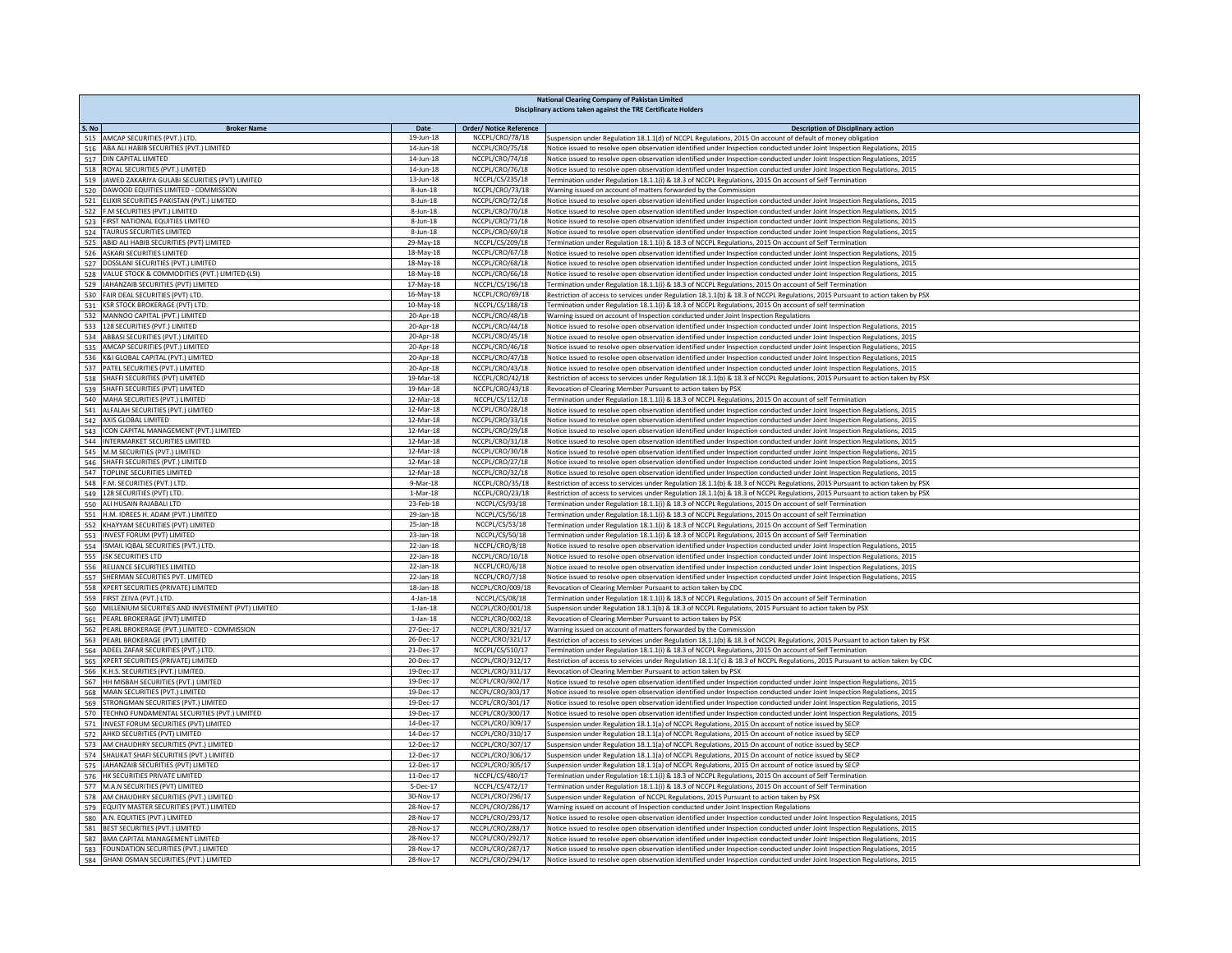| S. No<br><b>Broker Name</b><br><b>Order/ Notice Reference</b><br>Date<br><b>Description of Disciplinary action</b><br>515 AMCAP SECURITIES (PVT.) LTD.<br>19-Jun-18<br>NCCPL/CRO/78/18<br>Suspension under Regulation 18.1.1(d) of NCCPL Regulations, 2015 On account of default of money obligation<br>516 ABA ALI HABIB SECURITIES (PVT.) LIMITED<br>14-Jun-18<br>NCCPL/CRO/75/18<br>Notice issued to resolve open observation identified under Inspection conducted under Joint Inspection Regulations, 2015<br>NCCPL/CRO/74/18<br>517 DIN CAPITAL LIMITED<br>14-Jun-18<br>Notice issued to resolve open observation identified under Inspection conducted under Joint Inspection Regulations, 2015<br>NCCPL/CRO/76/18<br>518 ROYAL SECURITIES (PVT.) LIMITED<br>14-Jun-18<br>Notice issued to resolve open observation identified under Inspection conducted under Joint Inspection Regulations, 2015<br>519 JAWED ZAKARIYA GULABI SECURITIES (PVT) LIMITED<br>13-Jun-18<br>NCCPL/CS/235/18<br>Termination under Regulation 18.1.1(i) & 18.3 of NCCPL Regulations, 2015 On account of Self Termination<br>520 DAWOOD EQUITIES LIMITED - COMMISSION<br>8-Jun-18<br>NCCPL/CRO/73/18<br>Warning issued on account of matters forwarded by the Commission<br>$8 - Jun - 18$<br>NCCPL/CRO/72/18<br>521 ELIXIR SECURITIES PAKISTAN (PVT.) LIMITED<br>Notice issued to resolve open observation identified under Inspection conducted under Joint Inspection Regulations, 2015<br>522 F.M SECURITIES (PVT.) LIMITED<br>NCCPL/CRO/70/18<br>$R$ -lun-18<br>Notice issued to resolve open observation identified under Inspection conducted under Joint Inspection Regulations, 2015<br>523 FIRST NATIONAL EQUITIES LIMITED<br>$8$ -Jun-18<br>NCCPL/CRO/71/18<br>Notice issued to resolve open observation identified under Inspection conducted under Joint Inspection Regulations, 2015<br>524 TAURUS SECURITIES LIMITED<br>8-Jun-18<br>NCCPL/CRO/69/18<br>Notice issued to resolve open observation identified under Inspection conducted under Joint Inspection Regulations, 2015<br>ABID ALI HABIB SECURITIES (PVT) LIMITED<br>NCCPL/CS/209/18<br>525<br>29-May-18<br>Termination under Regulation 18.1.1(i) & 18.3 of NCCPL Regulations, 2015 On account of Self Termination<br>526 ASKARI SECURITIES LIMITED<br>18-May-18<br>NCCPL/CRO/67/18<br>Notice issued to resolve open observation identified under Inspection conducted under Joint Inspection Regulations, 2015<br>527 DOSSLANI SECURITIES (PVT.) LIMITED<br>18-May-18<br>NCCPL/CRO/68/18<br>Notice issued to resolve open observation identified under Inspection conducted under Joint Inspection Regulations, 2015<br>528 VALUE STOCK & COMMODITIES (PVT.) LIMITED (LSI)<br>18-May-18<br>NCCPL/CRO/66/18<br>Notice issued to resolve open observation identified under Inspection conducted under Joint Inspection Regulations, 2015<br>529 JAHANZAIB SECURITIES (PVT) LIMITED<br>17-May-18<br>NCCPL/CS/196/18<br>Termination under Regulation 18.1.1(i) & 18.3 of NCCPL Regulations, 2015 On account of Self Termination<br>530 FAIR DEAL SECURITIES (PVT) LTD.<br>16-May-18<br>NCCPL/CRO/69/18<br>Restriction of access to services under Regulation 18.1.1(b) & 18.3 of NCCPL Regulations, 2015 Pursuant to action taken by PSX<br>531 KSR STOCK BROKERAGE (PVT) LTD<br>10-May-18<br>NCCPL/CS/188/18<br>Termination under Regulation 18.1.1(i) & 18.3 of NCCPL Regulations, 2015 On account of self termination<br>532 MANNOO CAPITAL (PVT.) LIMITED<br>20-Apr-18<br>NCCPL/CRO/48/18<br>Warning issued on account of Inspection conducted under Joint Inspection Regulations<br>533 128 SECURITIES (PVT.) LIMITED<br>NCCPL/CRO/44/18<br>20-Apr-18<br>Notice issued to resolve open observation identified under Inspection conducted under Joint Inspection Regulations, 2015<br>NCCPL/CRO/45/18<br>534 ABBASI SECURITIES (PVT.) LIMITED<br>20-Apr-18<br>Notice issued to resolve open observation identified under Inspection conducted under Joint Inspection Regulations, 2015<br>535 AMCAP SECURITIES (PVT.) LIMITED<br>20-Apr-18<br>NCCPL/CRO/46/18<br>Notice issued to resolve open observation identified under Inspection conducted under Joint Inspection Regulations, 2015<br>536 K&I GLOBAL CAPITAL (PVT.) LIMITED<br>20-Apr-18<br>NCCPL/CRO/47/18<br>Notice issued to resolve open observation identified under Inspection conducted under Joint Inspection Regulations, 2015<br>537 PATEL SECURITIES (PVT.) LIMITED<br>20-Apr-18<br>NCCPL/CRO/43/18<br>Notice issued to resolve open observation identified under Inspection conducted under Joint Inspection Regulations, 2015<br>538 SHAFFI SECURITIES (PVT) LIMITED<br>NCCPL/CRO/42/18<br>Restriction of access to services under Regulation 18.1.1(b) & 18.3 of NCCPL Regulations, 2015 Pursuant to action taken by PSX<br>19-Mar-18<br>539 SHAFFI SECURITIES (PVT) LIMITED<br>NCCPL/CRO/43/18<br>19-Mar-18<br>Revocation of Clearing Member Pursuant to action taken by PSX<br>MAHA SECURITIES (PVT.) LIMITED<br>NCCPL/CS/112/18<br>12-Mar-18<br>Termination under Regulation 18.1.1(i) & 18.3 of NCCPL Regulations, 2015 On account of self Termination<br>540<br>ALFALAH SECURITIES (PVT.) LIMITED<br>NCCPL/CRO/28/18<br>541<br>12-Mar-18<br>Notice issued to resolve open observation identified under Inspection conducted under Joint Inspection Regulations, 2015<br>AXIS GLOBAL LIMITED<br>12-Mar-18<br>NCCPL/CRO/33/18<br>542<br>Notice issued to resolve open observation identified under Inspection conducted under Joint Inspection Regulations, 2015<br>543 ICON CAPITAL MANAGEMENT (PVT.) LIMITED<br>NCCPL/CRO/29/18<br>12-Mar-18<br>Notice issued to resolve open observation identified under Inspection conducted under Joint Inspection Regulations, 2015<br>INTERMARKET SECURITIES LIMITED<br>12-Mar-18<br>NCCPL/CRO/31/18<br>544<br>Notice issued to resolve open observation identified under Inspection conducted under Joint Inspection Regulations, 2015<br>12-Mar-18<br>NCCPL/CRO/30/18<br>545 M.M SECURITIES (PVT.) LIMITED<br>Notice issued to resolve open observation identified under Inspection conducted under Joint Inspection Regulations, 2015<br>12-Mar-18<br>NCCPL/CRO/27/18<br>546 SHAFFI SECURITIES (PVT.) LIMITED<br>Notice issued to resolve open observation identified under Inspection conducted under Joint Inspection Regulations, 2015<br>547<br>TOPLINE SECURITIES LIMITED<br>12-Mar-18<br>NCCPL/CRO/32/18<br>Notice issued to resolve open observation identified under Inspection conducted under Joint Inspection Regulations, 2015<br>548 F.M. SECURITIES (PVT.) LTD.<br>$9-Mar-18$<br>NCCPL/CRO/35/18<br>Restriction of access to services under Regulation 18.1.1(b) & 18.3 of NCCPL Regulations, 2015 Pursuant to action taken by PSX<br>549 128 SECURITIES (PVT) LTD.<br>$1-Mar-18$<br>NCCPL/CRO/23/18<br>Restriction of access to services under Regulation 18.1.1(b) & 18.3 of NCCPL Regulations, 2015 Pursuant to action taken by PSX<br>ALI HUSAIN RAJABALI LTD<br>23-Feb-18<br>NCCPL/CS/93/18<br>Termination under Regulation 18.1.1(i) & 18.3 of NCCPL Regulations, 2015 On account of self Termination<br>550<br>H.M. IDREES H. ADAM (PVT.) LIMITED<br>NCCPL/CS/56/18<br>Termination under Regulation 18.1.1(i) & 18.3 of NCCPL Regulations, 2015 On account of self Termination<br>551<br>29-Jan-18<br>552 KHAYYAM SECURITIES (PVT) LIMITED<br>25-Jan-18<br>NCCPL/CS/53/18<br>Termination under Regulation 18.1.1(i) & 18.3 of NCCPL Regulations, 2015 On account of Self Termination<br>553 INVEST FORUM (PVT) LIMITED<br>23-Jan-18<br>NCCPL/CS/50/18<br>Termination under Regulation 18.1.1(i) & 18.3 of NCCPL Regulations, 2015 On account of Self Termination<br>554 ISMAIL IQBAL SECURITIES (PVT.) LTD.<br>22-Jan-18<br>NCCPL/CRO/8/18<br>Notice issued to resolve open observation identified under Inspection conducted under Joint Inspection Regulations, 2015<br>555 JSK SECURITIES LTD<br>22-Jan-18<br>NCCPL/CRO/10/18<br>Notice issued to resolve open observation identified under Inspection conducted under Joint Inspection Regulations, 2015<br>556 RELIANCE SECURITIES LIMITED<br>NCCPL/CRO/6/18<br>$22$ -Jan-18<br>Notice issued to resolve open observation identified under Inspection conducted under Joint Inspection Regulations, 2015<br>557 SHERMAN SECURITIES PVT. LIMITED<br>22-Jan-18<br>NCCPL/CRO/7/18<br>Notice issued to resolve open observation identified under Inspection conducted under Joint Inspection Regulations, 2015<br>18-Jan-18<br>NCCPL/CRO/009/18<br>558 XPERT SECURITIES (PRIVATE) LIMITED<br>Revocation of Clearing Member Pursuant to action taken by CDC<br>NCCPL/CS/08/18<br>$4$ -Jan-18<br>559 FIRST ZEIVA (PVT.) LTD.<br>Termination under Regulation 18.1.1(i) & 18.3 of NCCPL Regulations, 2015 On account of Self Termination<br>$1$ -Jan-18<br>NCCPL/CRO/001/18<br>560 MILLENIUM SECURITIES AND INVESTMENT (PVT) LIMITED<br>Suspension under Regulation 18.1.1(b) & 18.3 of NCCPL Regulations, 2015 Pursuant to action taken by PSX<br>561 PEARL BROKERAGE (PVT) LIMITED<br>NCCPL/CRO/002/18<br>$1$ -Jan- $18$<br>Revocation of Clearing Member Pursuant to action taken by PSX<br>562 PEARL BROKERAGE (PVT.) LIMITED - COMMISSION<br>27-Dec-17<br>NCCPL/CRO/321/17<br>Warning issued on account of matters forwarded by the Commission<br>563 PEARL BROKERAGE (PVT) LIMITED<br>NCCPL/CRO/321/17<br>26-Dec-17<br>Restriction of access to services under Regulation 18.1.1(b) & 18.3 of NCCPL Regulations, 2015 Pursuant to action taken by PSX<br>564 ADEEL ZAFAR SECURITIES (PVT.) LTD.<br>21-Dec-17<br>NCCPL/CS/510/17<br>Termination under Regulation 18.1.1(i) & 18.3 of NCCPL Regulations, 2015 On account of Self Termination<br>565 XPERT SECURITIES (PRIVATE) LIMITED<br>20-Dec-17<br>NCCPL/CRO/312/17<br>Restriction of access to services under Regulation 18.1.1('c) & 18.3 of NCCPL Regulations, 2015 Pursuant to action taken by CDC<br>566 K.H.S. SECURITIES (PVT.) LIMITED.<br>19-Dec-17<br>NCCPL/CRO/311/17<br>Revocation of Clearing Member Pursuant to action taken by PSX<br>HH MISBAH SECURITIES (PVT.) LIMITED<br>NCCPL/CRO/302/17<br>567<br>19-Dec-17<br>Notice issued to resolve open observation identified under Inspection conducted under Joint Inspection Regulations, 2015<br>568 MAAN SECURITIES (PVT.) LIMITED<br>NCCPL/CRO/303/17<br>19-Dec-17<br>Notice issued to resolve open observation identified under Inspection conducted under Joint Inspection Regulations, 2015<br>STRONGMAN SECURITIES (PVT.) LIMITED<br>19-Dec-17<br>NCCPL/CRO/301/17<br>Notice issued to resolve open observation identified under Inspection conducted under Joint Inspection Regulations, 2015<br>569<br>570<br>TECHNO FUNDAMENTAL SECURITIES (PVT.) LIMITED<br>19-Dec-17<br>NCCPL/CRO/300/17<br>Notice issued to resolve open observation identified under Inspection conducted under Joint Inspection Regulations, 2015<br>NCCPL/CRO/309/17<br>571<br>INVEST FORUM SECURITIES (PVT) LIMITED<br>14-Dec-17<br>Suspension under Regulation 18.1.1(a) of NCCPL Regulations, 2015 On account of notice issued by SECP<br>NCCPL/CRO/310/17<br>AHKD SECURITIES (PVT) LIMITED<br>14-Dec-17<br>Suspension under Regulation 18.1.1(a) of NCCPL Regulations, 2015 On account of notice issued by SECP<br>572<br>AM CHAUDHRY SECURITIES (PVT.) LIMITED<br>12-Dec-17<br>NCCPL/CRO/307/17<br>Suspension under Regulation 18.1.1(a) of NCCPL Regulations, 2015 On account of notice issued by SECP<br>573<br>SHAUKAT SHAFI SECURITIES (PVT.) LIMITED<br>12-Dec-17<br>NCCPL/CRO/306/17<br>Suspension under Regulation 18.1.1(a) of NCCPL Regulations, 2015 On account of notice issued by SECP<br>574<br>JAHANZAIB SECURITIES (PVT) LIMITED<br>12-Dec-17<br>NCCPL/CRO/305/17<br>Suspension under Regulation 18.1.1(a) of NCCPL Regulations, 2015 On account of notice issued by SECP<br>575<br>HK SECURITIES PRIVATE LIMITED<br>NCCPL/CS/480/17<br>Termination under Regulation 18.1.1(i) & 18.3 of NCCPL Regulations, 2015 On account of Self Termination<br>576<br>11-Dec-17<br>M.A.N SECURITIES (PVT) LIMITED<br>NCCPL/CS/472/17<br>577<br>5-Dec-17<br>Termination under Regulation 18.1.1(i) & 18.3 of NCCPL Regulations, 2015 On account of Self Termination<br>AM CHAUDHRY SECURITIES (PVT.) LIMITED<br>NCCPL/CRO/296/17<br>Suspension under Regulation of NCCPL Regulations, 2015 Pursuant to action taken by PSX<br>30-Nov-17<br>578<br>EQUITY MASTER SECURITIES (PVT.) LIMITED<br>28-Nov-17<br>NCCPL/CRO/286/17<br>579<br>Warning issued on account of Inspection conducted under Joint Inspection Regulations<br>A.N. EQUITIES (PVT.) LIMITED<br>NCCPL/CRO/293/17<br>580<br>28-Nov-17<br>Notice issued to resolve open observation identified under Inspection conducted under Joint Inspection Regulations, 2015<br>581<br>BEST SECURITIES (PVT.) LIMITED<br>28-Nov-17<br>NCCPL/CRO/288/17<br>Notice issued to resolve open observation identified under Inspection conducted under Joint Inspection Regulations, 2015<br>582 BMA CAPITAL MANAGEMENT LIMITED<br>28-Nov-17<br>NCCPL/CRO/292/17<br>Notice issued to resolve open observation identified under Inspection conducted under Joint Inspection Regulations, 2015<br>583 FOUNDATION SECURITIES (PVT.) LIMITED<br>28-Nov-17<br>NCCPL/CRO/287/17<br>Notice issued to resolve open observation identified under Inspection conducted under Joint Inspection Regulations, 2015<br>584 GHANI OSMAN SECURITIES (PVT.) LIMITED<br>28-Nov-17 | <b>National Clearing Company of Pakistan Limited</b><br>Disciplinary actions taken against the TRE Certificate Holders |  |                  |                                                                                                                          |  |  |
|-------------------------------------------------------------------------------------------------------------------------------------------------------------------------------------------------------------------------------------------------------------------------------------------------------------------------------------------------------------------------------------------------------------------------------------------------------------------------------------------------------------------------------------------------------------------------------------------------------------------------------------------------------------------------------------------------------------------------------------------------------------------------------------------------------------------------------------------------------------------------------------------------------------------------------------------------------------------------------------------------------------------------------------------------------------------------------------------------------------------------------------------------------------------------------------------------------------------------------------------------------------------------------------------------------------------------------------------------------------------------------------------------------------------------------------------------------------------------------------------------------------------------------------------------------------------------------------------------------------------------------------------------------------------------------------------------------------------------------------------------------------------------------------------------------------------------------------------------------------------------------------------------------------------------------------------------------------------------------------------------------------------------------------------------------------------------------------------------------------------------------------------------------------------------------------------------------------------------------------------------------------------------------------------------------------------------------------------------------------------------------------------------------------------------------------------------------------------------------------------------------------------------------------------------------------------------------------------------------------------------------------------------------------------------------------------------------------------------------------------------------------------------------------------------------------------------------------------------------------------------------------------------------------------------------------------------------------------------------------------------------------------------------------------------------------------------------------------------------------------------------------------------------------------------------------------------------------------------------------------------------------------------------------------------------------------------------------------------------------------------------------------------------------------------------------------------------------------------------------------------------------------------------------------------------------------------------------------------------------------------------------------------------------------------------------------------------------------------------------------------------------------------------------------------------------------------------------------------------------------------------------------------------------------------------------------------------------------------------------------------------------------------------------------------------------------------------------------------------------------------------------------------------------------------------------------------------------------------------------------------------------------------------------------------------------------------------------------------------------------------------------------------------------------------------------------------------------------------------------------------------------------------------------------------------------------------------------------------------------------------------------------------------------------------------------------------------------------------------------------------------------------------------------------------------------------------------------------------------------------------------------------------------------------------------------------------------------------------------------------------------------------------------------------------------------------------------------------------------------------------------------------------------------------------------------------------------------------------------------------------------------------------------------------------------------------------------------------------------------------------------------------------------------------------------------------------------------------------------------------------------------------------------------------------------------------------------------------------------------------------------------------------------------------------------------------------------------------------------------------------------------------------------------------------------------------------------------------------------------------------------------------------------------------------------------------------------------------------------------------------------------------------------------------------------------------------------------------------------------------------------------------------------------------------------------------------------------------------------------------------------------------------------------------------------------------------------------------------------------------------------------------------------------------------------------------------------------------------------------------------------------------------------------------------------------------------------------------------------------------------------------------------------------------------------------------------------------------------------------------------------------------------------------------------------------------------------------------------------------------------------------------------------------------------------------------------------------------------------------------------------------------------------------------------------------------------------------------------------------------------------------------------------------------------------------------------------------------------------------------------------------------------------------------------------------------------------------------------------------------------------------------------------------------------------------------------------------------------------------------------------------------------------------------------------------------------------------------------------------------------------------------------------------------------------------------------------------------------------------------------------------------------------------------------------------------------------------------------------------------------------------------------------------------------------------------------------------------------------------------------------------------------------------------------------------------------------------------------------------------------------------------------------------------------------------------------------------------------------------------------------------------------------------------------------------------------------------------------------------------------------------------------------------------------------------------------------------------------------------------------------------------------------------------------------------------------------------------------------------------------------------------------------------------------------------------------------------------------------------------------------------------------------------------------------------------------------------------------------------------------------------------------------------------------------------------------------------------------------------------------------------------------------------------------------------------------------------------------------------------------------------------------------------------------------------------------------------------------------------------------------------------------------------------------------------------------------------------------------------------------------------------------------------------------------------------------------------------------------------------------------------------------------------------------------------------------------------------------------------------------------------------------------------------------------------------------------------------------------------------------------------------------------------------------------------------------------------------------------------------------------------------------------------------------------------------------------------------------------------------------------------------------------------------------------------------------------------------------------------------------------------------------------------------------------------------------------------------------------------------------------------------------------------------------------------------------------------------------------------------------------------------------------------------------------------------------------------------------------------------------------------------------------------------------------------------------------------------------------------------------------------------------------------------------------------------------------------------------------------------------------------------------------------------------------------------------------------------------------------------------------------------------------------------------------------------------------------------------------------------------------------------------------------------------------------------------------------------------------------------------------------------------------------------------------------------------------------------------------------------------------------------------------------------------------------------------------------------------------------------------------------------------------------------------------------------------------------------------------------------------------------------------------------------------------------------------------------------------------------------------------------------------------------------------------------------------------------------------------------------------------------------------------------------------------------------------------------------------------------------------------------------------------------------------------------------------------------------------------------------------------------------------------------------------------------------------------------------------------------------------------------------------------------------------------------------------------------------------------------------------------------------------------------------------------------------------------------------------------------------------------------------------------------------------------------------------------------------------------------------------------------------------------------------------------------------------------------------------------------------------------------------------------------------------------------------------------------------------------------------------------------------------------------------------------------------------------------------------------------------------------------------------------------------------------------------------------------------------------------------------------------------------------------------------------------------------------------------------------------------------------------------------------------------------------------------------------------------------------------------------------------------------------------------------------------------------------------------------------------------------------------------------------------------------------------------------------------------------------------------------------------------------------------------------------------------------|------------------------------------------------------------------------------------------------------------------------|--|------------------|--------------------------------------------------------------------------------------------------------------------------|--|--|
|                                                                                                                                                                                                                                                                                                                                                                                                                                                                                                                                                                                                                                                                                                                                                                                                                                                                                                                                                                                                                                                                                                                                                                                                                                                                                                                                                                                                                                                                                                                                                                                                                                                                                                                                                                                                                                                                                                                                                                                                                                                                                                                                                                                                                                                                                                                                                                                                                                                                                                                                                                                                                                                                                                                                                                                                                                                                                                                                                                                                                                                                                                                                                                                                                                                                                                                                                                                                                                                                                                                                                                                                                                                                                                                                                                                                                                                                                                                                                                                                                                                                                                                                                                                                                                                                                                                                                                                                                                                                                                                                                                                                                                                                                                                                                                                                                                                                                                                                                                                                                                                                                                                                                                                                                                                                                                                                                                                                                                                                                                                                                                                                                                                                                                                                                                                                                                                                                                                                                                                                                                                                                                                                                                                                                                                                                                                                                                                                                                                                                                                                                                                                                                                                                                                                                                                                                                                                                                                                                                                                                                                                                                                                                                                                                                                                                                                                                                                                                                                                                                                                                                                                                                                                                                                                                                                                                                                                                                                                                                                                                                                                                                                                                                                                                                                                                                                                                                                                                                                                                                                                                                                                                                                                                                                                                                                                                                                                                                                                                                                                                                                                                                                                                                                                                                                                                                                                                                                                                                                                                                                                                                                                                                                                                                                                                                                                                                                                                                                                                                                                                                                                                                                                                                                                                                                                                                                                                                                                                                                                                                                                                                                                                                                                                                                                                                                                                                                                                                                                                                                                                                                                                                                                                                                                                                                                                                                                                                                                                                                                                                                                                                                                                                                                                                                                                                                                                                                                                                                                                                                                                                                                                                                                                                                                                                                                                                                                                                                                                                                                                                                                                                                                                                                                                                                                                                                                                                                                                                                                                                                                                                                                                                                                                                                                                                                                                                                                                                                                                                                                                                                                                                         |                                                                                                                        |  |                  |                                                                                                                          |  |  |
|                                                                                                                                                                                                                                                                                                                                                                                                                                                                                                                                                                                                                                                                                                                                                                                                                                                                                                                                                                                                                                                                                                                                                                                                                                                                                                                                                                                                                                                                                                                                                                                                                                                                                                                                                                                                                                                                                                                                                                                                                                                                                                                                                                                                                                                                                                                                                                                                                                                                                                                                                                                                                                                                                                                                                                                                                                                                                                                                                                                                                                                                                                                                                                                                                                                                                                                                                                                                                                                                                                                                                                                                                                                                                                                                                                                                                                                                                                                                                                                                                                                                                                                                                                                                                                                                                                                                                                                                                                                                                                                                                                                                                                                                                                                                                                                                                                                                                                                                                                                                                                                                                                                                                                                                                                                                                                                                                                                                                                                                                                                                                                                                                                                                                                                                                                                                                                                                                                                                                                                                                                                                                                                                                                                                                                                                                                                                                                                                                                                                                                                                                                                                                                                                                                                                                                                                                                                                                                                                                                                                                                                                                                                                                                                                                                                                                                                                                                                                                                                                                                                                                                                                                                                                                                                                                                                                                                                                                                                                                                                                                                                                                                                                                                                                                                                                                                                                                                                                                                                                                                                                                                                                                                                                                                                                                                                                                                                                                                                                                                                                                                                                                                                                                                                                                                                                                                                                                                                                                                                                                                                                                                                                                                                                                                                                                                                                                                                                                                                                                                                                                                                                                                                                                                                                                                                                                                                                                                                                                                                                                                                                                                                                                                                                                                                                                                                                                                                                                                                                                                                                                                                                                                                                                                                                                                                                                                                                                                                                                                                                                                                                                                                                                                                                                                                                                                                                                                                                                                                                                                                                                                                                                                                                                                                                                                                                                                                                                                                                                                                                                                                                                                                                                                                                                                                                                                                                                                                                                                                                                                                                                                                                                                                                                                                                                                                                                                                                                                                                                                                                                                                                                                         |                                                                                                                        |  |                  |                                                                                                                          |  |  |
|                                                                                                                                                                                                                                                                                                                                                                                                                                                                                                                                                                                                                                                                                                                                                                                                                                                                                                                                                                                                                                                                                                                                                                                                                                                                                                                                                                                                                                                                                                                                                                                                                                                                                                                                                                                                                                                                                                                                                                                                                                                                                                                                                                                                                                                                                                                                                                                                                                                                                                                                                                                                                                                                                                                                                                                                                                                                                                                                                                                                                                                                                                                                                                                                                                                                                                                                                                                                                                                                                                                                                                                                                                                                                                                                                                                                                                                                                                                                                                                                                                                                                                                                                                                                                                                                                                                                                                                                                                                                                                                                                                                                                                                                                                                                                                                                                                                                                                                                                                                                                                                                                                                                                                                                                                                                                                                                                                                                                                                                                                                                                                                                                                                                                                                                                                                                                                                                                                                                                                                                                                                                                                                                                                                                                                                                                                                                                                                                                                                                                                                                                                                                                                                                                                                                                                                                                                                                                                                                                                                                                                                                                                                                                                                                                                                                                                                                                                                                                                                                                                                                                                                                                                                                                                                                                                                                                                                                                                                                                                                                                                                                                                                                                                                                                                                                                                                                                                                                                                                                                                                                                                                                                                                                                                                                                                                                                                                                                                                                                                                                                                                                                                                                                                                                                                                                                                                                                                                                                                                                                                                                                                                                                                                                                                                                                                                                                                                                                                                                                                                                                                                                                                                                                                                                                                                                                                                                                                                                                                                                                                                                                                                                                                                                                                                                                                                                                                                                                                                                                                                                                                                                                                                                                                                                                                                                                                                                                                                                                                                                                                                                                                                                                                                                                                                                                                                                                                                                                                                                                                                                                                                                                                                                                                                                                                                                                                                                                                                                                                                                                                                                                                                                                                                                                                                                                                                                                                                                                                                                                                                                                                                                                                                                                                                                                                                                                                                                                                                                                                                                                                                                                                         |                                                                                                                        |  |                  |                                                                                                                          |  |  |
|                                                                                                                                                                                                                                                                                                                                                                                                                                                                                                                                                                                                                                                                                                                                                                                                                                                                                                                                                                                                                                                                                                                                                                                                                                                                                                                                                                                                                                                                                                                                                                                                                                                                                                                                                                                                                                                                                                                                                                                                                                                                                                                                                                                                                                                                                                                                                                                                                                                                                                                                                                                                                                                                                                                                                                                                                                                                                                                                                                                                                                                                                                                                                                                                                                                                                                                                                                                                                                                                                                                                                                                                                                                                                                                                                                                                                                                                                                                                                                                                                                                                                                                                                                                                                                                                                                                                                                                                                                                                                                                                                                                                                                                                                                                                                                                                                                                                                                                                                                                                                                                                                                                                                                                                                                                                                                                                                                                                                                                                                                                                                                                                                                                                                                                                                                                                                                                                                                                                                                                                                                                                                                                                                                                                                                                                                                                                                                                                                                                                                                                                                                                                                                                                                                                                                                                                                                                                                                                                                                                                                                                                                                                                                                                                                                                                                                                                                                                                                                                                                                                                                                                                                                                                                                                                                                                                                                                                                                                                                                                                                                                                                                                                                                                                                                                                                                                                                                                                                                                                                                                                                                                                                                                                                                                                                                                                                                                                                                                                                                                                                                                                                                                                                                                                                                                                                                                                                                                                                                                                                                                                                                                                                                                                                                                                                                                                                                                                                                                                                                                                                                                                                                                                                                                                                                                                                                                                                                                                                                                                                                                                                                                                                                                                                                                                                                                                                                                                                                                                                                                                                                                                                                                                                                                                                                                                                                                                                                                                                                                                                                                                                                                                                                                                                                                                                                                                                                                                                                                                                                                                                                                                                                                                                                                                                                                                                                                                                                                                                                                                                                                                                                                                                                                                                                                                                                                                                                                                                                                                                                                                                                                                                                                                                                                                                                                                                                                                                                                                                                                                                                                                                                         |                                                                                                                        |  |                  |                                                                                                                          |  |  |
|                                                                                                                                                                                                                                                                                                                                                                                                                                                                                                                                                                                                                                                                                                                                                                                                                                                                                                                                                                                                                                                                                                                                                                                                                                                                                                                                                                                                                                                                                                                                                                                                                                                                                                                                                                                                                                                                                                                                                                                                                                                                                                                                                                                                                                                                                                                                                                                                                                                                                                                                                                                                                                                                                                                                                                                                                                                                                                                                                                                                                                                                                                                                                                                                                                                                                                                                                                                                                                                                                                                                                                                                                                                                                                                                                                                                                                                                                                                                                                                                                                                                                                                                                                                                                                                                                                                                                                                                                                                                                                                                                                                                                                                                                                                                                                                                                                                                                                                                                                                                                                                                                                                                                                                                                                                                                                                                                                                                                                                                                                                                                                                                                                                                                                                                                                                                                                                                                                                                                                                                                                                                                                                                                                                                                                                                                                                                                                                                                                                                                                                                                                                                                                                                                                                                                                                                                                                                                                                                                                                                                                                                                                                                                                                                                                                                                                                                                                                                                                                                                                                                                                                                                                                                                                                                                                                                                                                                                                                                                                                                                                                                                                                                                                                                                                                                                                                                                                                                                                                                                                                                                                                                                                                                                                                                                                                                                                                                                                                                                                                                                                                                                                                                                                                                                                                                                                                                                                                                                                                                                                                                                                                                                                                                                                                                                                                                                                                                                                                                                                                                                                                                                                                                                                                                                                                                                                                                                                                                                                                                                                                                                                                                                                                                                                                                                                                                                                                                                                                                                                                                                                                                                                                                                                                                                                                                                                                                                                                                                                                                                                                                                                                                                                                                                                                                                                                                                                                                                                                                                                                                                                                                                                                                                                                                                                                                                                                                                                                                                                                                                                                                                                                                                                                                                                                                                                                                                                                                                                                                                                                                                                                                                                                                                                                                                                                                                                                                                                                                                                                                                                                                                                         |                                                                                                                        |  |                  |                                                                                                                          |  |  |
|                                                                                                                                                                                                                                                                                                                                                                                                                                                                                                                                                                                                                                                                                                                                                                                                                                                                                                                                                                                                                                                                                                                                                                                                                                                                                                                                                                                                                                                                                                                                                                                                                                                                                                                                                                                                                                                                                                                                                                                                                                                                                                                                                                                                                                                                                                                                                                                                                                                                                                                                                                                                                                                                                                                                                                                                                                                                                                                                                                                                                                                                                                                                                                                                                                                                                                                                                                                                                                                                                                                                                                                                                                                                                                                                                                                                                                                                                                                                                                                                                                                                                                                                                                                                                                                                                                                                                                                                                                                                                                                                                                                                                                                                                                                                                                                                                                                                                                                                                                                                                                                                                                                                                                                                                                                                                                                                                                                                                                                                                                                                                                                                                                                                                                                                                                                                                                                                                                                                                                                                                                                                                                                                                                                                                                                                                                                                                                                                                                                                                                                                                                                                                                                                                                                                                                                                                                                                                                                                                                                                                                                                                                                                                                                                                                                                                                                                                                                                                                                                                                                                                                                                                                                                                                                                                                                                                                                                                                                                                                                                                                                                                                                                                                                                                                                                                                                                                                                                                                                                                                                                                                                                                                                                                                                                                                                                                                                                                                                                                                                                                                                                                                                                                                                                                                                                                                                                                                                                                                                                                                                                                                                                                                                                                                                                                                                                                                                                                                                                                                                                                                                                                                                                                                                                                                                                                                                                                                                                                                                                                                                                                                                                                                                                                                                                                                                                                                                                                                                                                                                                                                                                                                                                                                                                                                                                                                                                                                                                                                                                                                                                                                                                                                                                                                                                                                                                                                                                                                                                                                                                                                                                                                                                                                                                                                                                                                                                                                                                                                                                                                                                                                                                                                                                                                                                                                                                                                                                                                                                                                                                                                                                                                                                                                                                                                                                                                                                                                                                                                                                                                                                                                         |                                                                                                                        |  |                  |                                                                                                                          |  |  |
|                                                                                                                                                                                                                                                                                                                                                                                                                                                                                                                                                                                                                                                                                                                                                                                                                                                                                                                                                                                                                                                                                                                                                                                                                                                                                                                                                                                                                                                                                                                                                                                                                                                                                                                                                                                                                                                                                                                                                                                                                                                                                                                                                                                                                                                                                                                                                                                                                                                                                                                                                                                                                                                                                                                                                                                                                                                                                                                                                                                                                                                                                                                                                                                                                                                                                                                                                                                                                                                                                                                                                                                                                                                                                                                                                                                                                                                                                                                                                                                                                                                                                                                                                                                                                                                                                                                                                                                                                                                                                                                                                                                                                                                                                                                                                                                                                                                                                                                                                                                                                                                                                                                                                                                                                                                                                                                                                                                                                                                                                                                                                                                                                                                                                                                                                                                                                                                                                                                                                                                                                                                                                                                                                                                                                                                                                                                                                                                                                                                                                                                                                                                                                                                                                                                                                                                                                                                                                                                                                                                                                                                                                                                                                                                                                                                                                                                                                                                                                                                                                                                                                                                                                                                                                                                                                                                                                                                                                                                                                                                                                                                                                                                                                                                                                                                                                                                                                                                                                                                                                                                                                                                                                                                                                                                                                                                                                                                                                                                                                                                                                                                                                                                                                                                                                                                                                                                                                                                                                                                                                                                                                                                                                                                                                                                                                                                                                                                                                                                                                                                                                                                                                                                                                                                                                                                                                                                                                                                                                                                                                                                                                                                                                                                                                                                                                                                                                                                                                                                                                                                                                                                                                                                                                                                                                                                                                                                                                                                                                                                                                                                                                                                                                                                                                                                                                                                                                                                                                                                                                                                                                                                                                                                                                                                                                                                                                                                                                                                                                                                                                                                                                                                                                                                                                                                                                                                                                                                                                                                                                                                                                                                                                                                                                                                                                                                                                                                                                                                                                                                                                                                                                                         |                                                                                                                        |  |                  |                                                                                                                          |  |  |
|                                                                                                                                                                                                                                                                                                                                                                                                                                                                                                                                                                                                                                                                                                                                                                                                                                                                                                                                                                                                                                                                                                                                                                                                                                                                                                                                                                                                                                                                                                                                                                                                                                                                                                                                                                                                                                                                                                                                                                                                                                                                                                                                                                                                                                                                                                                                                                                                                                                                                                                                                                                                                                                                                                                                                                                                                                                                                                                                                                                                                                                                                                                                                                                                                                                                                                                                                                                                                                                                                                                                                                                                                                                                                                                                                                                                                                                                                                                                                                                                                                                                                                                                                                                                                                                                                                                                                                                                                                                                                                                                                                                                                                                                                                                                                                                                                                                                                                                                                                                                                                                                                                                                                                                                                                                                                                                                                                                                                                                                                                                                                                                                                                                                                                                                                                                                                                                                                                                                                                                                                                                                                                                                                                                                                                                                                                                                                                                                                                                                                                                                                                                                                                                                                                                                                                                                                                                                                                                                                                                                                                                                                                                                                                                                                                                                                                                                                                                                                                                                                                                                                                                                                                                                                                                                                                                                                                                                                                                                                                                                                                                                                                                                                                                                                                                                                                                                                                                                                                                                                                                                                                                                                                                                                                                                                                                                                                                                                                                                                                                                                                                                                                                                                                                                                                                                                                                                                                                                                                                                                                                                                                                                                                                                                                                                                                                                                                                                                                                                                                                                                                                                                                                                                                                                                                                                                                                                                                                                                                                                                                                                                                                                                                                                                                                                                                                                                                                                                                                                                                                                                                                                                                                                                                                                                                                                                                                                                                                                                                                                                                                                                                                                                                                                                                                                                                                                                                                                                                                                                                                                                                                                                                                                                                                                                                                                                                                                                                                                                                                                                                                                                                                                                                                                                                                                                                                                                                                                                                                                                                                                                                                                                                                                                                                                                                                                                                                                                                                                                                                                                                                                                                         |                                                                                                                        |  |                  |                                                                                                                          |  |  |
|                                                                                                                                                                                                                                                                                                                                                                                                                                                                                                                                                                                                                                                                                                                                                                                                                                                                                                                                                                                                                                                                                                                                                                                                                                                                                                                                                                                                                                                                                                                                                                                                                                                                                                                                                                                                                                                                                                                                                                                                                                                                                                                                                                                                                                                                                                                                                                                                                                                                                                                                                                                                                                                                                                                                                                                                                                                                                                                                                                                                                                                                                                                                                                                                                                                                                                                                                                                                                                                                                                                                                                                                                                                                                                                                                                                                                                                                                                                                                                                                                                                                                                                                                                                                                                                                                                                                                                                                                                                                                                                                                                                                                                                                                                                                                                                                                                                                                                                                                                                                                                                                                                                                                                                                                                                                                                                                                                                                                                                                                                                                                                                                                                                                                                                                                                                                                                                                                                                                                                                                                                                                                                                                                                                                                                                                                                                                                                                                                                                                                                                                                                                                                                                                                                                                                                                                                                                                                                                                                                                                                                                                                                                                                                                                                                                                                                                                                                                                                                                                                                                                                                                                                                                                                                                                                                                                                                                                                                                                                                                                                                                                                                                                                                                                                                                                                                                                                                                                                                                                                                                                                                                                                                                                                                                                                                                                                                                                                                                                                                                                                                                                                                                                                                                                                                                                                                                                                                                                                                                                                                                                                                                                                                                                                                                                                                                                                                                                                                                                                                                                                                                                                                                                                                                                                                                                                                                                                                                                                                                                                                                                                                                                                                                                                                                                                                                                                                                                                                                                                                                                                                                                                                                                                                                                                                                                                                                                                                                                                                                                                                                                                                                                                                                                                                                                                                                                                                                                                                                                                                                                                                                                                                                                                                                                                                                                                                                                                                                                                                                                                                                                                                                                                                                                                                                                                                                                                                                                                                                                                                                                                                                                                                                                                                                                                                                                                                                                                                                                                                                                                                                                                                         |                                                                                                                        |  |                  |                                                                                                                          |  |  |
|                                                                                                                                                                                                                                                                                                                                                                                                                                                                                                                                                                                                                                                                                                                                                                                                                                                                                                                                                                                                                                                                                                                                                                                                                                                                                                                                                                                                                                                                                                                                                                                                                                                                                                                                                                                                                                                                                                                                                                                                                                                                                                                                                                                                                                                                                                                                                                                                                                                                                                                                                                                                                                                                                                                                                                                                                                                                                                                                                                                                                                                                                                                                                                                                                                                                                                                                                                                                                                                                                                                                                                                                                                                                                                                                                                                                                                                                                                                                                                                                                                                                                                                                                                                                                                                                                                                                                                                                                                                                                                                                                                                                                                                                                                                                                                                                                                                                                                                                                                                                                                                                                                                                                                                                                                                                                                                                                                                                                                                                                                                                                                                                                                                                                                                                                                                                                                                                                                                                                                                                                                                                                                                                                                                                                                                                                                                                                                                                                                                                                                                                                                                                                                                                                                                                                                                                                                                                                                                                                                                                                                                                                                                                                                                                                                                                                                                                                                                                                                                                                                                                                                                                                                                                                                                                                                                                                                                                                                                                                                                                                                                                                                                                                                                                                                                                                                                                                                                                                                                                                                                                                                                                                                                                                                                                                                                                                                                                                                                                                                                                                                                                                                                                                                                                                                                                                                                                                                                                                                                                                                                                                                                                                                                                                                                                                                                                                                                                                                                                                                                                                                                                                                                                                                                                                                                                                                                                                                                                                                                                                                                                                                                                                                                                                                                                                                                                                                                                                                                                                                                                                                                                                                                                                                                                                                                                                                                                                                                                                                                                                                                                                                                                                                                                                                                                                                                                                                                                                                                                                                                                                                                                                                                                                                                                                                                                                                                                                                                                                                                                                                                                                                                                                                                                                                                                                                                                                                                                                                                                                                                                                                                                                                                                                                                                                                                                                                                                                                                                                                                                                                                                                                         |                                                                                                                        |  |                  |                                                                                                                          |  |  |
|                                                                                                                                                                                                                                                                                                                                                                                                                                                                                                                                                                                                                                                                                                                                                                                                                                                                                                                                                                                                                                                                                                                                                                                                                                                                                                                                                                                                                                                                                                                                                                                                                                                                                                                                                                                                                                                                                                                                                                                                                                                                                                                                                                                                                                                                                                                                                                                                                                                                                                                                                                                                                                                                                                                                                                                                                                                                                                                                                                                                                                                                                                                                                                                                                                                                                                                                                                                                                                                                                                                                                                                                                                                                                                                                                                                                                                                                                                                                                                                                                                                                                                                                                                                                                                                                                                                                                                                                                                                                                                                                                                                                                                                                                                                                                                                                                                                                                                                                                                                                                                                                                                                                                                                                                                                                                                                                                                                                                                                                                                                                                                                                                                                                                                                                                                                                                                                                                                                                                                                                                                                                                                                                                                                                                                                                                                                                                                                                                                                                                                                                                                                                                                                                                                                                                                                                                                                                                                                                                                                                                                                                                                                                                                                                                                                                                                                                                                                                                                                                                                                                                                                                                                                                                                                                                                                                                                                                                                                                                                                                                                                                                                                                                                                                                                                                                                                                                                                                                                                                                                                                                                                                                                                                                                                                                                                                                                                                                                                                                                                                                                                                                                                                                                                                                                                                                                                                                                                                                                                                                                                                                                                                                                                                                                                                                                                                                                                                                                                                                                                                                                                                                                                                                                                                                                                                                                                                                                                                                                                                                                                                                                                                                                                                                                                                                                                                                                                                                                                                                                                                                                                                                                                                                                                                                                                                                                                                                                                                                                                                                                                                                                                                                                                                                                                                                                                                                                                                                                                                                                                                                                                                                                                                                                                                                                                                                                                                                                                                                                                                                                                                                                                                                                                                                                                                                                                                                                                                                                                                                                                                                                                                                                                                                                                                                                                                                                                                                                                                                                                                                                                                                                         |                                                                                                                        |  |                  |                                                                                                                          |  |  |
|                                                                                                                                                                                                                                                                                                                                                                                                                                                                                                                                                                                                                                                                                                                                                                                                                                                                                                                                                                                                                                                                                                                                                                                                                                                                                                                                                                                                                                                                                                                                                                                                                                                                                                                                                                                                                                                                                                                                                                                                                                                                                                                                                                                                                                                                                                                                                                                                                                                                                                                                                                                                                                                                                                                                                                                                                                                                                                                                                                                                                                                                                                                                                                                                                                                                                                                                                                                                                                                                                                                                                                                                                                                                                                                                                                                                                                                                                                                                                                                                                                                                                                                                                                                                                                                                                                                                                                                                                                                                                                                                                                                                                                                                                                                                                                                                                                                                                                                                                                                                                                                                                                                                                                                                                                                                                                                                                                                                                                                                                                                                                                                                                                                                                                                                                                                                                                                                                                                                                                                                                                                                                                                                                                                                                                                                                                                                                                                                                                                                                                                                                                                                                                                                                                                                                                                                                                                                                                                                                                                                                                                                                                                                                                                                                                                                                                                                                                                                                                                                                                                                                                                                                                                                                                                                                                                                                                                                                                                                                                                                                                                                                                                                                                                                                                                                                                                                                                                                                                                                                                                                                                                                                                                                                                                                                                                                                                                                                                                                                                                                                                                                                                                                                                                                                                                                                                                                                                                                                                                                                                                                                                                                                                                                                                                                                                                                                                                                                                                                                                                                                                                                                                                                                                                                                                                                                                                                                                                                                                                                                                                                                                                                                                                                                                                                                                                                                                                                                                                                                                                                                                                                                                                                                                                                                                                                                                                                                                                                                                                                                                                                                                                                                                                                                                                                                                                                                                                                                                                                                                                                                                                                                                                                                                                                                                                                                                                                                                                                                                                                                                                                                                                                                                                                                                                                                                                                                                                                                                                                                                                                                                                                                                                                                                                                                                                                                                                                                                                                                                                                                                                                                                         |                                                                                                                        |  |                  |                                                                                                                          |  |  |
|                                                                                                                                                                                                                                                                                                                                                                                                                                                                                                                                                                                                                                                                                                                                                                                                                                                                                                                                                                                                                                                                                                                                                                                                                                                                                                                                                                                                                                                                                                                                                                                                                                                                                                                                                                                                                                                                                                                                                                                                                                                                                                                                                                                                                                                                                                                                                                                                                                                                                                                                                                                                                                                                                                                                                                                                                                                                                                                                                                                                                                                                                                                                                                                                                                                                                                                                                                                                                                                                                                                                                                                                                                                                                                                                                                                                                                                                                                                                                                                                                                                                                                                                                                                                                                                                                                                                                                                                                                                                                                                                                                                                                                                                                                                                                                                                                                                                                                                                                                                                                                                                                                                                                                                                                                                                                                                                                                                                                                                                                                                                                                                                                                                                                                                                                                                                                                                                                                                                                                                                                                                                                                                                                                                                                                                                                                                                                                                                                                                                                                                                                                                                                                                                                                                                                                                                                                                                                                                                                                                                                                                                                                                                                                                                                                                                                                                                                                                                                                                                                                                                                                                                                                                                                                                                                                                                                                                                                                                                                                                                                                                                                                                                                                                                                                                                                                                                                                                                                                                                                                                                                                                                                                                                                                                                                                                                                                                                                                                                                                                                                                                                                                                                                                                                                                                                                                                                                                                                                                                                                                                                                                                                                                                                                                                                                                                                                                                                                                                                                                                                                                                                                                                                                                                                                                                                                                                                                                                                                                                                                                                                                                                                                                                                                                                                                                                                                                                                                                                                                                                                                                                                                                                                                                                                                                                                                                                                                                                                                                                                                                                                                                                                                                                                                                                                                                                                                                                                                                                                                                                                                                                                                                                                                                                                                                                                                                                                                                                                                                                                                                                                                                                                                                                                                                                                                                                                                                                                                                                                                                                                                                                                                                                                                                                                                                                                                                                                                                                                                                                                                                                                                                         |                                                                                                                        |  |                  |                                                                                                                          |  |  |
|                                                                                                                                                                                                                                                                                                                                                                                                                                                                                                                                                                                                                                                                                                                                                                                                                                                                                                                                                                                                                                                                                                                                                                                                                                                                                                                                                                                                                                                                                                                                                                                                                                                                                                                                                                                                                                                                                                                                                                                                                                                                                                                                                                                                                                                                                                                                                                                                                                                                                                                                                                                                                                                                                                                                                                                                                                                                                                                                                                                                                                                                                                                                                                                                                                                                                                                                                                                                                                                                                                                                                                                                                                                                                                                                                                                                                                                                                                                                                                                                                                                                                                                                                                                                                                                                                                                                                                                                                                                                                                                                                                                                                                                                                                                                                                                                                                                                                                                                                                                                                                                                                                                                                                                                                                                                                                                                                                                                                                                                                                                                                                                                                                                                                                                                                                                                                                                                                                                                                                                                                                                                                                                                                                                                                                                                                                                                                                                                                                                                                                                                                                                                                                                                                                                                                                                                                                                                                                                                                                                                                                                                                                                                                                                                                                                                                                                                                                                                                                                                                                                                                                                                                                                                                                                                                                                                                                                                                                                                                                                                                                                                                                                                                                                                                                                                                                                                                                                                                                                                                                                                                                                                                                                                                                                                                                                                                                                                                                                                                                                                                                                                                                                                                                                                                                                                                                                                                                                                                                                                                                                                                                                                                                                                                                                                                                                                                                                                                                                                                                                                                                                                                                                                                                                                                                                                                                                                                                                                                                                                                                                                                                                                                                                                                                                                                                                                                                                                                                                                                                                                                                                                                                                                                                                                                                                                                                                                                                                                                                                                                                                                                                                                                                                                                                                                                                                                                                                                                                                                                                                                                                                                                                                                                                                                                                                                                                                                                                                                                                                                                                                                                                                                                                                                                                                                                                                                                                                                                                                                                                                                                                                                                                                                                                                                                                                                                                                                                                                                                                                                                                                                                                         |                                                                                                                        |  |                  |                                                                                                                          |  |  |
|                                                                                                                                                                                                                                                                                                                                                                                                                                                                                                                                                                                                                                                                                                                                                                                                                                                                                                                                                                                                                                                                                                                                                                                                                                                                                                                                                                                                                                                                                                                                                                                                                                                                                                                                                                                                                                                                                                                                                                                                                                                                                                                                                                                                                                                                                                                                                                                                                                                                                                                                                                                                                                                                                                                                                                                                                                                                                                                                                                                                                                                                                                                                                                                                                                                                                                                                                                                                                                                                                                                                                                                                                                                                                                                                                                                                                                                                                                                                                                                                                                                                                                                                                                                                                                                                                                                                                                                                                                                                                                                                                                                                                                                                                                                                                                                                                                                                                                                                                                                                                                                                                                                                                                                                                                                                                                                                                                                                                                                                                                                                                                                                                                                                                                                                                                                                                                                                                                                                                                                                                                                                                                                                                                                                                                                                                                                                                                                                                                                                                                                                                                                                                                                                                                                                                                                                                                                                                                                                                                                                                                                                                                                                                                                                                                                                                                                                                                                                                                                                                                                                                                                                                                                                                                                                                                                                                                                                                                                                                                                                                                                                                                                                                                                                                                                                                                                                                                                                                                                                                                                                                                                                                                                                                                                                                                                                                                                                                                                                                                                                                                                                                                                                                                                                                                                                                                                                                                                                                                                                                                                                                                                                                                                                                                                                                                                                                                                                                                                                                                                                                                                                                                                                                                                                                                                                                                                                                                                                                                                                                                                                                                                                                                                                                                                                                                                                                                                                                                                                                                                                                                                                                                                                                                                                                                                                                                                                                                                                                                                                                                                                                                                                                                                                                                                                                                                                                                                                                                                                                                                                                                                                                                                                                                                                                                                                                                                                                                                                                                                                                                                                                                                                                                                                                                                                                                                                                                                                                                                                                                                                                                                                                                                                                                                                                                                                                                                                                                                                                                                                                                                                                                         |                                                                                                                        |  |                  |                                                                                                                          |  |  |
|                                                                                                                                                                                                                                                                                                                                                                                                                                                                                                                                                                                                                                                                                                                                                                                                                                                                                                                                                                                                                                                                                                                                                                                                                                                                                                                                                                                                                                                                                                                                                                                                                                                                                                                                                                                                                                                                                                                                                                                                                                                                                                                                                                                                                                                                                                                                                                                                                                                                                                                                                                                                                                                                                                                                                                                                                                                                                                                                                                                                                                                                                                                                                                                                                                                                                                                                                                                                                                                                                                                                                                                                                                                                                                                                                                                                                                                                                                                                                                                                                                                                                                                                                                                                                                                                                                                                                                                                                                                                                                                                                                                                                                                                                                                                                                                                                                                                                                                                                                                                                                                                                                                                                                                                                                                                                                                                                                                                                                                                                                                                                                                                                                                                                                                                                                                                                                                                                                                                                                                                                                                                                                                                                                                                                                                                                                                                                                                                                                                                                                                                                                                                                                                                                                                                                                                                                                                                                                                                                                                                                                                                                                                                                                                                                                                                                                                                                                                                                                                                                                                                                                                                                                                                                                                                                                                                                                                                                                                                                                                                                                                                                                                                                                                                                                                                                                                                                                                                                                                                                                                                                                                                                                                                                                                                                                                                                                                                                                                                                                                                                                                                                                                                                                                                                                                                                                                                                                                                                                                                                                                                                                                                                                                                                                                                                                                                                                                                                                                                                                                                                                                                                                                                                                                                                                                                                                                                                                                                                                                                                                                                                                                                                                                                                                                                                                                                                                                                                                                                                                                                                                                                                                                                                                                                                                                                                                                                                                                                                                                                                                                                                                                                                                                                                                                                                                                                                                                                                                                                                                                                                                                                                                                                                                                                                                                                                                                                                                                                                                                                                                                                                                                                                                                                                                                                                                                                                                                                                                                                                                                                                                                                                                                                                                                                                                                                                                                                                                                                                                                                                                                                                                         |                                                                                                                        |  |                  |                                                                                                                          |  |  |
|                                                                                                                                                                                                                                                                                                                                                                                                                                                                                                                                                                                                                                                                                                                                                                                                                                                                                                                                                                                                                                                                                                                                                                                                                                                                                                                                                                                                                                                                                                                                                                                                                                                                                                                                                                                                                                                                                                                                                                                                                                                                                                                                                                                                                                                                                                                                                                                                                                                                                                                                                                                                                                                                                                                                                                                                                                                                                                                                                                                                                                                                                                                                                                                                                                                                                                                                                                                                                                                                                                                                                                                                                                                                                                                                                                                                                                                                                                                                                                                                                                                                                                                                                                                                                                                                                                                                                                                                                                                                                                                                                                                                                                                                                                                                                                                                                                                                                                                                                                                                                                                                                                                                                                                                                                                                                                                                                                                                                                                                                                                                                                                                                                                                                                                                                                                                                                                                                                                                                                                                                                                                                                                                                                                                                                                                                                                                                                                                                                                                                                                                                                                                                                                                                                                                                                                                                                                                                                                                                                                                                                                                                                                                                                                                                                                                                                                                                                                                                                                                                                                                                                                                                                                                                                                                                                                                                                                                                                                                                                                                                                                                                                                                                                                                                                                                                                                                                                                                                                                                                                                                                                                                                                                                                                                                                                                                                                                                                                                                                                                                                                                                                                                                                                                                                                                                                                                                                                                                                                                                                                                                                                                                                                                                                                                                                                                                                                                                                                                                                                                                                                                                                                                                                                                                                                                                                                                                                                                                                                                                                                                                                                                                                                                                                                                                                                                                                                                                                                                                                                                                                                                                                                                                                                                                                                                                                                                                                                                                                                                                                                                                                                                                                                                                                                                                                                                                                                                                                                                                                                                                                                                                                                                                                                                                                                                                                                                                                                                                                                                                                                                                                                                                                                                                                                                                                                                                                                                                                                                                                                                                                                                                                                                                                                                                                                                                                                                                                                                                                                                                                                                                                                         |                                                                                                                        |  |                  |                                                                                                                          |  |  |
|                                                                                                                                                                                                                                                                                                                                                                                                                                                                                                                                                                                                                                                                                                                                                                                                                                                                                                                                                                                                                                                                                                                                                                                                                                                                                                                                                                                                                                                                                                                                                                                                                                                                                                                                                                                                                                                                                                                                                                                                                                                                                                                                                                                                                                                                                                                                                                                                                                                                                                                                                                                                                                                                                                                                                                                                                                                                                                                                                                                                                                                                                                                                                                                                                                                                                                                                                                                                                                                                                                                                                                                                                                                                                                                                                                                                                                                                                                                                                                                                                                                                                                                                                                                                                                                                                                                                                                                                                                                                                                                                                                                                                                                                                                                                                                                                                                                                                                                                                                                                                                                                                                                                                                                                                                                                                                                                                                                                                                                                                                                                                                                                                                                                                                                                                                                                                                                                                                                                                                                                                                                                                                                                                                                                                                                                                                                                                                                                                                                                                                                                                                                                                                                                                                                                                                                                                                                                                                                                                                                                                                                                                                                                                                                                                                                                                                                                                                                                                                                                                                                                                                                                                                                                                                                                                                                                                                                                                                                                                                                                                                                                                                                                                                                                                                                                                                                                                                                                                                                                                                                                                                                                                                                                                                                                                                                                                                                                                                                                                                                                                                                                                                                                                                                                                                                                                                                                                                                                                                                                                                                                                                                                                                                                                                                                                                                                                                                                                                                                                                                                                                                                                                                                                                                                                                                                                                                                                                                                                                                                                                                                                                                                                                                                                                                                                                                                                                                                                                                                                                                                                                                                                                                                                                                                                                                                                                                                                                                                                                                                                                                                                                                                                                                                                                                                                                                                                                                                                                                                                                                                                                                                                                                                                                                                                                                                                                                                                                                                                                                                                                                                                                                                                                                                                                                                                                                                                                                                                                                                                                                                                                                                                                                                                                                                                                                                                                                                                                                                                                                                                                                                                                         |                                                                                                                        |  |                  |                                                                                                                          |  |  |
|                                                                                                                                                                                                                                                                                                                                                                                                                                                                                                                                                                                                                                                                                                                                                                                                                                                                                                                                                                                                                                                                                                                                                                                                                                                                                                                                                                                                                                                                                                                                                                                                                                                                                                                                                                                                                                                                                                                                                                                                                                                                                                                                                                                                                                                                                                                                                                                                                                                                                                                                                                                                                                                                                                                                                                                                                                                                                                                                                                                                                                                                                                                                                                                                                                                                                                                                                                                                                                                                                                                                                                                                                                                                                                                                                                                                                                                                                                                                                                                                                                                                                                                                                                                                                                                                                                                                                                                                                                                                                                                                                                                                                                                                                                                                                                                                                                                                                                                                                                                                                                                                                                                                                                                                                                                                                                                                                                                                                                                                                                                                                                                                                                                                                                                                                                                                                                                                                                                                                                                                                                                                                                                                                                                                                                                                                                                                                                                                                                                                                                                                                                                                                                                                                                                                                                                                                                                                                                                                                                                                                                                                                                                                                                                                                                                                                                                                                                                                                                                                                                                                                                                                                                                                                                                                                                                                                                                                                                                                                                                                                                                                                                                                                                                                                                                                                                                                                                                                                                                                                                                                                                                                                                                                                                                                                                                                                                                                                                                                                                                                                                                                                                                                                                                                                                                                                                                                                                                                                                                                                                                                                                                                                                                                                                                                                                                                                                                                                                                                                                                                                                                                                                                                                                                                                                                                                                                                                                                                                                                                                                                                                                                                                                                                                                                                                                                                                                                                                                                                                                                                                                                                                                                                                                                                                                                                                                                                                                                                                                                                                                                                                                                                                                                                                                                                                                                                                                                                                                                                                                                                                                                                                                                                                                                                                                                                                                                                                                                                                                                                                                                                                                                                                                                                                                                                                                                                                                                                                                                                                                                                                                                                                                                                                                                                                                                                                                                                                                                                                                                                                                                                                                         |                                                                                                                        |  |                  |                                                                                                                          |  |  |
|                                                                                                                                                                                                                                                                                                                                                                                                                                                                                                                                                                                                                                                                                                                                                                                                                                                                                                                                                                                                                                                                                                                                                                                                                                                                                                                                                                                                                                                                                                                                                                                                                                                                                                                                                                                                                                                                                                                                                                                                                                                                                                                                                                                                                                                                                                                                                                                                                                                                                                                                                                                                                                                                                                                                                                                                                                                                                                                                                                                                                                                                                                                                                                                                                                                                                                                                                                                                                                                                                                                                                                                                                                                                                                                                                                                                                                                                                                                                                                                                                                                                                                                                                                                                                                                                                                                                                                                                                                                                                                                                                                                                                                                                                                                                                                                                                                                                                                                                                                                                                                                                                                                                                                                                                                                                                                                                                                                                                                                                                                                                                                                                                                                                                                                                                                                                                                                                                                                                                                                                                                                                                                                                                                                                                                                                                                                                                                                                                                                                                                                                                                                                                                                                                                                                                                                                                                                                                                                                                                                                                                                                                                                                                                                                                                                                                                                                                                                                                                                                                                                                                                                                                                                                                                                                                                                                                                                                                                                                                                                                                                                                                                                                                                                                                                                                                                                                                                                                                                                                                                                                                                                                                                                                                                                                                                                                                                                                                                                                                                                                                                                                                                                                                                                                                                                                                                                                                                                                                                                                                                                                                                                                                                                                                                                                                                                                                                                                                                                                                                                                                                                                                                                                                                                                                                                                                                                                                                                                                                                                                                                                                                                                                                                                                                                                                                                                                                                                                                                                                                                                                                                                                                                                                                                                                                                                                                                                                                                                                                                                                                                                                                                                                                                                                                                                                                                                                                                                                                                                                                                                                                                                                                                                                                                                                                                                                                                                                                                                                                                                                                                                                                                                                                                                                                                                                                                                                                                                                                                                                                                                                                                                                                                                                                                                                                                                                                                                                                                                                                                                                                                                                                         |                                                                                                                        |  |                  |                                                                                                                          |  |  |
|                                                                                                                                                                                                                                                                                                                                                                                                                                                                                                                                                                                                                                                                                                                                                                                                                                                                                                                                                                                                                                                                                                                                                                                                                                                                                                                                                                                                                                                                                                                                                                                                                                                                                                                                                                                                                                                                                                                                                                                                                                                                                                                                                                                                                                                                                                                                                                                                                                                                                                                                                                                                                                                                                                                                                                                                                                                                                                                                                                                                                                                                                                                                                                                                                                                                                                                                                                                                                                                                                                                                                                                                                                                                                                                                                                                                                                                                                                                                                                                                                                                                                                                                                                                                                                                                                                                                                                                                                                                                                                                                                                                                                                                                                                                                                                                                                                                                                                                                                                                                                                                                                                                                                                                                                                                                                                                                                                                                                                                                                                                                                                                                                                                                                                                                                                                                                                                                                                                                                                                                                                                                                                                                                                                                                                                                                                                                                                                                                                                                                                                                                                                                                                                                                                                                                                                                                                                                                                                                                                                                                                                                                                                                                                                                                                                                                                                                                                                                                                                                                                                                                                                                                                                                                                                                                                                                                                                                                                                                                                                                                                                                                                                                                                                                                                                                                                                                                                                                                                                                                                                                                                                                                                                                                                                                                                                                                                                                                                                                                                                                                                                                                                                                                                                                                                                                                                                                                                                                                                                                                                                                                                                                                                                                                                                                                                                                                                                                                                                                                                                                                                                                                                                                                                                                                                                                                                                                                                                                                                                                                                                                                                                                                                                                                                                                                                                                                                                                                                                                                                                                                                                                                                                                                                                                                                                                                                                                                                                                                                                                                                                                                                                                                                                                                                                                                                                                                                                                                                                                                                                                                                                                                                                                                                                                                                                                                                                                                                                                                                                                                                                                                                                                                                                                                                                                                                                                                                                                                                                                                                                                                                                                                                                                                                                                                                                                                                                                                                                                                                                                                                                                                                         |                                                                                                                        |  |                  |                                                                                                                          |  |  |
|                                                                                                                                                                                                                                                                                                                                                                                                                                                                                                                                                                                                                                                                                                                                                                                                                                                                                                                                                                                                                                                                                                                                                                                                                                                                                                                                                                                                                                                                                                                                                                                                                                                                                                                                                                                                                                                                                                                                                                                                                                                                                                                                                                                                                                                                                                                                                                                                                                                                                                                                                                                                                                                                                                                                                                                                                                                                                                                                                                                                                                                                                                                                                                                                                                                                                                                                                                                                                                                                                                                                                                                                                                                                                                                                                                                                                                                                                                                                                                                                                                                                                                                                                                                                                                                                                                                                                                                                                                                                                                                                                                                                                                                                                                                                                                                                                                                                                                                                                                                                                                                                                                                                                                                                                                                                                                                                                                                                                                                                                                                                                                                                                                                                                                                                                                                                                                                                                                                                                                                                                                                                                                                                                                                                                                                                                                                                                                                                                                                                                                                                                                                                                                                                                                                                                                                                                                                                                                                                                                                                                                                                                                                                                                                                                                                                                                                                                                                                                                                                                                                                                                                                                                                                                                                                                                                                                                                                                                                                                                                                                                                                                                                                                                                                                                                                                                                                                                                                                                                                                                                                                                                                                                                                                                                                                                                                                                                                                                                                                                                                                                                                                                                                                                                                                                                                                                                                                                                                                                                                                                                                                                                                                                                                                                                                                                                                                                                                                                                                                                                                                                                                                                                                                                                                                                                                                                                                                                                                                                                                                                                                                                                                                                                                                                                                                                                                                                                                                                                                                                                                                                                                                                                                                                                                                                                                                                                                                                                                                                                                                                                                                                                                                                                                                                                                                                                                                                                                                                                                                                                                                                                                                                                                                                                                                                                                                                                                                                                                                                                                                                                                                                                                                                                                                                                                                                                                                                                                                                                                                                                                                                                                                                                                                                                                                                                                                                                                                                                                                                                                                                                                                                         |                                                                                                                        |  |                  |                                                                                                                          |  |  |
|                                                                                                                                                                                                                                                                                                                                                                                                                                                                                                                                                                                                                                                                                                                                                                                                                                                                                                                                                                                                                                                                                                                                                                                                                                                                                                                                                                                                                                                                                                                                                                                                                                                                                                                                                                                                                                                                                                                                                                                                                                                                                                                                                                                                                                                                                                                                                                                                                                                                                                                                                                                                                                                                                                                                                                                                                                                                                                                                                                                                                                                                                                                                                                                                                                                                                                                                                                                                                                                                                                                                                                                                                                                                                                                                                                                                                                                                                                                                                                                                                                                                                                                                                                                                                                                                                                                                                                                                                                                                                                                                                                                                                                                                                                                                                                                                                                                                                                                                                                                                                                                                                                                                                                                                                                                                                                                                                                                                                                                                                                                                                                                                                                                                                                                                                                                                                                                                                                                                                                                                                                                                                                                                                                                                                                                                                                                                                                                                                                                                                                                                                                                                                                                                                                                                                                                                                                                                                                                                                                                                                                                                                                                                                                                                                                                                                                                                                                                                                                                                                                                                                                                                                                                                                                                                                                                                                                                                                                                                                                                                                                                                                                                                                                                                                                                                                                                                                                                                                                                                                                                                                                                                                                                                                                                                                                                                                                                                                                                                                                                                                                                                                                                                                                                                                                                                                                                                                                                                                                                                                                                                                                                                                                                                                                                                                                                                                                                                                                                                                                                                                                                                                                                                                                                                                                                                                                                                                                                                                                                                                                                                                                                                                                                                                                                                                                                                                                                                                                                                                                                                                                                                                                                                                                                                                                                                                                                                                                                                                                                                                                                                                                                                                                                                                                                                                                                                                                                                                                                                                                                                                                                                                                                                                                                                                                                                                                                                                                                                                                                                                                                                                                                                                                                                                                                                                                                                                                                                                                                                                                                                                                                                                                                                                                                                                                                                                                                                                                                                                                                                                                                                                                         |                                                                                                                        |  |                  |                                                                                                                          |  |  |
|                                                                                                                                                                                                                                                                                                                                                                                                                                                                                                                                                                                                                                                                                                                                                                                                                                                                                                                                                                                                                                                                                                                                                                                                                                                                                                                                                                                                                                                                                                                                                                                                                                                                                                                                                                                                                                                                                                                                                                                                                                                                                                                                                                                                                                                                                                                                                                                                                                                                                                                                                                                                                                                                                                                                                                                                                                                                                                                                                                                                                                                                                                                                                                                                                                                                                                                                                                                                                                                                                                                                                                                                                                                                                                                                                                                                                                                                                                                                                                                                                                                                                                                                                                                                                                                                                                                                                                                                                                                                                                                                                                                                                                                                                                                                                                                                                                                                                                                                                                                                                                                                                                                                                                                                                                                                                                                                                                                                                                                                                                                                                                                                                                                                                                                                                                                                                                                                                                                                                                                                                                                                                                                                                                                                                                                                                                                                                                                                                                                                                                                                                                                                                                                                                                                                                                                                                                                                                                                                                                                                                                                                                                                                                                                                                                                                                                                                                                                                                                                                                                                                                                                                                                                                                                                                                                                                                                                                                                                                                                                                                                                                                                                                                                                                                                                                                                                                                                                                                                                                                                                                                                                                                                                                                                                                                                                                                                                                                                                                                                                                                                                                                                                                                                                                                                                                                                                                                                                                                                                                                                                                                                                                                                                                                                                                                                                                                                                                                                                                                                                                                                                                                                                                                                                                                                                                                                                                                                                                                                                                                                                                                                                                                                                                                                                                                                                                                                                                                                                                                                                                                                                                                                                                                                                                                                                                                                                                                                                                                                                                                                                                                                                                                                                                                                                                                                                                                                                                                                                                                                                                                                                                                                                                                                                                                                                                                                                                                                                                                                                                                                                                                                                                                                                                                                                                                                                                                                                                                                                                                                                                                                                                                                                                                                                                                                                                                                                                                                                                                                                                                                                                                                         |                                                                                                                        |  |                  |                                                                                                                          |  |  |
|                                                                                                                                                                                                                                                                                                                                                                                                                                                                                                                                                                                                                                                                                                                                                                                                                                                                                                                                                                                                                                                                                                                                                                                                                                                                                                                                                                                                                                                                                                                                                                                                                                                                                                                                                                                                                                                                                                                                                                                                                                                                                                                                                                                                                                                                                                                                                                                                                                                                                                                                                                                                                                                                                                                                                                                                                                                                                                                                                                                                                                                                                                                                                                                                                                                                                                                                                                                                                                                                                                                                                                                                                                                                                                                                                                                                                                                                                                                                                                                                                                                                                                                                                                                                                                                                                                                                                                                                                                                                                                                                                                                                                                                                                                                                                                                                                                                                                                                                                                                                                                                                                                                                                                                                                                                                                                                                                                                                                                                                                                                                                                                                                                                                                                                                                                                                                                                                                                                                                                                                                                                                                                                                                                                                                                                                                                                                                                                                                                                                                                                                                                                                                                                                                                                                                                                                                                                                                                                                                                                                                                                                                                                                                                                                                                                                                                                                                                                                                                                                                                                                                                                                                                                                                                                                                                                                                                                                                                                                                                                                                                                                                                                                                                                                                                                                                                                                                                                                                                                                                                                                                                                                                                                                                                                                                                                                                                                                                                                                                                                                                                                                                                                                                                                                                                                                                                                                                                                                                                                                                                                                                                                                                                                                                                                                                                                                                                                                                                                                                                                                                                                                                                                                                                                                                                                                                                                                                                                                                                                                                                                                                                                                                                                                                                                                                                                                                                                                                                                                                                                                                                                                                                                                                                                                                                                                                                                                                                                                                                                                                                                                                                                                                                                                                                                                                                                                                                                                                                                                                                                                                                                                                                                                                                                                                                                                                                                                                                                                                                                                                                                                                                                                                                                                                                                                                                                                                                                                                                                                                                                                                                                                                                                                                                                                                                                                                                                                                                                                                                                                                                                                                                         |                                                                                                                        |  |                  |                                                                                                                          |  |  |
|                                                                                                                                                                                                                                                                                                                                                                                                                                                                                                                                                                                                                                                                                                                                                                                                                                                                                                                                                                                                                                                                                                                                                                                                                                                                                                                                                                                                                                                                                                                                                                                                                                                                                                                                                                                                                                                                                                                                                                                                                                                                                                                                                                                                                                                                                                                                                                                                                                                                                                                                                                                                                                                                                                                                                                                                                                                                                                                                                                                                                                                                                                                                                                                                                                                                                                                                                                                                                                                                                                                                                                                                                                                                                                                                                                                                                                                                                                                                                                                                                                                                                                                                                                                                                                                                                                                                                                                                                                                                                                                                                                                                                                                                                                                                                                                                                                                                                                                                                                                                                                                                                                                                                                                                                                                                                                                                                                                                                                                                                                                                                                                                                                                                                                                                                                                                                                                                                                                                                                                                                                                                                                                                                                                                                                                                                                                                                                                                                                                                                                                                                                                                                                                                                                                                                                                                                                                                                                                                                                                                                                                                                                                                                                                                                                                                                                                                                                                                                                                                                                                                                                                                                                                                                                                                                                                                                                                                                                                                                                                                                                                                                                                                                                                                                                                                                                                                                                                                                                                                                                                                                                                                                                                                                                                                                                                                                                                                                                                                                                                                                                                                                                                                                                                                                                                                                                                                                                                                                                                                                                                                                                                                                                                                                                                                                                                                                                                                                                                                                                                                                                                                                                                                                                                                                                                                                                                                                                                                                                                                                                                                                                                                                                                                                                                                                                                                                                                                                                                                                                                                                                                                                                                                                                                                                                                                                                                                                                                                                                                                                                                                                                                                                                                                                                                                                                                                                                                                                                                                                                                                                                                                                                                                                                                                                                                                                                                                                                                                                                                                                                                                                                                                                                                                                                                                                                                                                                                                                                                                                                                                                                                                                                                                                                                                                                                                                                                                                                                                                                                                                                                                                                         |                                                                                                                        |  |                  |                                                                                                                          |  |  |
|                                                                                                                                                                                                                                                                                                                                                                                                                                                                                                                                                                                                                                                                                                                                                                                                                                                                                                                                                                                                                                                                                                                                                                                                                                                                                                                                                                                                                                                                                                                                                                                                                                                                                                                                                                                                                                                                                                                                                                                                                                                                                                                                                                                                                                                                                                                                                                                                                                                                                                                                                                                                                                                                                                                                                                                                                                                                                                                                                                                                                                                                                                                                                                                                                                                                                                                                                                                                                                                                                                                                                                                                                                                                                                                                                                                                                                                                                                                                                                                                                                                                                                                                                                                                                                                                                                                                                                                                                                                                                                                                                                                                                                                                                                                                                                                                                                                                                                                                                                                                                                                                                                                                                                                                                                                                                                                                                                                                                                                                                                                                                                                                                                                                                                                                                                                                                                                                                                                                                                                                                                                                                                                                                                                                                                                                                                                                                                                                                                                                                                                                                                                                                                                                                                                                                                                                                                                                                                                                                                                                                                                                                                                                                                                                                                                                                                                                                                                                                                                                                                                                                                                                                                                                                                                                                                                                                                                                                                                                                                                                                                                                                                                                                                                                                                                                                                                                                                                                                                                                                                                                                                                                                                                                                                                                                                                                                                                                                                                                                                                                                                                                                                                                                                                                                                                                                                                                                                                                                                                                                                                                                                                                                                                                                                                                                                                                                                                                                                                                                                                                                                                                                                                                                                                                                                                                                                                                                                                                                                                                                                                                                                                                                                                                                                                                                                                                                                                                                                                                                                                                                                                                                                                                                                                                                                                                                                                                                                                                                                                                                                                                                                                                                                                                                                                                                                                                                                                                                                                                                                                                                                                                                                                                                                                                                                                                                                                                                                                                                                                                                                                                                                                                                                                                                                                                                                                                                                                                                                                                                                                                                                                                                                                                                                                                                                                                                                                                                                                                                                                                                                                                                                         |                                                                                                                        |  |                  |                                                                                                                          |  |  |
|                                                                                                                                                                                                                                                                                                                                                                                                                                                                                                                                                                                                                                                                                                                                                                                                                                                                                                                                                                                                                                                                                                                                                                                                                                                                                                                                                                                                                                                                                                                                                                                                                                                                                                                                                                                                                                                                                                                                                                                                                                                                                                                                                                                                                                                                                                                                                                                                                                                                                                                                                                                                                                                                                                                                                                                                                                                                                                                                                                                                                                                                                                                                                                                                                                                                                                                                                                                                                                                                                                                                                                                                                                                                                                                                                                                                                                                                                                                                                                                                                                                                                                                                                                                                                                                                                                                                                                                                                                                                                                                                                                                                                                                                                                                                                                                                                                                                                                                                                                                                                                                                                                                                                                                                                                                                                                                                                                                                                                                                                                                                                                                                                                                                                                                                                                                                                                                                                                                                                                                                                                                                                                                                                                                                                                                                                                                                                                                                                                                                                                                                                                                                                                                                                                                                                                                                                                                                                                                                                                                                                                                                                                                                                                                                                                                                                                                                                                                                                                                                                                                                                                                                                                                                                                                                                                                                                                                                                                                                                                                                                                                                                                                                                                                                                                                                                                                                                                                                                                                                                                                                                                                                                                                                                                                                                                                                                                                                                                                                                                                                                                                                                                                                                                                                                                                                                                                                                                                                                                                                                                                                                                                                                                                                                                                                                                                                                                                                                                                                                                                                                                                                                                                                                                                                                                                                                                                                                                                                                                                                                                                                                                                                                                                                                                                                                                                                                                                                                                                                                                                                                                                                                                                                                                                                                                                                                                                                                                                                                                                                                                                                                                                                                                                                                                                                                                                                                                                                                                                                                                                                                                                                                                                                                                                                                                                                                                                                                                                                                                                                                                                                                                                                                                                                                                                                                                                                                                                                                                                                                                                                                                                                                                                                                                                                                                                                                                                                                                                                                                                                                                                                                                         |                                                                                                                        |  |                  |                                                                                                                          |  |  |
|                                                                                                                                                                                                                                                                                                                                                                                                                                                                                                                                                                                                                                                                                                                                                                                                                                                                                                                                                                                                                                                                                                                                                                                                                                                                                                                                                                                                                                                                                                                                                                                                                                                                                                                                                                                                                                                                                                                                                                                                                                                                                                                                                                                                                                                                                                                                                                                                                                                                                                                                                                                                                                                                                                                                                                                                                                                                                                                                                                                                                                                                                                                                                                                                                                                                                                                                                                                                                                                                                                                                                                                                                                                                                                                                                                                                                                                                                                                                                                                                                                                                                                                                                                                                                                                                                                                                                                                                                                                                                                                                                                                                                                                                                                                                                                                                                                                                                                                                                                                                                                                                                                                                                                                                                                                                                                                                                                                                                                                                                                                                                                                                                                                                                                                                                                                                                                                                                                                                                                                                                                                                                                                                                                                                                                                                                                                                                                                                                                                                                                                                                                                                                                                                                                                                                                                                                                                                                                                                                                                                                                                                                                                                                                                                                                                                                                                                                                                                                                                                                                                                                                                                                                                                                                                                                                                                                                                                                                                                                                                                                                                                                                                                                                                                                                                                                                                                                                                                                                                                                                                                                                                                                                                                                                                                                                                                                                                                                                                                                                                                                                                                                                                                                                                                                                                                                                                                                                                                                                                                                                                                                                                                                                                                                                                                                                                                                                                                                                                                                                                                                                                                                                                                                                                                                                                                                                                                                                                                                                                                                                                                                                                                                                                                                                                                                                                                                                                                                                                                                                                                                                                                                                                                                                                                                                                                                                                                                                                                                                                                                                                                                                                                                                                                                                                                                                                                                                                                                                                                                                                                                                                                                                                                                                                                                                                                                                                                                                                                                                                                                                                                                                                                                                                                                                                                                                                                                                                                                                                                                                                                                                                                                                                                                                                                                                                                                                                                                                                                                                                                                                                                                                         |                                                                                                                        |  |                  |                                                                                                                          |  |  |
|                                                                                                                                                                                                                                                                                                                                                                                                                                                                                                                                                                                                                                                                                                                                                                                                                                                                                                                                                                                                                                                                                                                                                                                                                                                                                                                                                                                                                                                                                                                                                                                                                                                                                                                                                                                                                                                                                                                                                                                                                                                                                                                                                                                                                                                                                                                                                                                                                                                                                                                                                                                                                                                                                                                                                                                                                                                                                                                                                                                                                                                                                                                                                                                                                                                                                                                                                                                                                                                                                                                                                                                                                                                                                                                                                                                                                                                                                                                                                                                                                                                                                                                                                                                                                                                                                                                                                                                                                                                                                                                                                                                                                                                                                                                                                                                                                                                                                                                                                                                                                                                                                                                                                                                                                                                                                                                                                                                                                                                                                                                                                                                                                                                                                                                                                                                                                                                                                                                                                                                                                                                                                                                                                                                                                                                                                                                                                                                                                                                                                                                                                                                                                                                                                                                                                                                                                                                                                                                                                                                                                                                                                                                                                                                                                                                                                                                                                                                                                                                                                                                                                                                                                                                                                                                                                                                                                                                                                                                                                                                                                                                                                                                                                                                                                                                                                                                                                                                                                                                                                                                                                                                                                                                                                                                                                                                                                                                                                                                                                                                                                                                                                                                                                                                                                                                                                                                                                                                                                                                                                                                                                                                                                                                                                                                                                                                                                                                                                                                                                                                                                                                                                                                                                                                                                                                                                                                                                                                                                                                                                                                                                                                                                                                                                                                                                                                                                                                                                                                                                                                                                                                                                                                                                                                                                                                                                                                                                                                                                                                                                                                                                                                                                                                                                                                                                                                                                                                                                                                                                                                                                                                                                                                                                                                                                                                                                                                                                                                                                                                                                                                                                                                                                                                                                                                                                                                                                                                                                                                                                                                                                                                                                                                                                                                                                                                                                                                                                                                                                                                                                                                                                                         |                                                                                                                        |  |                  |                                                                                                                          |  |  |
|                                                                                                                                                                                                                                                                                                                                                                                                                                                                                                                                                                                                                                                                                                                                                                                                                                                                                                                                                                                                                                                                                                                                                                                                                                                                                                                                                                                                                                                                                                                                                                                                                                                                                                                                                                                                                                                                                                                                                                                                                                                                                                                                                                                                                                                                                                                                                                                                                                                                                                                                                                                                                                                                                                                                                                                                                                                                                                                                                                                                                                                                                                                                                                                                                                                                                                                                                                                                                                                                                                                                                                                                                                                                                                                                                                                                                                                                                                                                                                                                                                                                                                                                                                                                                                                                                                                                                                                                                                                                                                                                                                                                                                                                                                                                                                                                                                                                                                                                                                                                                                                                                                                                                                                                                                                                                                                                                                                                                                                                                                                                                                                                                                                                                                                                                                                                                                                                                                                                                                                                                                                                                                                                                                                                                                                                                                                                                                                                                                                                                                                                                                                                                                                                                                                                                                                                                                                                                                                                                                                                                                                                                                                                                                                                                                                                                                                                                                                                                                                                                                                                                                                                                                                                                                                                                                                                                                                                                                                                                                                                                                                                                                                                                                                                                                                                                                                                                                                                                                                                                                                                                                                                                                                                                                                                                                                                                                                                                                                                                                                                                                                                                                                                                                                                                                                                                                                                                                                                                                                                                                                                                                                                                                                                                                                                                                                                                                                                                                                                                                                                                                                                                                                                                                                                                                                                                                                                                                                                                                                                                                                                                                                                                                                                                                                                                                                                                                                                                                                                                                                                                                                                                                                                                                                                                                                                                                                                                                                                                                                                                                                                                                                                                                                                                                                                                                                                                                                                                                                                                                                                                                                                                                                                                                                                                                                                                                                                                                                                                                                                                                                                                                                                                                                                                                                                                                                                                                                                                                                                                                                                                                                                                                                                                                                                                                                                                                                                                                                                                                                                                                                                                                         |                                                                                                                        |  |                  |                                                                                                                          |  |  |
|                                                                                                                                                                                                                                                                                                                                                                                                                                                                                                                                                                                                                                                                                                                                                                                                                                                                                                                                                                                                                                                                                                                                                                                                                                                                                                                                                                                                                                                                                                                                                                                                                                                                                                                                                                                                                                                                                                                                                                                                                                                                                                                                                                                                                                                                                                                                                                                                                                                                                                                                                                                                                                                                                                                                                                                                                                                                                                                                                                                                                                                                                                                                                                                                                                                                                                                                                                                                                                                                                                                                                                                                                                                                                                                                                                                                                                                                                                                                                                                                                                                                                                                                                                                                                                                                                                                                                                                                                                                                                                                                                                                                                                                                                                                                                                                                                                                                                                                                                                                                                                                                                                                                                                                                                                                                                                                                                                                                                                                                                                                                                                                                                                                                                                                                                                                                                                                                                                                                                                                                                                                                                                                                                                                                                                                                                                                                                                                                                                                                                                                                                                                                                                                                                                                                                                                                                                                                                                                                                                                                                                                                                                                                                                                                                                                                                                                                                                                                                                                                                                                                                                                                                                                                                                                                                                                                                                                                                                                                                                                                                                                                                                                                                                                                                                                                                                                                                                                                                                                                                                                                                                                                                                                                                                                                                                                                                                                                                                                                                                                                                                                                                                                                                                                                                                                                                                                                                                                                                                                                                                                                                                                                                                                                                                                                                                                                                                                                                                                                                                                                                                                                                                                                                                                                                                                                                                                                                                                                                                                                                                                                                                                                                                                                                                                                                                                                                                                                                                                                                                                                                                                                                                                                                                                                                                                                                                                                                                                                                                                                                                                                                                                                                                                                                                                                                                                                                                                                                                                                                                                                                                                                                                                                                                                                                                                                                                                                                                                                                                                                                                                                                                                                                                                                                                                                                                                                                                                                                                                                                                                                                                                                                                                                                                                                                                                                                                                                                                                                                                                                                                                                                                         |                                                                                                                        |  |                  |                                                                                                                          |  |  |
|                                                                                                                                                                                                                                                                                                                                                                                                                                                                                                                                                                                                                                                                                                                                                                                                                                                                                                                                                                                                                                                                                                                                                                                                                                                                                                                                                                                                                                                                                                                                                                                                                                                                                                                                                                                                                                                                                                                                                                                                                                                                                                                                                                                                                                                                                                                                                                                                                                                                                                                                                                                                                                                                                                                                                                                                                                                                                                                                                                                                                                                                                                                                                                                                                                                                                                                                                                                                                                                                                                                                                                                                                                                                                                                                                                                                                                                                                                                                                                                                                                                                                                                                                                                                                                                                                                                                                                                                                                                                                                                                                                                                                                                                                                                                                                                                                                                                                                                                                                                                                                                                                                                                                                                                                                                                                                                                                                                                                                                                                                                                                                                                                                                                                                                                                                                                                                                                                                                                                                                                                                                                                                                                                                                                                                                                                                                                                                                                                                                                                                                                                                                                                                                                                                                                                                                                                                                                                                                                                                                                                                                                                                                                                                                                                                                                                                                                                                                                                                                                                                                                                                                                                                                                                                                                                                                                                                                                                                                                                                                                                                                                                                                                                                                                                                                                                                                                                                                                                                                                                                                                                                                                                                                                                                                                                                                                                                                                                                                                                                                                                                                                                                                                                                                                                                                                                                                                                                                                                                                                                                                                                                                                                                                                                                                                                                                                                                                                                                                                                                                                                                                                                                                                                                                                                                                                                                                                                                                                                                                                                                                                                                                                                                                                                                                                                                                                                                                                                                                                                                                                                                                                                                                                                                                                                                                                                                                                                                                                                                                                                                                                                                                                                                                                                                                                                                                                                                                                                                                                                                                                                                                                                                                                                                                                                                                                                                                                                                                                                                                                                                                                                                                                                                                                                                                                                                                                                                                                                                                                                                                                                                                                                                                                                                                                                                                                                                                                                                                                                                                                                                                                                                         |                                                                                                                        |  |                  |                                                                                                                          |  |  |
|                                                                                                                                                                                                                                                                                                                                                                                                                                                                                                                                                                                                                                                                                                                                                                                                                                                                                                                                                                                                                                                                                                                                                                                                                                                                                                                                                                                                                                                                                                                                                                                                                                                                                                                                                                                                                                                                                                                                                                                                                                                                                                                                                                                                                                                                                                                                                                                                                                                                                                                                                                                                                                                                                                                                                                                                                                                                                                                                                                                                                                                                                                                                                                                                                                                                                                                                                                                                                                                                                                                                                                                                                                                                                                                                                                                                                                                                                                                                                                                                                                                                                                                                                                                                                                                                                                                                                                                                                                                                                                                                                                                                                                                                                                                                                                                                                                                                                                                                                                                                                                                                                                                                                                                                                                                                                                                                                                                                                                                                                                                                                                                                                                                                                                                                                                                                                                                                                                                                                                                                                                                                                                                                                                                                                                                                                                                                                                                                                                                                                                                                                                                                                                                                                                                                                                                                                                                                                                                                                                                                                                                                                                                                                                                                                                                                                                                                                                                                                                                                                                                                                                                                                                                                                                                                                                                                                                                                                                                                                                                                                                                                                                                                                                                                                                                                                                                                                                                                                                                                                                                                                                                                                                                                                                                                                                                                                                                                                                                                                                                                                                                                                                                                                                                                                                                                                                                                                                                                                                                                                                                                                                                                                                                                                                                                                                                                                                                                                                                                                                                                                                                                                                                                                                                                                                                                                                                                                                                                                                                                                                                                                                                                                                                                                                                                                                                                                                                                                                                                                                                                                                                                                                                                                                                                                                                                                                                                                                                                                                                                                                                                                                                                                                                                                                                                                                                                                                                                                                                                                                                                                                                                                                                                                                                                                                                                                                                                                                                                                                                                                                                                                                                                                                                                                                                                                                                                                                                                                                                                                                                                                                                                                                                                                                                                                                                                                                                                                                                                                                                                                                                                                                         |                                                                                                                        |  |                  |                                                                                                                          |  |  |
|                                                                                                                                                                                                                                                                                                                                                                                                                                                                                                                                                                                                                                                                                                                                                                                                                                                                                                                                                                                                                                                                                                                                                                                                                                                                                                                                                                                                                                                                                                                                                                                                                                                                                                                                                                                                                                                                                                                                                                                                                                                                                                                                                                                                                                                                                                                                                                                                                                                                                                                                                                                                                                                                                                                                                                                                                                                                                                                                                                                                                                                                                                                                                                                                                                                                                                                                                                                                                                                                                                                                                                                                                                                                                                                                                                                                                                                                                                                                                                                                                                                                                                                                                                                                                                                                                                                                                                                                                                                                                                                                                                                                                                                                                                                                                                                                                                                                                                                                                                                                                                                                                                                                                                                                                                                                                                                                                                                                                                                                                                                                                                                                                                                                                                                                                                                                                                                                                                                                                                                                                                                                                                                                                                                                                                                                                                                                                                                                                                                                                                                                                                                                                                                                                                                                                                                                                                                                                                                                                                                                                                                                                                                                                                                                                                                                                                                                                                                                                                                                                                                                                                                                                                                                                                                                                                                                                                                                                                                                                                                                                                                                                                                                                                                                                                                                                                                                                                                                                                                                                                                                                                                                                                                                                                                                                                                                                                                                                                                                                                                                                                                                                                                                                                                                                                                                                                                                                                                                                                                                                                                                                                                                                                                                                                                                                                                                                                                                                                                                                                                                                                                                                                                                                                                                                                                                                                                                                                                                                                                                                                                                                                                                                                                                                                                                                                                                                                                                                                                                                                                                                                                                                                                                                                                                                                                                                                                                                                                                                                                                                                                                                                                                                                                                                                                                                                                                                                                                                                                                                                                                                                                                                                                                                                                                                                                                                                                                                                                                                                                                                                                                                                                                                                                                                                                                                                                                                                                                                                                                                                                                                                                                                                                                                                                                                                                                                                                                                                                                                                                                                                                                                                         |                                                                                                                        |  |                  |                                                                                                                          |  |  |
|                                                                                                                                                                                                                                                                                                                                                                                                                                                                                                                                                                                                                                                                                                                                                                                                                                                                                                                                                                                                                                                                                                                                                                                                                                                                                                                                                                                                                                                                                                                                                                                                                                                                                                                                                                                                                                                                                                                                                                                                                                                                                                                                                                                                                                                                                                                                                                                                                                                                                                                                                                                                                                                                                                                                                                                                                                                                                                                                                                                                                                                                                                                                                                                                                                                                                                                                                                                                                                                                                                                                                                                                                                                                                                                                                                                                                                                                                                                                                                                                                                                                                                                                                                                                                                                                                                                                                                                                                                                                                                                                                                                                                                                                                                                                                                                                                                                                                                                                                                                                                                                                                                                                                                                                                                                                                                                                                                                                                                                                                                                                                                                                                                                                                                                                                                                                                                                                                                                                                                                                                                                                                                                                                                                                                                                                                                                                                                                                                                                                                                                                                                                                                                                                                                                                                                                                                                                                                                                                                                                                                                                                                                                                                                                                                                                                                                                                                                                                                                                                                                                                                                                                                                                                                                                                                                                                                                                                                                                                                                                                                                                                                                                                                                                                                                                                                                                                                                                                                                                                                                                                                                                                                                                                                                                                                                                                                                                                                                                                                                                                                                                                                                                                                                                                                                                                                                                                                                                                                                                                                                                                                                                                                                                                                                                                                                                                                                                                                                                                                                                                                                                                                                                                                                                                                                                                                                                                                                                                                                                                                                                                                                                                                                                                                                                                                                                                                                                                                                                                                                                                                                                                                                                                                                                                                                                                                                                                                                                                                                                                                                                                                                                                                                                                                                                                                                                                                                                                                                                                                                                                                                                                                                                                                                                                                                                                                                                                                                                                                                                                                                                                                                                                                                                                                                                                                                                                                                                                                                                                                                                                                                                                                                                                                                                                                                                                                                                                                                                                                                                                                                                                                                         |                                                                                                                        |  |                  |                                                                                                                          |  |  |
|                                                                                                                                                                                                                                                                                                                                                                                                                                                                                                                                                                                                                                                                                                                                                                                                                                                                                                                                                                                                                                                                                                                                                                                                                                                                                                                                                                                                                                                                                                                                                                                                                                                                                                                                                                                                                                                                                                                                                                                                                                                                                                                                                                                                                                                                                                                                                                                                                                                                                                                                                                                                                                                                                                                                                                                                                                                                                                                                                                                                                                                                                                                                                                                                                                                                                                                                                                                                                                                                                                                                                                                                                                                                                                                                                                                                                                                                                                                                                                                                                                                                                                                                                                                                                                                                                                                                                                                                                                                                                                                                                                                                                                                                                                                                                                                                                                                                                                                                                                                                                                                                                                                                                                                                                                                                                                                                                                                                                                                                                                                                                                                                                                                                                                                                                                                                                                                                                                                                                                                                                                                                                                                                                                                                                                                                                                                                                                                                                                                                                                                                                                                                                                                                                                                                                                                                                                                                                                                                                                                                                                                                                                                                                                                                                                                                                                                                                                                                                                                                                                                                                                                                                                                                                                                                                                                                                                                                                                                                                                                                                                                                                                                                                                                                                                                                                                                                                                                                                                                                                                                                                                                                                                                                                                                                                                                                                                                                                                                                                                                                                                                                                                                                                                                                                                                                                                                                                                                                                                                                                                                                                                                                                                                                                                                                                                                                                                                                                                                                                                                                                                                                                                                                                                                                                                                                                                                                                                                                                                                                                                                                                                                                                                                                                                                                                                                                                                                                                                                                                                                                                                                                                                                                                                                                                                                                                                                                                                                                                                                                                                                                                                                                                                                                                                                                                                                                                                                                                                                                                                                                                                                                                                                                                                                                                                                                                                                                                                                                                                                                                                                                                                                                                                                                                                                                                                                                                                                                                                                                                                                                                                                                                                                                                                                                                                                                                                                                                                                                                                                                                                                                                                         |                                                                                                                        |  |                  |                                                                                                                          |  |  |
|                                                                                                                                                                                                                                                                                                                                                                                                                                                                                                                                                                                                                                                                                                                                                                                                                                                                                                                                                                                                                                                                                                                                                                                                                                                                                                                                                                                                                                                                                                                                                                                                                                                                                                                                                                                                                                                                                                                                                                                                                                                                                                                                                                                                                                                                                                                                                                                                                                                                                                                                                                                                                                                                                                                                                                                                                                                                                                                                                                                                                                                                                                                                                                                                                                                                                                                                                                                                                                                                                                                                                                                                                                                                                                                                                                                                                                                                                                                                                                                                                                                                                                                                                                                                                                                                                                                                                                                                                                                                                                                                                                                                                                                                                                                                                                                                                                                                                                                                                                                                                                                                                                                                                                                                                                                                                                                                                                                                                                                                                                                                                                                                                                                                                                                                                                                                                                                                                                                                                                                                                                                                                                                                                                                                                                                                                                                                                                                                                                                                                                                                                                                                                                                                                                                                                                                                                                                                                                                                                                                                                                                                                                                                                                                                                                                                                                                                                                                                                                                                                                                                                                                                                                                                                                                                                                                                                                                                                                                                                                                                                                                                                                                                                                                                                                                                                                                                                                                                                                                                                                                                                                                                                                                                                                                                                                                                                                                                                                                                                                                                                                                                                                                                                                                                                                                                                                                                                                                                                                                                                                                                                                                                                                                                                                                                                                                                                                                                                                                                                                                                                                                                                                                                                                                                                                                                                                                                                                                                                                                                                                                                                                                                                                                                                                                                                                                                                                                                                                                                                                                                                                                                                                                                                                                                                                                                                                                                                                                                                                                                                                                                                                                                                                                                                                                                                                                                                                                                                                                                                                                                                                                                                                                                                                                                                                                                                                                                                                                                                                                                                                                                                                                                                                                                                                                                                                                                                                                                                                                                                                                                                                                                                                                                                                                                                                                                                                                                                                                                                                                                                                                                                                         |                                                                                                                        |  |                  |                                                                                                                          |  |  |
|                                                                                                                                                                                                                                                                                                                                                                                                                                                                                                                                                                                                                                                                                                                                                                                                                                                                                                                                                                                                                                                                                                                                                                                                                                                                                                                                                                                                                                                                                                                                                                                                                                                                                                                                                                                                                                                                                                                                                                                                                                                                                                                                                                                                                                                                                                                                                                                                                                                                                                                                                                                                                                                                                                                                                                                                                                                                                                                                                                                                                                                                                                                                                                                                                                                                                                                                                                                                                                                                                                                                                                                                                                                                                                                                                                                                                                                                                                                                                                                                                                                                                                                                                                                                                                                                                                                                                                                                                                                                                                                                                                                                                                                                                                                                                                                                                                                                                                                                                                                                                                                                                                                                                                                                                                                                                                                                                                                                                                                                                                                                                                                                                                                                                                                                                                                                                                                                                                                                                                                                                                                                                                                                                                                                                                                                                                                                                                                                                                                                                                                                                                                                                                                                                                                                                                                                                                                                                                                                                                                                                                                                                                                                                                                                                                                                                                                                                                                                                                                                                                                                                                                                                                                                                                                                                                                                                                                                                                                                                                                                                                                                                                                                                                                                                                                                                                                                                                                                                                                                                                                                                                                                                                                                                                                                                                                                                                                                                                                                                                                                                                                                                                                                                                                                                                                                                                                                                                                                                                                                                                                                                                                                                                                                                                                                                                                                                                                                                                                                                                                                                                                                                                                                                                                                                                                                                                                                                                                                                                                                                                                                                                                                                                                                                                                                                                                                                                                                                                                                                                                                                                                                                                                                                                                                                                                                                                                                                                                                                                                                                                                                                                                                                                                                                                                                                                                                                                                                                                                                                                                                                                                                                                                                                                                                                                                                                                                                                                                                                                                                                                                                                                                                                                                                                                                                                                                                                                                                                                                                                                                                                                                                                                                                                                                                                                                                                                                                                                                                                                                                                                                                                                         |                                                                                                                        |  |                  |                                                                                                                          |  |  |
|                                                                                                                                                                                                                                                                                                                                                                                                                                                                                                                                                                                                                                                                                                                                                                                                                                                                                                                                                                                                                                                                                                                                                                                                                                                                                                                                                                                                                                                                                                                                                                                                                                                                                                                                                                                                                                                                                                                                                                                                                                                                                                                                                                                                                                                                                                                                                                                                                                                                                                                                                                                                                                                                                                                                                                                                                                                                                                                                                                                                                                                                                                                                                                                                                                                                                                                                                                                                                                                                                                                                                                                                                                                                                                                                                                                                                                                                                                                                                                                                                                                                                                                                                                                                                                                                                                                                                                                                                                                                                                                                                                                                                                                                                                                                                                                                                                                                                                                                                                                                                                                                                                                                                                                                                                                                                                                                                                                                                                                                                                                                                                                                                                                                                                                                                                                                                                                                                                                                                                                                                                                                                                                                                                                                                                                                                                                                                                                                                                                                                                                                                                                                                                                                                                                                                                                                                                                                                                                                                                                                                                                                                                                                                                                                                                                                                                                                                                                                                                                                                                                                                                                                                                                                                                                                                                                                                                                                                                                                                                                                                                                                                                                                                                                                                                                                                                                                                                                                                                                                                                                                                                                                                                                                                                                                                                                                                                                                                                                                                                                                                                                                                                                                                                                                                                                                                                                                                                                                                                                                                                                                                                                                                                                                                                                                                                                                                                                                                                                                                                                                                                                                                                                                                                                                                                                                                                                                                                                                                                                                                                                                                                                                                                                                                                                                                                                                                                                                                                                                                                                                                                                                                                                                                                                                                                                                                                                                                                                                                                                                                                                                                                                                                                                                                                                                                                                                                                                                                                                                                                                                                                                                                                                                                                                                                                                                                                                                                                                                                                                                                                                                                                                                                                                                                                                                                                                                                                                                                                                                                                                                                                                                                                                                                                                                                                                                                                                                                                                                                                                                                                                                                                         |                                                                                                                        |  |                  |                                                                                                                          |  |  |
|                                                                                                                                                                                                                                                                                                                                                                                                                                                                                                                                                                                                                                                                                                                                                                                                                                                                                                                                                                                                                                                                                                                                                                                                                                                                                                                                                                                                                                                                                                                                                                                                                                                                                                                                                                                                                                                                                                                                                                                                                                                                                                                                                                                                                                                                                                                                                                                                                                                                                                                                                                                                                                                                                                                                                                                                                                                                                                                                                                                                                                                                                                                                                                                                                                                                                                                                                                                                                                                                                                                                                                                                                                                                                                                                                                                                                                                                                                                                                                                                                                                                                                                                                                                                                                                                                                                                                                                                                                                                                                                                                                                                                                                                                                                                                                                                                                                                                                                                                                                                                                                                                                                                                                                                                                                                                                                                                                                                                                                                                                                                                                                                                                                                                                                                                                                                                                                                                                                                                                                                                                                                                                                                                                                                                                                                                                                                                                                                                                                                                                                                                                                                                                                                                                                                                                                                                                                                                                                                                                                                                                                                                                                                                                                                                                                                                                                                                                                                                                                                                                                                                                                                                                                                                                                                                                                                                                                                                                                                                                                                                                                                                                                                                                                                                                                                                                                                                                                                                                                                                                                                                                                                                                                                                                                                                                                                                                                                                                                                                                                                                                                                                                                                                                                                                                                                                                                                                                                                                                                                                                                                                                                                                                                                                                                                                                                                                                                                                                                                                                                                                                                                                                                                                                                                                                                                                                                                                                                                                                                                                                                                                                                                                                                                                                                                                                                                                                                                                                                                                                                                                                                                                                                                                                                                                                                                                                                                                                                                                                                                                                                                                                                                                                                                                                                                                                                                                                                                                                                                                                                                                                                                                                                                                                                                                                                                                                                                                                                                                                                                                                                                                                                                                                                                                                                                                                                                                                                                                                                                                                                                                                                                                                                                                                                                                                                                                                                                                                                                                                                                                                                                                                         |                                                                                                                        |  |                  |                                                                                                                          |  |  |
|                                                                                                                                                                                                                                                                                                                                                                                                                                                                                                                                                                                                                                                                                                                                                                                                                                                                                                                                                                                                                                                                                                                                                                                                                                                                                                                                                                                                                                                                                                                                                                                                                                                                                                                                                                                                                                                                                                                                                                                                                                                                                                                                                                                                                                                                                                                                                                                                                                                                                                                                                                                                                                                                                                                                                                                                                                                                                                                                                                                                                                                                                                                                                                                                                                                                                                                                                                                                                                                                                                                                                                                                                                                                                                                                                                                                                                                                                                                                                                                                                                                                                                                                                                                                                                                                                                                                                                                                                                                                                                                                                                                                                                                                                                                                                                                                                                                                                                                                                                                                                                                                                                                                                                                                                                                                                                                                                                                                                                                                                                                                                                                                                                                                                                                                                                                                                                                                                                                                                                                                                                                                                                                                                                                                                                                                                                                                                                                                                                                                                                                                                                                                                                                                                                                                                                                                                                                                                                                                                                                                                                                                                                                                                                                                                                                                                                                                                                                                                                                                                                                                                                                                                                                                                                                                                                                                                                                                                                                                                                                                                                                                                                                                                                                                                                                                                                                                                                                                                                                                                                                                                                                                                                                                                                                                                                                                                                                                                                                                                                                                                                                                                                                                                                                                                                                                                                                                                                                                                                                                                                                                                                                                                                                                                                                                                                                                                                                                                                                                                                                                                                                                                                                                                                                                                                                                                                                                                                                                                                                                                                                                                                                                                                                                                                                                                                                                                                                                                                                                                                                                                                                                                                                                                                                                                                                                                                                                                                                                                                                                                                                                                                                                                                                                                                                                                                                                                                                                                                                                                                                                                                                                                                                                                                                                                                                                                                                                                                                                                                                                                                                                                                                                                                                                                                                                                                                                                                                                                                                                                                                                                                                                                                                                                                                                                                                                                                                                                                                                                                                                                                                                                                         |                                                                                                                        |  |                  |                                                                                                                          |  |  |
|                                                                                                                                                                                                                                                                                                                                                                                                                                                                                                                                                                                                                                                                                                                                                                                                                                                                                                                                                                                                                                                                                                                                                                                                                                                                                                                                                                                                                                                                                                                                                                                                                                                                                                                                                                                                                                                                                                                                                                                                                                                                                                                                                                                                                                                                                                                                                                                                                                                                                                                                                                                                                                                                                                                                                                                                                                                                                                                                                                                                                                                                                                                                                                                                                                                                                                                                                                                                                                                                                                                                                                                                                                                                                                                                                                                                                                                                                                                                                                                                                                                                                                                                                                                                                                                                                                                                                                                                                                                                                                                                                                                                                                                                                                                                                                                                                                                                                                                                                                                                                                                                                                                                                                                                                                                                                                                                                                                                                                                                                                                                                                                                                                                                                                                                                                                                                                                                                                                                                                                                                                                                                                                                                                                                                                                                                                                                                                                                                                                                                                                                                                                                                                                                                                                                                                                                                                                                                                                                                                                                                                                                                                                                                                                                                                                                                                                                                                                                                                                                                                                                                                                                                                                                                                                                                                                                                                                                                                                                                                                                                                                                                                                                                                                                                                                                                                                                                                                                                                                                                                                                                                                                                                                                                                                                                                                                                                                                                                                                                                                                                                                                                                                                                                                                                                                                                                                                                                                                                                                                                                                                                                                                                                                                                                                                                                                                                                                                                                                                                                                                                                                                                                                                                                                                                                                                                                                                                                                                                                                                                                                                                                                                                                                                                                                                                                                                                                                                                                                                                                                                                                                                                                                                                                                                                                                                                                                                                                                                                                                                                                                                                                                                                                                                                                                                                                                                                                                                                                                                                                                                                                                                                                                                                                                                                                                                                                                                                                                                                                                                                                                                                                                                                                                                                                                                                                                                                                                                                                                                                                                                                                                                                                                                                                                                                                                                                                                                                                                                                                                                                                                                                                         |                                                                                                                        |  |                  |                                                                                                                          |  |  |
|                                                                                                                                                                                                                                                                                                                                                                                                                                                                                                                                                                                                                                                                                                                                                                                                                                                                                                                                                                                                                                                                                                                                                                                                                                                                                                                                                                                                                                                                                                                                                                                                                                                                                                                                                                                                                                                                                                                                                                                                                                                                                                                                                                                                                                                                                                                                                                                                                                                                                                                                                                                                                                                                                                                                                                                                                                                                                                                                                                                                                                                                                                                                                                                                                                                                                                                                                                                                                                                                                                                                                                                                                                                                                                                                                                                                                                                                                                                                                                                                                                                                                                                                                                                                                                                                                                                                                                                                                                                                                                                                                                                                                                                                                                                                                                                                                                                                                                                                                                                                                                                                                                                                                                                                                                                                                                                                                                                                                                                                                                                                                                                                                                                                                                                                                                                                                                                                                                                                                                                                                                                                                                                                                                                                                                                                                                                                                                                                                                                                                                                                                                                                                                                                                                                                                                                                                                                                                                                                                                                                                                                                                                                                                                                                                                                                                                                                                                                                                                                                                                                                                                                                                                                                                                                                                                                                                                                                                                                                                                                                                                                                                                                                                                                                                                                                                                                                                                                                                                                                                                                                                                                                                                                                                                                                                                                                                                                                                                                                                                                                                                                                                                                                                                                                                                                                                                                                                                                                                                                                                                                                                                                                                                                                                                                                                                                                                                                                                                                                                                                                                                                                                                                                                                                                                                                                                                                                                                                                                                                                                                                                                                                                                                                                                                                                                                                                                                                                                                                                                                                                                                                                                                                                                                                                                                                                                                                                                                                                                                                                                                                                                                                                                                                                                                                                                                                                                                                                                                                                                                                                                                                                                                                                                                                                                                                                                                                                                                                                                                                                                                                                                                                                                                                                                                                                                                                                                                                                                                                                                                                                                                                                                                                                                                                                                                                                                                                                                                                                                                                                                                                                                                         |                                                                                                                        |  |                  |                                                                                                                          |  |  |
|                                                                                                                                                                                                                                                                                                                                                                                                                                                                                                                                                                                                                                                                                                                                                                                                                                                                                                                                                                                                                                                                                                                                                                                                                                                                                                                                                                                                                                                                                                                                                                                                                                                                                                                                                                                                                                                                                                                                                                                                                                                                                                                                                                                                                                                                                                                                                                                                                                                                                                                                                                                                                                                                                                                                                                                                                                                                                                                                                                                                                                                                                                                                                                                                                                                                                                                                                                                                                                                                                                                                                                                                                                                                                                                                                                                                                                                                                                                                                                                                                                                                                                                                                                                                                                                                                                                                                                                                                                                                                                                                                                                                                                                                                                                                                                                                                                                                                                                                                                                                                                                                                                                                                                                                                                                                                                                                                                                                                                                                                                                                                                                                                                                                                                                                                                                                                                                                                                                                                                                                                                                                                                                                                                                                                                                                                                                                                                                                                                                                                                                                                                                                                                                                                                                                                                                                                                                                                                                                                                                                                                                                                                                                                                                                                                                                                                                                                                                                                                                                                                                                                                                                                                                                                                                                                                                                                                                                                                                                                                                                                                                                                                                                                                                                                                                                                                                                                                                                                                                                                                                                                                                                                                                                                                                                                                                                                                                                                                                                                                                                                                                                                                                                                                                                                                                                                                                                                                                                                                                                                                                                                                                                                                                                                                                                                                                                                                                                                                                                                                                                                                                                                                                                                                                                                                                                                                                                                                                                                                                                                                                                                                                                                                                                                                                                                                                                                                                                                                                                                                                                                                                                                                                                                                                                                                                                                                                                                                                                                                                                                                                                                                                                                                                                                                                                                                                                                                                                                                                                                                                                                                                                                                                                                                                                                                                                                                                                                                                                                                                                                                                                                                                                                                                                                                                                                                                                                                                                                                                                                                                                                                                                                                                                                                                                                                                                                                                                                                                                                                                                                                                                                                         |                                                                                                                        |  |                  |                                                                                                                          |  |  |
|                                                                                                                                                                                                                                                                                                                                                                                                                                                                                                                                                                                                                                                                                                                                                                                                                                                                                                                                                                                                                                                                                                                                                                                                                                                                                                                                                                                                                                                                                                                                                                                                                                                                                                                                                                                                                                                                                                                                                                                                                                                                                                                                                                                                                                                                                                                                                                                                                                                                                                                                                                                                                                                                                                                                                                                                                                                                                                                                                                                                                                                                                                                                                                                                                                                                                                                                                                                                                                                                                                                                                                                                                                                                                                                                                                                                                                                                                                                                                                                                                                                                                                                                                                                                                                                                                                                                                                                                                                                                                                                                                                                                                                                                                                                                                                                                                                                                                                                                                                                                                                                                                                                                                                                                                                                                                                                                                                                                                                                                                                                                                                                                                                                                                                                                                                                                                                                                                                                                                                                                                                                                                                                                                                                                                                                                                                                                                                                                                                                                                                                                                                                                                                                                                                                                                                                                                                                                                                                                                                                                                                                                                                                                                                                                                                                                                                                                                                                                                                                                                                                                                                                                                                                                                                                                                                                                                                                                                                                                                                                                                                                                                                                                                                                                                                                                                                                                                                                                                                                                                                                                                                                                                                                                                                                                                                                                                                                                                                                                                                                                                                                                                                                                                                                                                                                                                                                                                                                                                                                                                                                                                                                                                                                                                                                                                                                                                                                                                                                                                                                                                                                                                                                                                                                                                                                                                                                                                                                                                                                                                                                                                                                                                                                                                                                                                                                                                                                                                                                                                                                                                                                                                                                                                                                                                                                                                                                                                                                                                                                                                                                                                                                                                                                                                                                                                                                                                                                                                                                                                                                                                                                                                                                                                                                                                                                                                                                                                                                                                                                                                                                                                                                                                                                                                                                                                                                                                                                                                                                                                                                                                                                                                                                                                                                                                                                                                                                                                                                                                                                                                                                                                                         |                                                                                                                        |  |                  |                                                                                                                          |  |  |
|                                                                                                                                                                                                                                                                                                                                                                                                                                                                                                                                                                                                                                                                                                                                                                                                                                                                                                                                                                                                                                                                                                                                                                                                                                                                                                                                                                                                                                                                                                                                                                                                                                                                                                                                                                                                                                                                                                                                                                                                                                                                                                                                                                                                                                                                                                                                                                                                                                                                                                                                                                                                                                                                                                                                                                                                                                                                                                                                                                                                                                                                                                                                                                                                                                                                                                                                                                                                                                                                                                                                                                                                                                                                                                                                                                                                                                                                                                                                                                                                                                                                                                                                                                                                                                                                                                                                                                                                                                                                                                                                                                                                                                                                                                                                                                                                                                                                                                                                                                                                                                                                                                                                                                                                                                                                                                                                                                                                                                                                                                                                                                                                                                                                                                                                                                                                                                                                                                                                                                                                                                                                                                                                                                                                                                                                                                                                                                                                                                                                                                                                                                                                                                                                                                                                                                                                                                                                                                                                                                                                                                                                                                                                                                                                                                                                                                                                                                                                                                                                                                                                                                                                                                                                                                                                                                                                                                                                                                                                                                                                                                                                                                                                                                                                                                                                                                                                                                                                                                                                                                                                                                                                                                                                                                                                                                                                                                                                                                                                                                                                                                                                                                                                                                                                                                                                                                                                                                                                                                                                                                                                                                                                                                                                                                                                                                                                                                                                                                                                                                                                                                                                                                                                                                                                                                                                                                                                                                                                                                                                                                                                                                                                                                                                                                                                                                                                                                                                                                                                                                                                                                                                                                                                                                                                                                                                                                                                                                                                                                                                                                                                                                                                                                                                                                                                                                                                                                                                                                                                                                                                                                                                                                                                                                                                                                                                                                                                                                                                                                                                                                                                                                                                                                                                                                                                                                                                                                                                                                                                                                                                                                                                                                                                                                                                                                                                                                                                                                                                                                                                                                                                                                         |                                                                                                                        |  |                  |                                                                                                                          |  |  |
|                                                                                                                                                                                                                                                                                                                                                                                                                                                                                                                                                                                                                                                                                                                                                                                                                                                                                                                                                                                                                                                                                                                                                                                                                                                                                                                                                                                                                                                                                                                                                                                                                                                                                                                                                                                                                                                                                                                                                                                                                                                                                                                                                                                                                                                                                                                                                                                                                                                                                                                                                                                                                                                                                                                                                                                                                                                                                                                                                                                                                                                                                                                                                                                                                                                                                                                                                                                                                                                                                                                                                                                                                                                                                                                                                                                                                                                                                                                                                                                                                                                                                                                                                                                                                                                                                                                                                                                                                                                                                                                                                                                                                                                                                                                                                                                                                                                                                                                                                                                                                                                                                                                                                                                                                                                                                                                                                                                                                                                                                                                                                                                                                                                                                                                                                                                                                                                                                                                                                                                                                                                                                                                                                                                                                                                                                                                                                                                                                                                                                                                                                                                                                                                                                                                                                                                                                                                                                                                                                                                                                                                                                                                                                                                                                                                                                                                                                                                                                                                                                                                                                                                                                                                                                                                                                                                                                                                                                                                                                                                                                                                                                                                                                                                                                                                                                                                                                                                                                                                                                                                                                                                                                                                                                                                                                                                                                                                                                                                                                                                                                                                                                                                                                                                                                                                                                                                                                                                                                                                                                                                                                                                                                                                                                                                                                                                                                                                                                                                                                                                                                                                                                                                                                                                                                                                                                                                                                                                                                                                                                                                                                                                                                                                                                                                                                                                                                                                                                                                                                                                                                                                                                                                                                                                                                                                                                                                                                                                                                                                                                                                                                                                                                                                                                                                                                                                                                                                                                                                                                                                                                                                                                                                                                                                                                                                                                                                                                                                                                                                                                                                                                                                                                                                                                                                                                                                                                                                                                                                                                                                                                                                                                                                                                                                                                                                                                                                                                                                                                                                                                                                                                                         |                                                                                                                        |  |                  |                                                                                                                          |  |  |
|                                                                                                                                                                                                                                                                                                                                                                                                                                                                                                                                                                                                                                                                                                                                                                                                                                                                                                                                                                                                                                                                                                                                                                                                                                                                                                                                                                                                                                                                                                                                                                                                                                                                                                                                                                                                                                                                                                                                                                                                                                                                                                                                                                                                                                                                                                                                                                                                                                                                                                                                                                                                                                                                                                                                                                                                                                                                                                                                                                                                                                                                                                                                                                                                                                                                                                                                                                                                                                                                                                                                                                                                                                                                                                                                                                                                                                                                                                                                                                                                                                                                                                                                                                                                                                                                                                                                                                                                                                                                                                                                                                                                                                                                                                                                                                                                                                                                                                                                                                                                                                                                                                                                                                                                                                                                                                                                                                                                                                                                                                                                                                                                                                                                                                                                                                                                                                                                                                                                                                                                                                                                                                                                                                                                                                                                                                                                                                                                                                                                                                                                                                                                                                                                                                                                                                                                                                                                                                                                                                                                                                                                                                                                                                                                                                                                                                                                                                                                                                                                                                                                                                                                                                                                                                                                                                                                                                                                                                                                                                                                                                                                                                                                                                                                                                                                                                                                                                                                                                                                                                                                                                                                                                                                                                                                                                                                                                                                                                                                                                                                                                                                                                                                                                                                                                                                                                                                                                                                                                                                                                                                                                                                                                                                                                                                                                                                                                                                                                                                                                                                                                                                                                                                                                                                                                                                                                                                                                                                                                                                                                                                                                                                                                                                                                                                                                                                                                                                                                                                                                                                                                                                                                                                                                                                                                                                                                                                                                                                                                                                                                                                                                                                                                                                                                                                                                                                                                                                                                                                                                                                                                                                                                                                                                                                                                                                                                                                                                                                                                                                                                                                                                                                                                                                                                                                                                                                                                                                                                                                                                                                                                                                                                                                                                                                                                                                                                                                                                                                                                                                                                                                                                         |                                                                                                                        |  |                  |                                                                                                                          |  |  |
|                                                                                                                                                                                                                                                                                                                                                                                                                                                                                                                                                                                                                                                                                                                                                                                                                                                                                                                                                                                                                                                                                                                                                                                                                                                                                                                                                                                                                                                                                                                                                                                                                                                                                                                                                                                                                                                                                                                                                                                                                                                                                                                                                                                                                                                                                                                                                                                                                                                                                                                                                                                                                                                                                                                                                                                                                                                                                                                                                                                                                                                                                                                                                                                                                                                                                                                                                                                                                                                                                                                                                                                                                                                                                                                                                                                                                                                                                                                                                                                                                                                                                                                                                                                                                                                                                                                                                                                                                                                                                                                                                                                                                                                                                                                                                                                                                                                                                                                                                                                                                                                                                                                                                                                                                                                                                                                                                                                                                                                                                                                                                                                                                                                                                                                                                                                                                                                                                                                                                                                                                                                                                                                                                                                                                                                                                                                                                                                                                                                                                                                                                                                                                                                                                                                                                                                                                                                                                                                                                                                                                                                                                                                                                                                                                                                                                                                                                                                                                                                                                                                                                                                                                                                                                                                                                                                                                                                                                                                                                                                                                                                                                                                                                                                                                                                                                                                                                                                                                                                                                                                                                                                                                                                                                                                                                                                                                                                                                                                                                                                                                                                                                                                                                                                                                                                                                                                                                                                                                                                                                                                                                                                                                                                                                                                                                                                                                                                                                                                                                                                                                                                                                                                                                                                                                                                                                                                                                                                                                                                                                                                                                                                                                                                                                                                                                                                                                                                                                                                                                                                                                                                                                                                                                                                                                                                                                                                                                                                                                                                                                                                                                                                                                                                                                                                                                                                                                                                                                                                                                                                                                                                                                                                                                                                                                                                                                                                                                                                                                                                                                                                                                                                                                                                                                                                                                                                                                                                                                                                                                                                                                                                                                                                                                                                                                                                                                                                                                                                                                                                                                                                                                                         |                                                                                                                        |  |                  |                                                                                                                          |  |  |
|                                                                                                                                                                                                                                                                                                                                                                                                                                                                                                                                                                                                                                                                                                                                                                                                                                                                                                                                                                                                                                                                                                                                                                                                                                                                                                                                                                                                                                                                                                                                                                                                                                                                                                                                                                                                                                                                                                                                                                                                                                                                                                                                                                                                                                                                                                                                                                                                                                                                                                                                                                                                                                                                                                                                                                                                                                                                                                                                                                                                                                                                                                                                                                                                                                                                                                                                                                                                                                                                                                                                                                                                                                                                                                                                                                                                                                                                                                                                                                                                                                                                                                                                                                                                                                                                                                                                                                                                                                                                                                                                                                                                                                                                                                                                                                                                                                                                                                                                                                                                                                                                                                                                                                                                                                                                                                                                                                                                                                                                                                                                                                                                                                                                                                                                                                                                                                                                                                                                                                                                                                                                                                                                                                                                                                                                                                                                                                                                                                                                                                                                                                                                                                                                                                                                                                                                                                                                                                                                                                                                                                                                                                                                                                                                                                                                                                                                                                                                                                                                                                                                                                                                                                                                                                                                                                                                                                                                                                                                                                                                                                                                                                                                                                                                                                                                                                                                                                                                                                                                                                                                                                                                                                                                                                                                                                                                                                                                                                                                                                                                                                                                                                                                                                                                                                                                                                                                                                                                                                                                                                                                                                                                                                                                                                                                                                                                                                                                                                                                                                                                                                                                                                                                                                                                                                                                                                                                                                                                                                                                                                                                                                                                                                                                                                                                                                                                                                                                                                                                                                                                                                                                                                                                                                                                                                                                                                                                                                                                                                                                                                                                                                                                                                                                                                                                                                                                                                                                                                                                                                                                                                                                                                                                                                                                                                                                                                                                                                                                                                                                                                                                                                                                                                                                                                                                                                                                                                                                                                                                                                                                                                                                                                                                                                                                                                                                                                                                                                                                                                                                                                                                                                         |                                                                                                                        |  |                  |                                                                                                                          |  |  |
|                                                                                                                                                                                                                                                                                                                                                                                                                                                                                                                                                                                                                                                                                                                                                                                                                                                                                                                                                                                                                                                                                                                                                                                                                                                                                                                                                                                                                                                                                                                                                                                                                                                                                                                                                                                                                                                                                                                                                                                                                                                                                                                                                                                                                                                                                                                                                                                                                                                                                                                                                                                                                                                                                                                                                                                                                                                                                                                                                                                                                                                                                                                                                                                                                                                                                                                                                                                                                                                                                                                                                                                                                                                                                                                                                                                                                                                                                                                                                                                                                                                                                                                                                                                                                                                                                                                                                                                                                                                                                                                                                                                                                                                                                                                                                                                                                                                                                                                                                                                                                                                                                                                                                                                                                                                                                                                                                                                                                                                                                                                                                                                                                                                                                                                                                                                                                                                                                                                                                                                                                                                                                                                                                                                                                                                                                                                                                                                                                                                                                                                                                                                                                                                                                                                                                                                                                                                                                                                                                                                                                                                                                                                                                                                                                                                                                                                                                                                                                                                                                                                                                                                                                                                                                                                                                                                                                                                                                                                                                                                                                                                                                                                                                                                                                                                                                                                                                                                                                                                                                                                                                                                                                                                                                                                                                                                                                                                                                                                                                                                                                                                                                                                                                                                                                                                                                                                                                                                                                                                                                                                                                                                                                                                                                                                                                                                                                                                                                                                                                                                                                                                                                                                                                                                                                                                                                                                                                                                                                                                                                                                                                                                                                                                                                                                                                                                                                                                                                                                                                                                                                                                                                                                                                                                                                                                                                                                                                                                                                                                                                                                                                                                                                                                                                                                                                                                                                                                                                                                                                                                                                                                                                                                                                                                                                                                                                                                                                                                                                                                                                                                                                                                                                                                                                                                                                                                                                                                                                                                                                                                                                                                                                                                                                                                                                                                                                                                                                                                                                                                                                                                                                                         |                                                                                                                        |  |                  |                                                                                                                          |  |  |
|                                                                                                                                                                                                                                                                                                                                                                                                                                                                                                                                                                                                                                                                                                                                                                                                                                                                                                                                                                                                                                                                                                                                                                                                                                                                                                                                                                                                                                                                                                                                                                                                                                                                                                                                                                                                                                                                                                                                                                                                                                                                                                                                                                                                                                                                                                                                                                                                                                                                                                                                                                                                                                                                                                                                                                                                                                                                                                                                                                                                                                                                                                                                                                                                                                                                                                                                                                                                                                                                                                                                                                                                                                                                                                                                                                                                                                                                                                                                                                                                                                                                                                                                                                                                                                                                                                                                                                                                                                                                                                                                                                                                                                                                                                                                                                                                                                                                                                                                                                                                                                                                                                                                                                                                                                                                                                                                                                                                                                                                                                                                                                                                                                                                                                                                                                                                                                                                                                                                                                                                                                                                                                                                                                                                                                                                                                                                                                                                                                                                                                                                                                                                                                                                                                                                                                                                                                                                                                                                                                                                                                                                                                                                                                                                                                                                                                                                                                                                                                                                                                                                                                                                                                                                                                                                                                                                                                                                                                                                                                                                                                                                                                                                                                                                                                                                                                                                                                                                                                                                                                                                                                                                                                                                                                                                                                                                                                                                                                                                                                                                                                                                                                                                                                                                                                                                                                                                                                                                                                                                                                                                                                                                                                                                                                                                                                                                                                                                                                                                                                                                                                                                                                                                                                                                                                                                                                                                                                                                                                                                                                                                                                                                                                                                                                                                                                                                                                                                                                                                                                                                                                                                                                                                                                                                                                                                                                                                                                                                                                                                                                                                                                                                                                                                                                                                                                                                                                                                                                                                                                                                                                                                                                                                                                                                                                                                                                                                                                                                                                                                                                                                                                                                                                                                                                                                                                                                                                                                                                                                                                                                                                                                                                                                                                                                                                                                                                                                                                                                                                                                                                                                                                         |                                                                                                                        |  |                  |                                                                                                                          |  |  |
|                                                                                                                                                                                                                                                                                                                                                                                                                                                                                                                                                                                                                                                                                                                                                                                                                                                                                                                                                                                                                                                                                                                                                                                                                                                                                                                                                                                                                                                                                                                                                                                                                                                                                                                                                                                                                                                                                                                                                                                                                                                                                                                                                                                                                                                                                                                                                                                                                                                                                                                                                                                                                                                                                                                                                                                                                                                                                                                                                                                                                                                                                                                                                                                                                                                                                                                                                                                                                                                                                                                                                                                                                                                                                                                                                                                                                                                                                                                                                                                                                                                                                                                                                                                                                                                                                                                                                                                                                                                                                                                                                                                                                                                                                                                                                                                                                                                                                                                                                                                                                                                                                                                                                                                                                                                                                                                                                                                                                                                                                                                                                                                                                                                                                                                                                                                                                                                                                                                                                                                                                                                                                                                                                                                                                                                                                                                                                                                                                                                                                                                                                                                                                                                                                                                                                                                                                                                                                                                                                                                                                                                                                                                                                                                                                                                                                                                                                                                                                                                                                                                                                                                                                                                                                                                                                                                                                                                                                                                                                                                                                                                                                                                                                                                                                                                                                                                                                                                                                                                                                                                                                                                                                                                                                                                                                                                                                                                                                                                                                                                                                                                                                                                                                                                                                                                                                                                                                                                                                                                                                                                                                                                                                                                                                                                                                                                                                                                                                                                                                                                                                                                                                                                                                                                                                                                                                                                                                                                                                                                                                                                                                                                                                                                                                                                                                                                                                                                                                                                                                                                                                                                                                                                                                                                                                                                                                                                                                                                                                                                                                                                                                                                                                                                                                                                                                                                                                                                                                                                                                                                                                                                                                                                                                                                                                                                                                                                                                                                                                                                                                                                                                                                                                                                                                                                                                                                                                                                                                                                                                                                                                                                                                                                                                                                                                                                                                                                                                                                                                                                                                                                                                                         |                                                                                                                        |  |                  |                                                                                                                          |  |  |
|                                                                                                                                                                                                                                                                                                                                                                                                                                                                                                                                                                                                                                                                                                                                                                                                                                                                                                                                                                                                                                                                                                                                                                                                                                                                                                                                                                                                                                                                                                                                                                                                                                                                                                                                                                                                                                                                                                                                                                                                                                                                                                                                                                                                                                                                                                                                                                                                                                                                                                                                                                                                                                                                                                                                                                                                                                                                                                                                                                                                                                                                                                                                                                                                                                                                                                                                                                                                                                                                                                                                                                                                                                                                                                                                                                                                                                                                                                                                                                                                                                                                                                                                                                                                                                                                                                                                                                                                                                                                                                                                                                                                                                                                                                                                                                                                                                                                                                                                                                                                                                                                                                                                                                                                                                                                                                                                                                                                                                                                                                                                                                                                                                                                                                                                                                                                                                                                                                                                                                                                                                                                                                                                                                                                                                                                                                                                                                                                                                                                                                                                                                                                                                                                                                                                                                                                                                                                                                                                                                                                                                                                                                                                                                                                                                                                                                                                                                                                                                                                                                                                                                                                                                                                                                                                                                                                                                                                                                                                                                                                                                                                                                                                                                                                                                                                                                                                                                                                                                                                                                                                                                                                                                                                                                                                                                                                                                                                                                                                                                                                                                                                                                                                                                                                                                                                                                                                                                                                                                                                                                                                                                                                                                                                                                                                                                                                                                                                                                                                                                                                                                                                                                                                                                                                                                                                                                                                                                                                                                                                                                                                                                                                                                                                                                                                                                                                                                                                                                                                                                                                                                                                                                                                                                                                                                                                                                                                                                                                                                                                                                                                                                                                                                                                                                                                                                                                                                                                                                                                                                                                                                                                                                                                                                                                                                                                                                                                                                                                                                                                                                                                                                                                                                                                                                                                                                                                                                                                                                                                                                                                                                                                                                                                                                                                                                                                                                                                                                                                                                                                                                                                                                         |                                                                                                                        |  |                  |                                                                                                                          |  |  |
|                                                                                                                                                                                                                                                                                                                                                                                                                                                                                                                                                                                                                                                                                                                                                                                                                                                                                                                                                                                                                                                                                                                                                                                                                                                                                                                                                                                                                                                                                                                                                                                                                                                                                                                                                                                                                                                                                                                                                                                                                                                                                                                                                                                                                                                                                                                                                                                                                                                                                                                                                                                                                                                                                                                                                                                                                                                                                                                                                                                                                                                                                                                                                                                                                                                                                                                                                                                                                                                                                                                                                                                                                                                                                                                                                                                                                                                                                                                                                                                                                                                                                                                                                                                                                                                                                                                                                                                                                                                                                                                                                                                                                                                                                                                                                                                                                                                                                                                                                                                                                                                                                                                                                                                                                                                                                                                                                                                                                                                                                                                                                                                                                                                                                                                                                                                                                                                                                                                                                                                                                                                                                                                                                                                                                                                                                                                                                                                                                                                                                                                                                                                                                                                                                                                                                                                                                                                                                                                                                                                                                                                                                                                                                                                                                                                                                                                                                                                                                                                                                                                                                                                                                                                                                                                                                                                                                                                                                                                                                                                                                                                                                                                                                                                                                                                                                                                                                                                                                                                                                                                                                                                                                                                                                                                                                                                                                                                                                                                                                                                                                                                                                                                                                                                                                                                                                                                                                                                                                                                                                                                                                                                                                                                                                                                                                                                                                                                                                                                                                                                                                                                                                                                                                                                                                                                                                                                                                                                                                                                                                                                                                                                                                                                                                                                                                                                                                                                                                                                                                                                                                                                                                                                                                                                                                                                                                                                                                                                                                                                                                                                                                                                                                                                                                                                                                                                                                                                                                                                                                                                                                                                                                                                                                                                                                                                                                                                                                                                                                                                                                                                                                                                                                                                                                                                                                                                                                                                                                                                                                                                                                                                                                                                                                                                                                                                                                                                                                                                                                                                                                                                                                                         |                                                                                                                        |  |                  |                                                                                                                          |  |  |
|                                                                                                                                                                                                                                                                                                                                                                                                                                                                                                                                                                                                                                                                                                                                                                                                                                                                                                                                                                                                                                                                                                                                                                                                                                                                                                                                                                                                                                                                                                                                                                                                                                                                                                                                                                                                                                                                                                                                                                                                                                                                                                                                                                                                                                                                                                                                                                                                                                                                                                                                                                                                                                                                                                                                                                                                                                                                                                                                                                                                                                                                                                                                                                                                                                                                                                                                                                                                                                                                                                                                                                                                                                                                                                                                                                                                                                                                                                                                                                                                                                                                                                                                                                                                                                                                                                                                                                                                                                                                                                                                                                                                                                                                                                                                                                                                                                                                                                                                                                                                                                                                                                                                                                                                                                                                                                                                                                                                                                                                                                                                                                                                                                                                                                                                                                                                                                                                                                                                                                                                                                                                                                                                                                                                                                                                                                                                                                                                                                                                                                                                                                                                                                                                                                                                                                                                                                                                                                                                                                                                                                                                                                                                                                                                                                                                                                                                                                                                                                                                                                                                                                                                                                                                                                                                                                                                                                                                                                                                                                                                                                                                                                                                                                                                                                                                                                                                                                                                                                                                                                                                                                                                                                                                                                                                                                                                                                                                                                                                                                                                                                                                                                                                                                                                                                                                                                                                                                                                                                                                                                                                                                                                                                                                                                                                                                                                                                                                                                                                                                                                                                                                                                                                                                                                                                                                                                                                                                                                                                                                                                                                                                                                                                                                                                                                                                                                                                                                                                                                                                                                                                                                                                                                                                                                                                                                                                                                                                                                                                                                                                                                                                                                                                                                                                                                                                                                                                                                                                                                                                                                                                                                                                                                                                                                                                                                                                                                                                                                                                                                                                                                                                                                                                                                                                                                                                                                                                                                                                                                                                                                                                                                                                                                                                                                                                                                                                                                                                                                                                                                                                                                                                         |                                                                                                                        |  |                  |                                                                                                                          |  |  |
|                                                                                                                                                                                                                                                                                                                                                                                                                                                                                                                                                                                                                                                                                                                                                                                                                                                                                                                                                                                                                                                                                                                                                                                                                                                                                                                                                                                                                                                                                                                                                                                                                                                                                                                                                                                                                                                                                                                                                                                                                                                                                                                                                                                                                                                                                                                                                                                                                                                                                                                                                                                                                                                                                                                                                                                                                                                                                                                                                                                                                                                                                                                                                                                                                                                                                                                                                                                                                                                                                                                                                                                                                                                                                                                                                                                                                                                                                                                                                                                                                                                                                                                                                                                                                                                                                                                                                                                                                                                                                                                                                                                                                                                                                                                                                                                                                                                                                                                                                                                                                                                                                                                                                                                                                                                                                                                                                                                                                                                                                                                                                                                                                                                                                                                                                                                                                                                                                                                                                                                                                                                                                                                                                                                                                                                                                                                                                                                                                                                                                                                                                                                                                                                                                                                                                                                                                                                                                                                                                                                                                                                                                                                                                                                                                                                                                                                                                                                                                                                                                                                                                                                                                                                                                                                                                                                                                                                                                                                                                                                                                                                                                                                                                                                                                                                                                                                                                                                                                                                                                                                                                                                                                                                                                                                                                                                                                                                                                                                                                                                                                                                                                                                                                                                                                                                                                                                                                                                                                                                                                                                                                                                                                                                                                                                                                                                                                                                                                                                                                                                                                                                                                                                                                                                                                                                                                                                                                                                                                                                                                                                                                                                                                                                                                                                                                                                                                                                                                                                                                                                                                                                                                                                                                                                                                                                                                                                                                                                                                                                                                                                                                                                                                                                                                                                                                                                                                                                                                                                                                                                                                                                                                                                                                                                                                                                                                                                                                                                                                                                                                                                                                                                                                                                                                                                                                                                                                                                                                                                                                                                                                                                                                                                                                                                                                                                                                                                                                                                                                                                                                                                                                                         |                                                                                                                        |  |                  |                                                                                                                          |  |  |
|                                                                                                                                                                                                                                                                                                                                                                                                                                                                                                                                                                                                                                                                                                                                                                                                                                                                                                                                                                                                                                                                                                                                                                                                                                                                                                                                                                                                                                                                                                                                                                                                                                                                                                                                                                                                                                                                                                                                                                                                                                                                                                                                                                                                                                                                                                                                                                                                                                                                                                                                                                                                                                                                                                                                                                                                                                                                                                                                                                                                                                                                                                                                                                                                                                                                                                                                                                                                                                                                                                                                                                                                                                                                                                                                                                                                                                                                                                                                                                                                                                                                                                                                                                                                                                                                                                                                                                                                                                                                                                                                                                                                                                                                                                                                                                                                                                                                                                                                                                                                                                                                                                                                                                                                                                                                                                                                                                                                                                                                                                                                                                                                                                                                                                                                                                                                                                                                                                                                                                                                                                                                                                                                                                                                                                                                                                                                                                                                                                                                                                                                                                                                                                                                                                                                                                                                                                                                                                                                                                                                                                                                                                                                                                                                                                                                                                                                                                                                                                                                                                                                                                                                                                                                                                                                                                                                                                                                                                                                                                                                                                                                                                                                                                                                                                                                                                                                                                                                                                                                                                                                                                                                                                                                                                                                                                                                                                                                                                                                                                                                                                                                                                                                                                                                                                                                                                                                                                                                                                                                                                                                                                                                                                                                                                                                                                                                                                                                                                                                                                                                                                                                                                                                                                                                                                                                                                                                                                                                                                                                                                                                                                                                                                                                                                                                                                                                                                                                                                                                                                                                                                                                                                                                                                                                                                                                                                                                                                                                                                                                                                                                                                                                                                                                                                                                                                                                                                                                                                                                                                                                                                                                                                                                                                                                                                                                                                                                                                                                                                                                                                                                                                                                                                                                                                                                                                                                                                                                                                                                                                                                                                                                                                                                                                                                                                                                                                                                                                                                                                                                                                                                                                         |                                                                                                                        |  |                  |                                                                                                                          |  |  |
|                                                                                                                                                                                                                                                                                                                                                                                                                                                                                                                                                                                                                                                                                                                                                                                                                                                                                                                                                                                                                                                                                                                                                                                                                                                                                                                                                                                                                                                                                                                                                                                                                                                                                                                                                                                                                                                                                                                                                                                                                                                                                                                                                                                                                                                                                                                                                                                                                                                                                                                                                                                                                                                                                                                                                                                                                                                                                                                                                                                                                                                                                                                                                                                                                                                                                                                                                                                                                                                                                                                                                                                                                                                                                                                                                                                                                                                                                                                                                                                                                                                                                                                                                                                                                                                                                                                                                                                                                                                                                                                                                                                                                                                                                                                                                                                                                                                                                                                                                                                                                                                                                                                                                                                                                                                                                                                                                                                                                                                                                                                                                                                                                                                                                                                                                                                                                                                                                                                                                                                                                                                                                                                                                                                                                                                                                                                                                                                                                                                                                                                                                                                                                                                                                                                                                                                                                                                                                                                                                                                                                                                                                                                                                                                                                                                                                                                                                                                                                                                                                                                                                                                                                                                                                                                                                                                                                                                                                                                                                                                                                                                                                                                                                                                                                                                                                                                                                                                                                                                                                                                                                                                                                                                                                                                                                                                                                                                                                                                                                                                                                                                                                                                                                                                                                                                                                                                                                                                                                                                                                                                                                                                                                                                                                                                                                                                                                                                                                                                                                                                                                                                                                                                                                                                                                                                                                                                                                                                                                                                                                                                                                                                                                                                                                                                                                                                                                                                                                                                                                                                                                                                                                                                                                                                                                                                                                                                                                                                                                                                                                                                                                                                                                                                                                                                                                                                                                                                                                                                                                                                                                                                                                                                                                                                                                                                                                                                                                                                                                                                                                                                                                                                                                                                                                                                                                                                                                                                                                                                                                                                                                                                                                                                                                                                                                                                                                                                                                                                                                                                                                                                                                                         |                                                                                                                        |  |                  |                                                                                                                          |  |  |
|                                                                                                                                                                                                                                                                                                                                                                                                                                                                                                                                                                                                                                                                                                                                                                                                                                                                                                                                                                                                                                                                                                                                                                                                                                                                                                                                                                                                                                                                                                                                                                                                                                                                                                                                                                                                                                                                                                                                                                                                                                                                                                                                                                                                                                                                                                                                                                                                                                                                                                                                                                                                                                                                                                                                                                                                                                                                                                                                                                                                                                                                                                                                                                                                                                                                                                                                                                                                                                                                                                                                                                                                                                                                                                                                                                                                                                                                                                                                                                                                                                                                                                                                                                                                                                                                                                                                                                                                                                                                                                                                                                                                                                                                                                                                                                                                                                                                                                                                                                                                                                                                                                                                                                                                                                                                                                                                                                                                                                                                                                                                                                                                                                                                                                                                                                                                                                                                                                                                                                                                                                                                                                                                                                                                                                                                                                                                                                                                                                                                                                                                                                                                                                                                                                                                                                                                                                                                                                                                                                                                                                                                                                                                                                                                                                                                                                                                                                                                                                                                                                                                                                                                                                                                                                                                                                                                                                                                                                                                                                                                                                                                                                                                                                                                                                                                                                                                                                                                                                                                                                                                                                                                                                                                                                                                                                                                                                                                                                                                                                                                                                                                                                                                                                                                                                                                                                                                                                                                                                                                                                                                                                                                                                                                                                                                                                                                                                                                                                                                                                                                                                                                                                                                                                                                                                                                                                                                                                                                                                                                                                                                                                                                                                                                                                                                                                                                                                                                                                                                                                                                                                                                                                                                                                                                                                                                                                                                                                                                                                                                                                                                                                                                                                                                                                                                                                                                                                                                                                                                                                                                                                                                                                                                                                                                                                                                                                                                                                                                                                                                                                                                                                                                                                                                                                                                                                                                                                                                                                                                                                                                                                                                                                                                                                                                                                                                                                                                                                                                                                                                                                                                                                         |                                                                                                                        |  |                  |                                                                                                                          |  |  |
|                                                                                                                                                                                                                                                                                                                                                                                                                                                                                                                                                                                                                                                                                                                                                                                                                                                                                                                                                                                                                                                                                                                                                                                                                                                                                                                                                                                                                                                                                                                                                                                                                                                                                                                                                                                                                                                                                                                                                                                                                                                                                                                                                                                                                                                                                                                                                                                                                                                                                                                                                                                                                                                                                                                                                                                                                                                                                                                                                                                                                                                                                                                                                                                                                                                                                                                                                                                                                                                                                                                                                                                                                                                                                                                                                                                                                                                                                                                                                                                                                                                                                                                                                                                                                                                                                                                                                                                                                                                                                                                                                                                                                                                                                                                                                                                                                                                                                                                                                                                                                                                                                                                                                                                                                                                                                                                                                                                                                                                                                                                                                                                                                                                                                                                                                                                                                                                                                                                                                                                                                                                                                                                                                                                                                                                                                                                                                                                                                                                                                                                                                                                                                                                                                                                                                                                                                                                                                                                                                                                                                                                                                                                                                                                                                                                                                                                                                                                                                                                                                                                                                                                                                                                                                                                                                                                                                                                                                                                                                                                                                                                                                                                                                                                                                                                                                                                                                                                                                                                                                                                                                                                                                                                                                                                                                                                                                                                                                                                                                                                                                                                                                                                                                                                                                                                                                                                                                                                                                                                                                                                                                                                                                                                                                                                                                                                                                                                                                                                                                                                                                                                                                                                                                                                                                                                                                                                                                                                                                                                                                                                                                                                                                                                                                                                                                                                                                                                                                                                                                                                                                                                                                                                                                                                                                                                                                                                                                                                                                                                                                                                                                                                                                                                                                                                                                                                                                                                                                                                                                                                                                                                                                                                                                                                                                                                                                                                                                                                                                                                                                                                                                                                                                                                                                                                                                                                                                                                                                                                                                                                                                                                                                                                                                                                                                                                                                                                                                                                                                                                                                                                                                                         |                                                                                                                        |  | NCCPL/CRO/294/17 | Notice issued to resolve open observation identified under Inspection conducted under Joint Inspection Regulations, 2015 |  |  |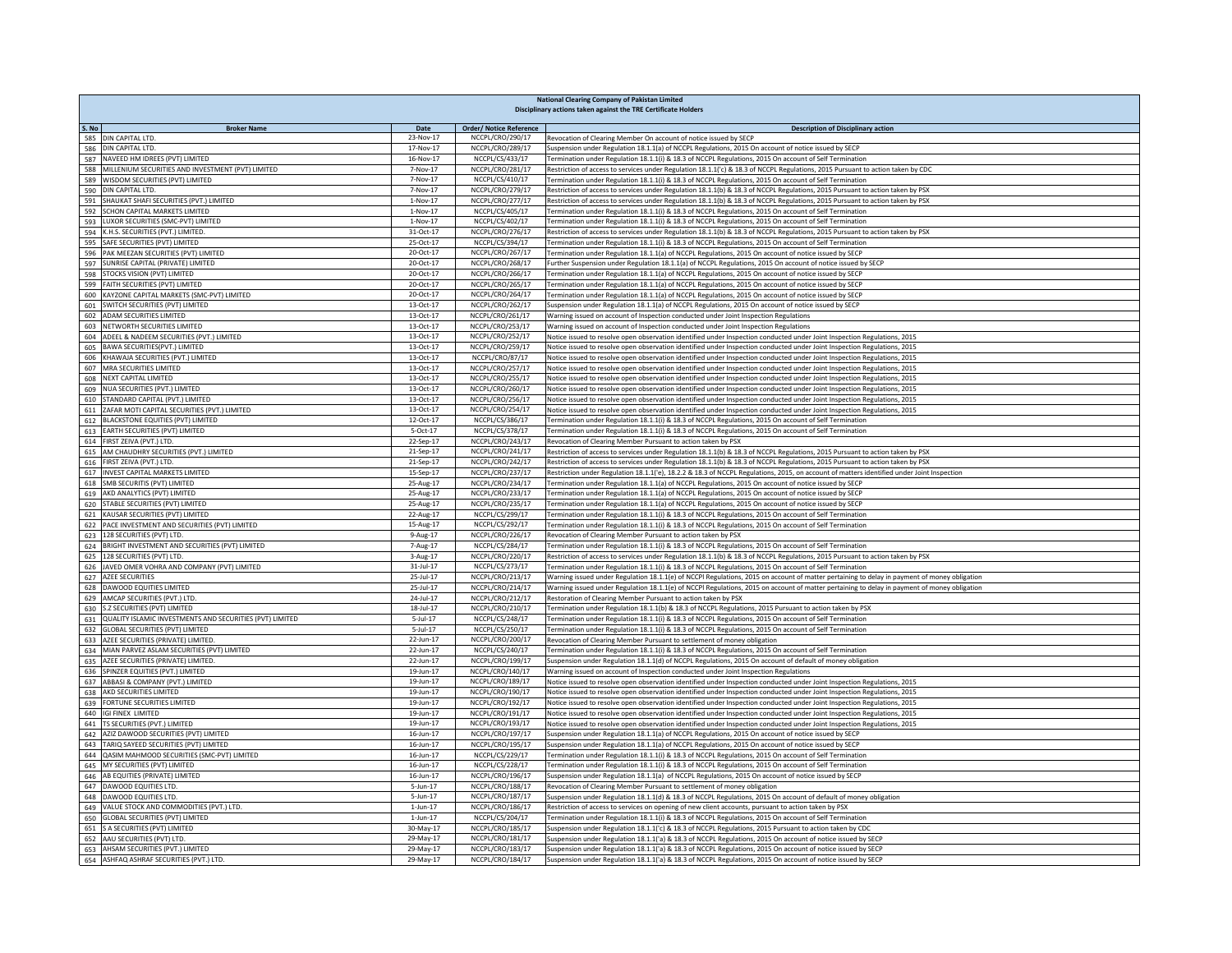| <b>National Clearing Company of Pakistan Limited</b><br>Disciplinary actions taken against the TRE Certificate Holders |                        |                                      |                                                                                                                                                                                                                                            |  |
|------------------------------------------------------------------------------------------------------------------------|------------------------|--------------------------------------|--------------------------------------------------------------------------------------------------------------------------------------------------------------------------------------------------------------------------------------------|--|
| S. No<br><b>Broker Name</b>                                                                                            | Date                   | <b>Order/ Notice Reference</b>       | <b>Description of Disciplinary action</b>                                                                                                                                                                                                  |  |
| 585 DIN CAPITAL LTD.                                                                                                   | 23-Nov-17              | NCCPL/CRO/290/17                     | Revocation of Clearing Member On account of notice issued by SECP                                                                                                                                                                          |  |
| 586 DIN CAPITAL LTD.                                                                                                   | 17-Nov-17<br>16-Nov-17 | NCCPL/CRO/289/17<br>NCCPL/CS/433/17  | Suspension under Regulation 18.1.1(a) of NCCPL Regulations, 2015 On account of notice issued by SECP                                                                                                                                       |  |
| 587 NAVEED HM IDREES (PVT) LIMITED<br>588 MILLENIUM SECURITIES AND INVESTMENT (PVT) LIMITED                            | 7-Nov-17               | NCCPL/CRO/281/17                     | Fermination under Regulation 18.1.1(i) & 18.3 of NCCPL Regulations, 2015 On account of Self Termination<br>Restriction of access to services under Regulation 18.1.1('c) & 18.3 of NCCPL Regulations, 2015 Pursuant to action taken by CDC |  |
| 589 WISDOM SECURITIES (PVT) LIMITED                                                                                    | 7-Nov-17               | NCCPL/CS/410/17                      | Fermination under Regulation 18.1.1(i) & 18.3 of NCCPL Regulations, 2015 On account of Self Termination                                                                                                                                    |  |
| 590 DIN CAPITAL LTD.                                                                                                   | 7-Nov-17               | NCCPL/CRO/279/17                     | Restriction of access to services under Regulation 18.1.1(b) & 18.3 of NCCPL Regulations, 2015 Pursuant to action taken by PSX                                                                                                             |  |
| 591 SHAUKAT SHAFI SECURITIES (PVT.) LIMITED                                                                            | $1-Nov-17$             | NCCPL/CRO/277/17                     | Restriction of access to services under Regulation 18.1.1(b) & 18.3 of NCCPL Regulations, 2015 Pursuant to action taken by PSX                                                                                                             |  |
| 592 SCHON CAPITAL MARKETS LIMITED                                                                                      | 1-Nov-17               | NCCPL/CS/405/17                      | Termination under Regulation 18.1.1(i) & 18.3 of NCCPL Regulations, 2015 On account of Self Termination                                                                                                                                    |  |
| 593 LUXOR SECURITIES (SMC-PVT) LIMITED                                                                                 | $1-Nov-17$             | NCCPL/CS/402/17                      | Termination under Regulation 18.1.1(i) & 18.3 of NCCPL Regulations, 2015 On account of Self Termination                                                                                                                                    |  |
| 594 K.H.S. SECURITIES (PVT.) LIMITED.                                                                                  | 31-Oct-17              | NCCPL/CRO/276/17                     | Restriction of access to services under Regulation 18.1.1(b) & 18.3 of NCCPL Regulations, 2015 Pursuant to action taken by PSX                                                                                                             |  |
| 595 SAFE SECURITIES (PVT) LIMITED                                                                                      | 25-Oct-17              | NCCPL/CS/394/17                      | Termination under Regulation 18.1.1(i) & 18.3 of NCCPL Regulations, 2015 On account of Self Termination                                                                                                                                    |  |
| 596 PAK MEEZAN SECURITIES (PVT) LIMITED                                                                                | 20-Oct-17              | NCCPL/CRO/267/17                     | Termination under Regulation 18.1.1(a) of NCCPL Regulations, 2015 On account of notice issued by SECP                                                                                                                                      |  |
| 597 SUNRISE CAPITAL (PRIVATE) LIMITED                                                                                  | 20-Oct-17              | NCCPL/CRO/268/17                     | Further Suspension under Regulation 18.1.1(a) of NCCPL Regulations, 2015 On account of notice issued by SECP                                                                                                                               |  |
| 598 STOCKS VISION (PVT) LIMITED<br>599 FAITH SECURITIES (PVT) LIMITED                                                  | 20-Oct-17<br>20-Oct-17 | NCCPL/CRO/266/17<br>NCCPL/CRO/265/17 | Termination under Regulation 18.1.1(a) of NCCPL Regulations, 2015 On account of notice issued by SECP<br>Termination under Regulation 18.1.1(a) of NCCPL Regulations, 2015 On account of notice issued by SECP                             |  |
| 600 KAYZONE CAPITAL MARKETS (SMC-PVT) LIMITED                                                                          | 20-Oct-17              | NCCPL/CRO/264/17                     | Termination under Regulation 18.1.1(a) of NCCPL Regulations, 2015 On account of notice issued by SECP                                                                                                                                      |  |
| 601 SWITCH SECURITIES (PVT) LIMITED                                                                                    | 13-Oct-17              | NCCPL/CRO/262/17                     | Suspension under Regulation 18.1.1(a) of NCCPL Regulations, 2015 On account of notice issued by SECP                                                                                                                                       |  |
| 602 ADAM SECURITIES LIMITED                                                                                            | 13-Oct-17              | NCCPL/CRO/261/17                     | Warning issued on account of Inspection conducted under Joint Inspection Regulations                                                                                                                                                       |  |
| 603 NETWORTH SECURITIES LIMITED                                                                                        | 13-Oct-17              | NCCPL/CRO/253/17                     | Warning issued on account of Inspection conducted under Joint Inspection Regulations                                                                                                                                                       |  |
| 604 ADEEL & NADEEM SECURITIES (PVT.) LIMITED                                                                           | 13-Oct-17              | NCCPL/CRO/252/17                     | Notice issued to resolve open observation identified under Inspection conducted under Joint Inspection Regulations, 2015                                                                                                                   |  |
| 605 BAWA SECURITIES(PVT.) LIMITED                                                                                      | 13-Oct-17              | NCCPL/CRO/259/17                     | Notice issued to resolve open observation identified under Inspection conducted under Joint Inspection Regulations, 2015                                                                                                                   |  |
| 606 KHAWAJA SECURITIES (PVT.) LIMITED                                                                                  | 13-Oct-17              | NCCPL/CRO/87/17                      | Notice issued to resolve open observation identified under Inspection conducted under Joint Inspection Regulations, 2015                                                                                                                   |  |
| 607 MRA SECURITIES LIMITED                                                                                             | 13-Oct-17              | NCCPL/CRO/257/17                     | Notice issued to resolve open observation identified under Inspection conducted under Joint Inspection Regulations, 2015                                                                                                                   |  |
| 608 NEXT CAPITAL LIMITED                                                                                               | 13-Oct-17              | NCCPL/CRO/255/17                     | Notice issued to resolve open observation identified under Inspection conducted under Joint Inspection Regulations, 2015                                                                                                                   |  |
| 609 NUA SECURITIES (PVT.) LIMITED                                                                                      | 13-Oct-17              | NCCPL/CRO/260/17                     | Notice issued to resolve open observation identified under Inspection conducted under Joint Inspection Regulations, 2015                                                                                                                   |  |
| 610 STANDARD CAPITAL (PVT.) LIMITED                                                                                    | 13-Oct-17              | NCCPL/CRO/256/17<br>NCCPL/CRO/254/17 | Notice issued to resolve open observation identified under Inspection conducted under Joint Inspection Regulations, 2015                                                                                                                   |  |
| 611 ZAFAR MOTI CAPITAL SECURITIES (PVT.) LIMITED<br>612 BLACKSTONE EQUITIES (PVT) LIMITED                              | 13-Oct-17<br>12-Oct-17 | NCCPL/CS/386/17                      | Notice issued to resolve open observation identified under Inspection conducted under Joint Inspection Regulations, 2015<br>Termination under Regulation 18.1.1(i) & 18.3 of NCCPL Regulations, 2015 On account of Self Termination        |  |
| 613 EARTH SECURITIES (PVT) LIMITED                                                                                     | 5-Oct-17               | NCCPL/CS/378/17                      | Termination under Regulation 18.1.1(i) & 18.3 of NCCPL Regulations, 2015 On account of Self Termination                                                                                                                                    |  |
| 614 FIRST ZEIVA (PVT.) LTD.                                                                                            | 22-Sep-17              | NCCPL/CRO/243/17                     | Revocation of Clearing Member Pursuant to action taken by PSX                                                                                                                                                                              |  |
| 615 AM CHAUDHRY SECURITIES (PVT.) LIMITED                                                                              | 21-Sep-17              | NCCPL/CRO/241/17                     | Restriction of access to services under Regulation 18.1.1(b) & 18.3 of NCCPL Regulations, 2015 Pursuant to action taken by PSX                                                                                                             |  |
| 616 FIRST ZEIVA (PVT.) LTD.                                                                                            | 21-Sep-17              | NCCPL/CRO/242/17                     | Restriction of access to services under Regulation 18.1.1(b) & 18.3 of NCCPL Regulations, 2015 Pursuant to action taken by PSX                                                                                                             |  |
| 617 INVEST CAPITAL MARKETS LIMITED                                                                                     | 15-Sep-17              | NCCPL/CRO/237/17                     | Restriction under Regulation 18.1.1('e), 18.2.2 & 18.3 of NCCPL Regulations, 2015, on account of matters identified under Joint Inspection                                                                                                 |  |
| 618 SMB SECURITIS (PVT) LIMITED                                                                                        | 25-Aug-17              | NCCPL/CRO/234/17                     | Termination under Regulation 18.1.1(a) of NCCPL Regulations, 2015 On account of notice issued by SECP                                                                                                                                      |  |
| 619 AKD ANALYTICS (PVT) LIMITED                                                                                        | 25-Aug-17              | NCCPL/CRO/233/17                     | Termination under Regulation 18.1.1(a) of NCCPL Regulations, 2015 On account of notice issued by SECP                                                                                                                                      |  |
| 620 STABLE SECURITIES (PVT) LIMITED                                                                                    | 25-Aug-17              | NCCPL/CRO/235/17                     | Termination under Regulation 18.1.1(a) of NCCPL Regulations, 2015 On account of notice issued by SECP                                                                                                                                      |  |
| 621 KAUSAR SECURITIES (PVT) LIMITED                                                                                    | 22-Aug-17              | NCCPL/CS/299/17                      | Fermination under Regulation 18.1.1(i) & 18.3 of NCCPL Regulations, 2015 On account of Self Termination                                                                                                                                    |  |
| 622 PACE INVESTMENT AND SECURITIES (PVT) LIMITED                                                                       | 15-Aug-17              | NCCPL/CS/292/17                      | Fermination under Regulation 18.1.1(i) & 18.3 of NCCPL Regulations, 2015 On account of Self Termination                                                                                                                                    |  |
| 623 128 SECURITIES (PVT) LTD.<br>624 BRIGHT INVESTMENT AND SECURITIES (PVT) LIMITED                                    | 9-Aug-17<br>7-Aug-17   | NCCPL/CRO/226/17<br>NCCPL/CS/284/17  | Revocation of Clearing Member Pursuant to action taken by PSX<br>Fermination under Regulation 18.1.1(i) & 18.3 of NCCPL Regulations, 2015 On account of Self Termination                                                                   |  |
| 625 128 SECURITIES (PVT) LTD.                                                                                          | $3-Aug-17$             | NCCPL/CRO/220/17                     | Restriction of access to services under Regulation 18.1.1(b) & 18.3 of NCCPL Regulations, 2015 Pursuant to action taken by PSX                                                                                                             |  |
| 626 JAVED OMER VOHRA AND COMPANY (PVT) LIMITED                                                                         | 31-Jul-17              | NCCPL/CS/273/17                      | Termination under Regulation 18.1.1(i) & 18.3 of NCCPL Regulations, 2015 On account of Self Termination                                                                                                                                    |  |
| 627 AZEE SECURITIES                                                                                                    | 25-Jul-17              | NCCPL/CRO/213/17                     | Warning issued under Regulation 18.1.1(e) of NCCPI Regulations, 2015 on account of matter pertaining to delay in payment of money obligation                                                                                               |  |
| 628 DAWOOD EQUITIES LIMITED                                                                                            | 25-Jul-17              | NCCPL/CRO/214/17                     | Warning issued under Regulation 18.1.1(e) of NCCPI Regulations, 2015 on account of matter pertaining to delay in payment of money obligation                                                                                               |  |
| 629 AMCAP SECURITIES (PVT.) LTD.                                                                                       | 24-Jul-17              | NCCPL/CRO/212/17                     | Restoration of Clearing Member Pursuant to action taken by PSX                                                                                                                                                                             |  |
| 630 S.Z SECURITIES (PVT) LIMITED                                                                                       | 18-Jul-17              | NCCPL/CRO/210/17                     | Termination under Regulation 18.1.1(b) & 18.3 of NCCPL Regulations, 2015 Pursuant to action taken by PSX                                                                                                                                   |  |
| 631 QUALITY ISLAMIC INVESTMENTS AND SECURITIES (PVT) LIMITED                                                           | $5 - 111 - 17$         | NCCPL/CS/248/17                      | Termination under Regulation 18.1.1(i) & 18.3 of NCCPL Regulations, 2015 On account of Self Termination                                                                                                                                    |  |
| 632 GLOBAL SECURITIES (PVT) LIMITED                                                                                    | $5 - 111 - 17$         | NCCPL/CS/250/17                      | Termination under Regulation 18.1.1(i) & 18.3 of NCCPL Regulations, 2015 On account of Self Termination                                                                                                                                    |  |
| 633 AZEE SECURITIES (PRIVATE) LIMITED.                                                                                 | 22-Jun-17              | NCCPL/CRO/200/17                     | Revocation of Clearing Member Pursuant to settlement of money obligation                                                                                                                                                                   |  |
| 634 MIAN PARVEZ ASLAM SECURITIES (PVT) LIMITED<br>635 AZEE SECURITIES (PRIVATE) LIMITED.                               | 22-Jun-17<br>22-Jun-17 | NCCPL/CS/240/17<br>NCCPL/CRO/199/17  | Termination under Regulation 18.1.1(i) & 18.3 of NCCPL Regulations, 2015 On account of Self Termination<br>Suspension under Regulation 18.1.1(d) of NCCPL Regulations, 2015 On account of default of money obligation                      |  |
| 636 SPINZER EQUITIES (PVT.) LIMITED                                                                                    | 19-Jun-17              | NCCPL/CRO/140/17                     | Warning issued on account of Inspection conducted under Joint Inspection Regulations                                                                                                                                                       |  |
| 637 ABBASI & COMPANY (PVT.) LIMITED                                                                                    | 19-Jun-17              | NCCPL/CRO/189/17                     | Notice issued to resolve open observation identified under Inspection conducted under Joint Inspection Regulations, 2015                                                                                                                   |  |
| 638 AKD SECURITIES LIMITED                                                                                             | 19-Jun-17              | NCCPL/CRO/190/17                     | Notice issued to resolve open observation identified under Inspection conducted under Joint Inspection Regulations, 2015                                                                                                                   |  |
| 639 FORTUNE SECURITIES LIMITED                                                                                         | 19-Jun-17              | NCCPL/CRO/192/17                     | Notice issued to resolve open observation identified under Inspection conducted under Joint Inspection Regulations, 2015                                                                                                                   |  |
| 640 IGI FINEX LIMITED                                                                                                  | 19-Jun-17              | NCCPL/CRO/191/17                     | Notice issued to resolve open observation identified under Inspection conducted under Joint Inspection Regulations, 2015                                                                                                                   |  |
| 641 TS SECURITIES (PVT.) LIMITED                                                                                       | 19-Jun-17              | NCCPL/CRO/193/17                     | Notice issued to resolve open observation identified under Inspection conducted under Joint Inspection Regulations, 2015                                                                                                                   |  |
| 642 AZIZ DAWOOD SECURITIES (PVT) LIMITED                                                                               | 16-Jun-17              | NCCPL/CRO/197/17                     | Suspension under Regulation 18.1.1(a) of NCCPL Regulations, 2015 On account of notice issued by SECP                                                                                                                                       |  |
| 643 TARIQ SAYEED SECURITIES (PVT) LIMITED                                                                              | 16-Jun-17              | NCCPL/CRO/195/17                     | Suspension under Regulation 18.1.1(a) of NCCPL Regulations, 2015 On account of notice issued by SECP                                                                                                                                       |  |
| 644 QASIM MAHMOOD SECURITIES (SMC-PVT) LIMITED                                                                         | 16-Jun-17              | NCCPL/CS/229/17                      | Termination under Regulation 18.1.1(i) & 18.3 of NCCPL Regulations, 2015 On account of Self Termination                                                                                                                                    |  |
| 645 MY SECURITIES (PVT) LIMITED                                                                                        | 16-Jun-17              | NCCPL/CS/228/17                      | Termination under Regulation 18.1.1(i) & 18.3 of NCCPL Regulations, 2015 On account of Self Termination                                                                                                                                    |  |
| 646 AB EQUITIES (PRIVATE) LIMITED<br>647 DAWOOD EQUITIES LTD.                                                          | 16-Jun-17<br>5-Jun-17  | NCCPL/CRO/196/17<br>NCCPL/CRO/188/17 | Suspension under Regulation 18.1.1(a) of NCCPL Regulations, 2015 On account of notice issued by SECP<br>Revocation of Clearing Member Pursuant to settlement of money obligation                                                           |  |
| 648 DAWOOD EQUITIES LTD.                                                                                               | 5-Jun-17               | NCCPL/CRO/187/17                     | Suspension under Regulation 18.1.1(d) & 18.3 of NCCPL Regulations, 2015 On account of default of money obligation                                                                                                                          |  |
| 649 VALUE STOCK AND COMMODITIES (PVT.) LTD.                                                                            | $1-Jun-17$             | NCCPL/CRO/186/17                     | Restriction of access to services on opening of new client accounts, pursuant to action taken by PSX                                                                                                                                       |  |
| 650 GLOBAL SECURITIES (PVT) LIMITED                                                                                    | $1-Jun-17$             | NCCPL/CS/204/17                      | Termination under Regulation 18.1.1(i) & 18.3 of NCCPL Regulations, 2015 On account of Self Termination                                                                                                                                    |  |
| S A SECURITIES (PVT) LIMITED<br>651                                                                                    | 30-May-17              | NCCPL/CRO/185/17                     | Suspension under Regulation 18.1.1('c) & 18.3 of NCCPL Regulations, 2015 Pursuant to action taken by CDC                                                                                                                                   |  |
| 652 AAU SECURITIES (PVT) LTD.                                                                                          | 29-May-17              | NCCPL/CRO/181/17                     | Suspension under Regulation 18.1.1('a) & 18.3 of NCCPL Regulations, 2015 On account of notice issued by SECP                                                                                                                               |  |
| 653 AHSAM SECURITIES (PVT.) LIMITED                                                                                    | 29-May-17              | NCCPL/CRO/183/17                     | Suspension under Regulation 18.1.1('a) & 18.3 of NCCPL Regulations, 2015 On account of notice issued by SECP                                                                                                                               |  |
| 654 ASHFAQ ASHRAF SECURITIES (PVT.) LTD.                                                                               | 29-May-17              | NCCPL/CRO/184/17                     | Suspension under Regulation 18.1.1('a) & 18.3 of NCCPL Regulations, 2015 On account of notice issued by SECP                                                                                                                               |  |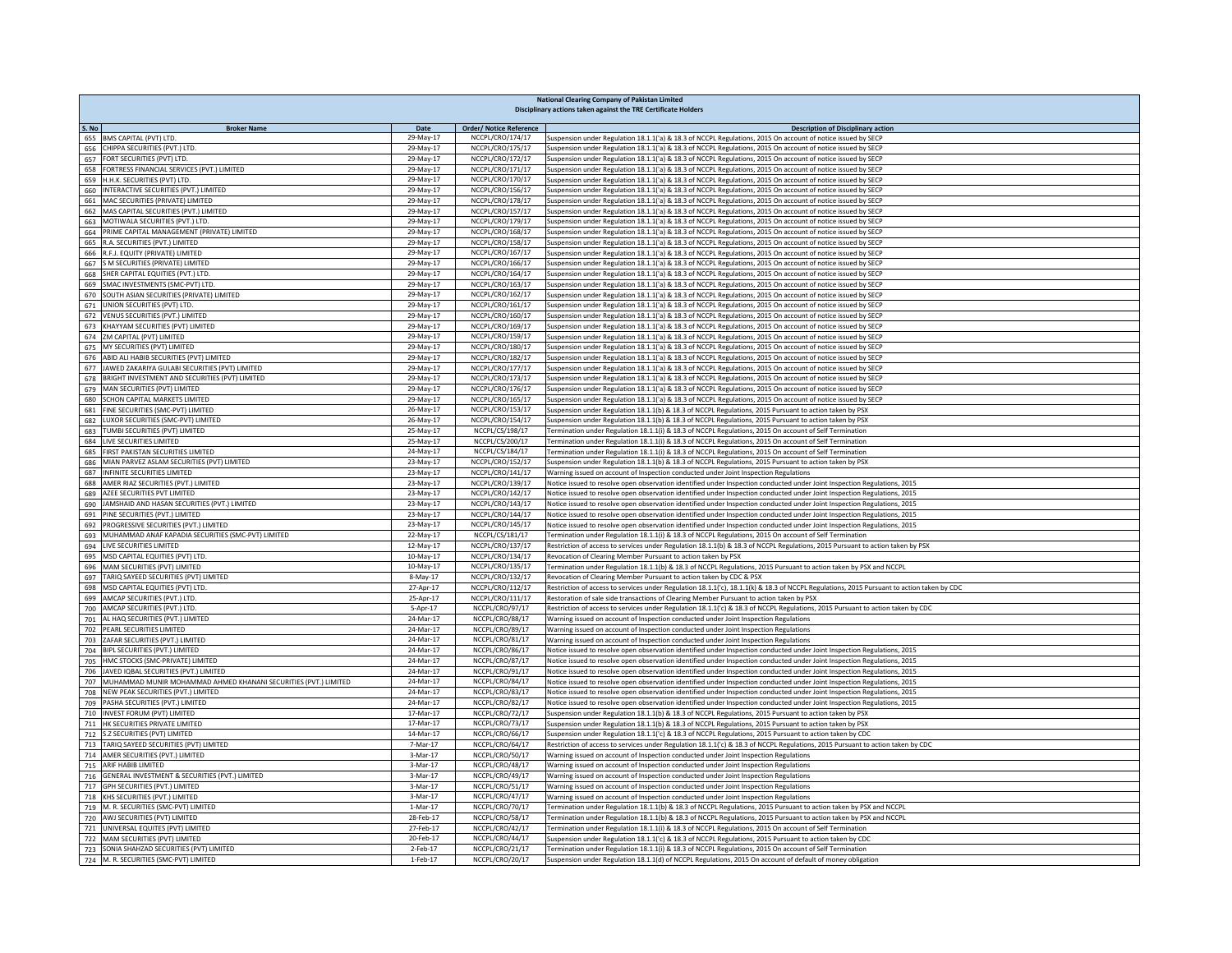| <b>National Clearing Company of Pakistan Limited</b><br>Disciplinary actions taken against the TRE Certificate Holders |                        |                                      |                                                                                                                                                                                                                                                      |  |
|------------------------------------------------------------------------------------------------------------------------|------------------------|--------------------------------------|------------------------------------------------------------------------------------------------------------------------------------------------------------------------------------------------------------------------------------------------------|--|
| S. No<br><b>Broker Name</b>                                                                                            | Date                   | <b>Order/ Notice Reference</b>       | <b>Description of Disciplinary action</b>                                                                                                                                                                                                            |  |
| 655 BMS CAPITAL (PVT) LTD.                                                                                             | 29-May-17              | NCCPL/CRO/174/17                     | Suspension under Regulation 18.1.1('a) & 18.3 of NCCPL Regulations, 2015 On account of notice issued by SECP                                                                                                                                         |  |
| 656 CHIPPA SECURITIES (PVT.) LTD.                                                                                      | $29$ -May-17           | NCCPL/CRO/175/17                     | Suspension under Regulation 18.1.1('a) & 18.3 of NCCPL Regulations, 2015 On account of notice issued by SECP                                                                                                                                         |  |
| 657 FORT SECURITIES (PVT) LTD.                                                                                         | 29-May-17              | NCCPL/CRO/172/17                     | Suspension under Regulation 18.1.1('a) & 18.3 of NCCPL Regulations, 2015 On account of notice issued by SECP                                                                                                                                         |  |
| 658 FORTRESS FINANCIAL SERVICES (PVT.) LIMITED                                                                         | 29-May-17              | NCCPL/CRO/171/17                     | Suspension under Regulation 18.1.1('a) & 18.3 of NCCPL Regulations, 2015 On account of notice issued by SECP                                                                                                                                         |  |
| 659 H.H.K. SECURITIES (PVT) LTD.<br>660 INTERACTIVE SECURITIES (PVT.) LIMITED                                          | 29-May-17<br>29-May-17 | NCCPL/CRO/170/17<br>NCCPL/CRO/156/17 | Suspension under Regulation 18.1.1('a) & 18.3 of NCCPL Regulations, 2015 On account of notice issued by SECP                                                                                                                                         |  |
| 661 MAC SECURITIES (PRIVATE) LIMITED                                                                                   | 29-May-17              | NCCPL/CRO/178/17                     | Suspension under Regulation 18.1.1('a) & 18.3 of NCCPL Regulations, 2015 On account of notice issued by SECP<br>Suspension under Regulation 18.1.1('a) & 18.3 of NCCPL Regulations, 2015 On account of notice issued by SECP                         |  |
| 662 MAS CAPITAL SECURITIES (PVT.) LIMITED                                                                              | 29-May-17              | NCCPL/CRO/157/17                     | Suspension under Regulation 18.1.1('a) & 18.3 of NCCPL Regulations, 2015 On account of notice issued by SECP                                                                                                                                         |  |
| 663 MOTIWALA SECURITIES (PVT.) LTD.                                                                                    | 29-May-17              | NCCPL/CRO/179/17                     | Suspension under Regulation 18.1.1('a) & 18.3 of NCCPL Regulations, 2015 On account of notice issued by SECP                                                                                                                                         |  |
| 664 PRIME CAPITAL MANAGEMENT (PRIVATE) LIMITED                                                                         | 29-May-17              | NCCPL/CRO/168/17                     | Suspension under Regulation 18.1.1('a) & 18.3 of NCCPL Regulations, 2015 On account of notice issued by SECP                                                                                                                                         |  |
| 665 R.A. SECURITIES (PVT.) LIMITED                                                                                     | 29-May-17              | NCCPL/CRO/158/17                     | Suspension under Regulation 18.1.1('a) & 18.3 of NCCPL Regulations, 2015 On account of notice issued by SECP                                                                                                                                         |  |
| 666 R.F.J. EQUITY (PRIVATE) LIMITED                                                                                    | 29-May-17              | NCCPL/CRO/167/17                     | Suspension under Regulation 18.1.1('a) & 18.3 of NCCPL Regulations, 2015 On account of notice issued by SECP                                                                                                                                         |  |
| 667 S M SECURITIES (PRIVATE) LIMITED<br>668 SHER CAPITAL EQUITIES (PVT.) LTD.                                          | 29-May-17<br>29-May-17 | NCCPL/CRO/166/17<br>NCCPL/CRO/164/17 | Suspension under Regulation 18.1.1('a) & 18.3 of NCCPL Regulations, 2015 On account of notice issued by SECP<br>Suspension under Regulation 18.1.1('a) & 18.3 of NCCPL Regulations, 2015 On account of notice issued by SECP                         |  |
| 669 SMAC INVESTMENTS (SMC-PVT) LTD.                                                                                    | 29-May-17              | NCCPL/CRO/163/17                     | Suspension under Regulation 18.1.1('a) & 18.3 of NCCPL Regulations, 2015 On account of notice issued by SECP                                                                                                                                         |  |
| 670 SOUTH ASIAN SECURITIES (PRIVATE) LIMITED                                                                           | 29-May-17              | NCCPL/CRO/162/17                     | Suspension under Regulation 18.1.1('a) & 18.3 of NCCPL Regulations, 2015 On account of notice issued by SECP                                                                                                                                         |  |
| 671 UNION SECURITIES (PVT) LTD.                                                                                        | 29-May-17              | NCCPL/CRO/161/17                     | Suspension under Regulation 18.1.1('a) & 18.3 of NCCPL Regulations, 2015 On account of notice issued by SECP                                                                                                                                         |  |
| 672 VENUS SECURITIES (PVT.) LIMITED                                                                                    | 29-May-17              | NCCPL/CRO/160/17                     | Suspension under Regulation 18.1.1('a) & 18.3 of NCCPL Regulations, 2015 On account of notice issued by SECP                                                                                                                                         |  |
| 673 KHAYYAM SECURITIES (PVT) LIMITED                                                                                   | 29-May-17              | NCCPL/CRO/169/17                     | Suspension under Regulation 18.1.1('a) & 18.3 of NCCPL Regulations, 2015 On account of notice issued by SECP                                                                                                                                         |  |
| 674 ZM CAPITAL (PVT) LIMITED                                                                                           | 29-May-17              | NCCPL/CRO/159/17                     | Suspension under Regulation 18.1.1('a) & 18.3 of NCCPL Regulations, 2015 On account of notice issued by SECP                                                                                                                                         |  |
| 675 MY SECURITIES (PVT) LIMITED<br>676 ABID ALI HABIB SECURITIES (PVT) LIMITED                                         | 29-May-17<br>29-May-17 | NCCPL/CRO/180/17<br>NCCPL/CRO/182/17 | Suspension under Regulation 18.1.1('a) & 18.3 of NCCPL Regulations, 2015 On account of notice issued by SECP<br>Suspension under Regulation 18.1.1('a) & 18.3 of NCCPL Regulations, 2015 On account of notice issued by SECP                         |  |
| 677 JAWED ZAKARIYA GULABI SECURITIES (PVT) LIMITED                                                                     | 29-May-17              | NCCPL/CRO/177/17                     | Suspension under Regulation 18.1.1('a) & 18.3 of NCCPL Regulations, 2015 On account of notice issued by SECP                                                                                                                                         |  |
| 678 BRIGHT INVESTMENT AND SECURITIES (PVT) LIMITED                                                                     | 29-May-17              | NCCPL/CRO/173/17                     | Suspension under Regulation 18.1.1('a) & 18.3 of NCCPL Regulations, 2015 On account of notice issued by SECP                                                                                                                                         |  |
| 679 MAN SECURITIES (PVT) LIMITED                                                                                       | 29-May-17              | NCCPL/CRO/176/17                     | Suspension under Regulation 18.1.1('a) & 18.3 of NCCPL Regulations, 2015 On account of notice issued by SECP                                                                                                                                         |  |
| 680 SCHON CAPITAL MARKETS LIMITED                                                                                      | 29-May-17              | NCCPL/CRO/165/17                     | Suspension under Regulation 18.1.1('a) & 18.3 of NCCPL Regulations, 2015 On account of notice issued by SECP                                                                                                                                         |  |
| FINE SECURITIES (SMC-PVT) LIMITED<br>681                                                                               | 26-May-17              | NCCPL/CRO/153/17                     | Suspension under Regulation 18.1.1(b) & 18.3 of NCCPL Regulations, 2015 Pursuant to action taken by PSX                                                                                                                                              |  |
| 682 LUXOR SECURITIES (SMC-PVT) LIMITED                                                                                 | 26-May-17              | NCCPL/CRO/154/17                     | Suspension under Regulation 18.1.1(b) & 18.3 of NCCPL Regulations, 2015 Pursuant to action taken by PSX                                                                                                                                              |  |
| 683 TUMBI SECURITIES (PVT) LIMITED                                                                                     | 25-May-17              | NCCPL/CS/198/17                      | Termination under Regulation 18.1.1(i) & 18.3 of NCCPL Regulations, 2015 On account of Self Termination                                                                                                                                              |  |
| 684 LIVE SECURITIES LIMITED<br>685 FIRST PAKISTAN SECURITIES LIMITED                                                   | 25-May-17<br>24-May-17 | NCCPL/CS/200/17<br>NCCPL/CS/184/17   | Termination under Regulation 18.1.1(i) & 18.3 of NCCPL Regulations, 2015 On account of Self Termination<br>Termination under Regulation 18.1.1(i) & 18.3 of NCCPL Regulations, 2015 On account of Self Termination                                   |  |
| 686 MIAN PARVEZ ASLAM SECURITIES (PVT) LIMITED                                                                         | 23-May-17              | NCCPL/CRO/152/17                     | Suspension under Regulation 18.1.1(b) & 18.3 of NCCPL Regulations, 2015 Pursuant to action taken by PSX                                                                                                                                              |  |
| 687 INFINITE SECURITIES LIMITED                                                                                        | 23-May-17              | NCCPL/CRO/141/17                     | Warning issued on account of Inspection conducted under Joint Inspection Regulations                                                                                                                                                                 |  |
| 688 AMER RIAZ SECURITIES (PVT.) LIMITED                                                                                | 23-May-17              | NCCPL/CRO/139/17                     | Notice issued to resolve open observation identified under Inspection conducted under Joint Inspection Regulations, 2015                                                                                                                             |  |
| 689 AZEE SECURITIES PVT LIMITED                                                                                        | 23-May-17              | NCCPL/CRO/142/17                     | Notice issued to resolve open observation identified under Inspection conducted under Joint Inspection Regulations, 2015                                                                                                                             |  |
| 690 JAMSHAID AND HASAN SECURITIES (PVT.) LIMITED                                                                       | 23-May-17              | NCCPL/CRO/143/17                     | Notice issued to resolve open observation identified under Inspection conducted under Joint Inspection Regulations, 2015                                                                                                                             |  |
| 691 PINE SECURITIES (PVT.) LIMITED                                                                                     | 23-May-17              | NCCPL/CRO/144/17                     | Notice issued to resolve open observation identified under Inspection conducted under Joint Inspection Regulations, 2015                                                                                                                             |  |
| 692 PROGRESSIVE SECURITIES (PVT.) LIMITED<br>693 MUHAMMAD ANAF KAPADIA SECURITIES (SMC-PVT) LIMITED                    | 23-May-17<br>22-May-17 | NCCPL/CRO/145/17<br>NCCPL/CS/181/17  | Notice issued to resolve open observation identified under Inspection conducted under Joint Inspection Regulations, 2015<br>Fermination under Regulation 18.1.1(i) & 18.3 of NCCPL Regulations, 2015 On account of Self Termination                  |  |
| 694 LIVE SECURITIES LIMITED                                                                                            | 12-May-17              | NCCPL/CRO/137/17                     | Restriction of access to services under Regulation 18.1.1(b) & 18.3 of NCCPL Regulations, 2015 Pursuant to action taken by PSX                                                                                                                       |  |
| 695 MSD CAPITAL EQUITIES (PVT) LTD.                                                                                    | 10-May-17              | NCCPL/CRO/134/17                     | Revocation of Clearing Member Pursuant to action taken by PSX                                                                                                                                                                                        |  |
| 696 MAM SECURITIES (PVT) LIMITED                                                                                       | 10-May-17              | NCCPL/CRO/135/17                     | Termination under Regulation 18.1.1(b) & 18.3 of NCCPL Regulations, 2015 Pursuant to action taken by PSX and NCCPL                                                                                                                                   |  |
| 697 TARIO SAYEED SECURITIES (PVT) LIMITED                                                                              | $8-May-17$             | NCCPL/CRO/132/17                     | Revocation of Clearing Member Pursuant to action taken by CDC & PSX                                                                                                                                                                                  |  |
| 698 MSD CAPITAL EQUITIES (PVT) LTD.                                                                                    | 27-Apr-17              | NCCPL/CRO/112/17                     | Restriction of access to services under Regulation 18.1.1('c), 18.1.1(k) & 18.3 of NCCPL Regulations, 2015 Pursuant to action taken by CDC                                                                                                           |  |
| 699 AMCAP SECURITIES (PVT.) LTD.                                                                                       | 25-Apr-17<br>5-Apr-17  | NCCPL/CRO/111/17<br>NCCPL/CRO/97/17  | Restoration of sale side transactions of Clearing Member Pursuant to action taken by PSX                                                                                                                                                             |  |
| 700 AMCAP SECURITIES (PVT.) LTD.<br>701 AL HAQ SECURITIES (PVT.) LIMITED                                               | 24-Mar-17              | NCCPL/CRO/88/17                      | Restriction of access to services under Regulation 18.1.1('c) & 18.3 of NCCPL Regulations, 2015 Pursuant to action taken by CDC<br>Warning issued on account of Inspection conducted under Joint Inspection Regulations                              |  |
| 702 PEARL SECURITIES LIMITED                                                                                           | 24-Mar-17              | NCCPL/CRO/89/17                      | Warning issued on account of Inspection conducted under Joint Inspection Regulations                                                                                                                                                                 |  |
| 703 ZAFAR SECURITIES (PVT.) LIMITED                                                                                    | 24-Mar-17              | NCCPL/CRO/81/17                      | Warning issued on account of Inspection conducted under Joint Inspection Regulations                                                                                                                                                                 |  |
| 704 BIPL SECURITIES (PVT.) LIMITED                                                                                     | 24-Mar-17              | NCCPL/CRO/86/17                      | Notice issued to resolve open observation identified under Inspection conducted under Joint Inspection Regulations, 2015                                                                                                                             |  |
| 705 HMC STOCKS (SMC-PRIVATE) LIMITED                                                                                   | 24-Mar-17              | NCCPL/CRO/87/17                      | Notice issued to resolve open observation identified under Inspection conducted under Joint Inspection Regulations, 2015                                                                                                                             |  |
| 706 JAVED IQBAL SECURITIES (PVT.) LIMITED                                                                              | 24-Mar-17              | NCCPL/CRO/91/17                      | Notice issued to resolve open observation identified under Inspection conducted under Joint Inspection Regulations, 2015                                                                                                                             |  |
| 707 MUHAMMAD MUNIR MOHAMMAD AHMED KHANANI SECURITIES (PVT.) LIMITED                                                    | 24-Mar-17              | NCCPL/CRO/84/17                      | Notice issued to resolve open observation identified under Inspection conducted under Joint Inspection Regulations, 2015                                                                                                                             |  |
| 708 NEW PEAK SECURITIES (PVT.) LIMITED<br>709 PASHA SECURITIES (PVT.) LIMITED                                          | 24-Mar-17<br>24-Mar-17 | NCCPL/CRO/83/17<br>NCCPL/CRO/82/17   | Notice issued to resolve open observation identified under Inspection conducted under Joint Inspection Regulations, 2015<br>Notice issued to resolve open observation identified under Inspection conducted under Joint Inspection Regulations, 2015 |  |
| 710 INVEST FORUM (PVT) LIMITED                                                                                         | 17-Mar-17              | NCCPL/CRO/72/17                      | Suspension under Regulation 18.1.1(b) & 18.3 of NCCPL Regulations, 2015 Pursuant to action taken by PSX                                                                                                                                              |  |
| 711 HK SECURITIES PRIVATE LIMITED                                                                                      | 17-Mar-17              | NCCPL/CRO/73/17                      | Suspension under Regulation 18.1.1(b) & 18.3 of NCCPL Regulations, 2015 Pursuant to action taken by PSX                                                                                                                                              |  |
| 712 S.Z SECURITIES (PVT) LIMITED                                                                                       | 14-Mar-17              | NCCPL/CRO/66/17                      | Suspension under Regulation 18.1.1('c) & 18.3 of NCCPL Regulations, 2015 Pursuant to action taken by CDC                                                                                                                                             |  |
| 713 TARIQ SAYEED SECURITIES (PVT) LIMITED                                                                              | 7-Mar-17               | NCCPL/CRO/64/17                      | Restriction of access to services under Regulation 18.1.1('c) & 18.3 of NCCPL Regulations, 2015 Pursuant to action taken by CDC                                                                                                                      |  |
| 714 AMER SECURITIES (PVT.) LIMITED                                                                                     | 3-Mar-17               | NCCPL/CRO/50/17                      | Warning issued on account of Inspection conducted under Joint Inspection Regulations                                                                                                                                                                 |  |
| 715 ARIF HABIB LIMITED                                                                                                 | 3-Mar-17               | NCCPL/CRO/48/17                      | Warning issued on account of Inspection conducted under Joint Inspection Regulations                                                                                                                                                                 |  |
| 716 GENERAL INVESTMENT & SECURITIES (PVT.) LIMITED<br>717 GPH SECURITIES (PVT.) LIMITED                                | 3-Mar-17<br>3-Mar-17   | NCCPL/CRO/49/17<br>NCCPL/CRO/51/17   | Warning issued on account of Inspection conducted under Joint Inspection Regulations<br>Warning issued on account of Inspection conducted under Joint Inspection Regulations                                                                         |  |
| 718 KHS SECURITIES (PVT.) LIMITED                                                                                      | 3-Mar-17               | NCCPL/CRO/47/17                      | Warning issued on account of Inspection conducted under Joint Inspection Regulations                                                                                                                                                                 |  |
| 719 M. R. SECURITIES (SMC-PVT) LIMITED                                                                                 | $1-Mar-17$             | NCCPL/CRO/70/17                      | Termination under Regulation 18.1.1(b) & 18.3 of NCCPL Regulations, 2015 Pursuant to action taken by PSX and NCCPL                                                                                                                                   |  |
| 720 AWJ SECURITIES (PVT) LIMITED                                                                                       | 28-Feb-17              | NCCPL/CRO/58/17                      | Termination under Regulation 18.1.1(b) & 18.3 of NCCPL Regulations, 2015 Pursuant to action taken by PSX and NCCPL                                                                                                                                   |  |
| UNIVERSAL EQUITES (PVT) LIMITED<br>721                                                                                 | 27-Feb-17              | NCCPL/CRO/42/17                      | Termination under Regulation 18.1.1(i) & 18.3 of NCCPL Regulations, 2015 On account of Self Termination                                                                                                                                              |  |
| 722 MAM SECURITIES (PVT) LIMITED                                                                                       | 20-Feb-17              | NCCPL/CRO/44/17                      | Suspension under Regulation 18.1.1('c) & 18.3 of NCCPL Regulations, 2015 Pursuant to action taken by CDC                                                                                                                                             |  |
| 723 SONIA SHAHZAD SECURITIES (PVT) LIMITED                                                                             | 2-Feb-17               | NCCPL/CRO/21/17                      | Termination under Regulation 18.1.1(i) & 18.3 of NCCPL Regulations, 2015 On account of Self Termination                                                                                                                                              |  |
| 724 M. R. SECURITIES (SMC-PVT) LIMITED                                                                                 | 1-Feb-17               | NCCPL/CRO/20/17                      | Suspension under Regulation 18.1.1(d) of NCCPL Regulations, 2015 On account of default of money obligation                                                                                                                                           |  |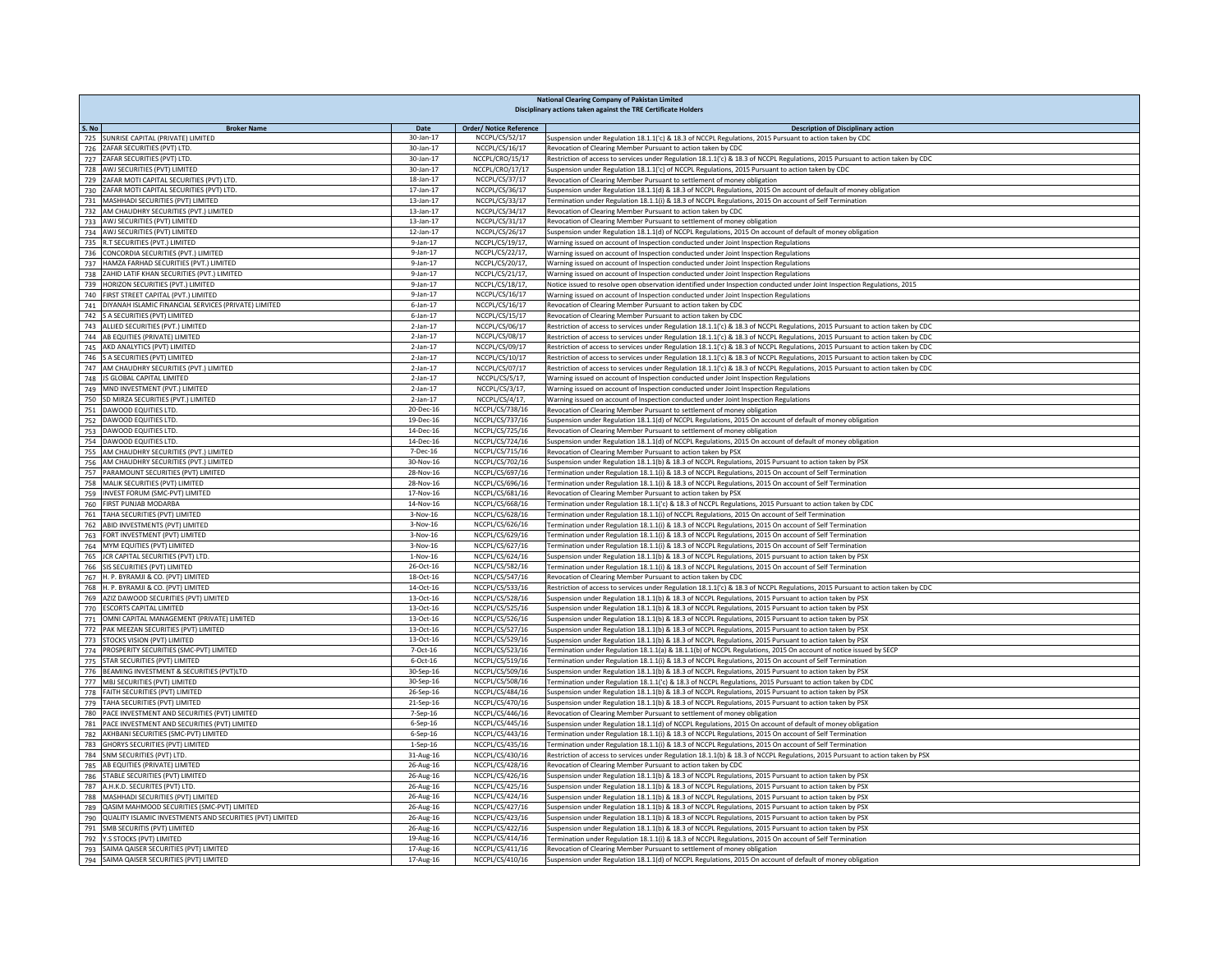|       | National Clearing Company of Pakistan Limited<br>Disciplinary actions taken against the TRE Certificate Holders |                              |                                    |                                                                                                                                                                                                                    |  |  |
|-------|-----------------------------------------------------------------------------------------------------------------|------------------------------|------------------------------------|--------------------------------------------------------------------------------------------------------------------------------------------------------------------------------------------------------------------|--|--|
|       |                                                                                                                 |                              |                                    |                                                                                                                                                                                                                    |  |  |
| S. No | <b>Broker Name</b>                                                                                              | Date                         | <b>Order/ Notice Reference</b>     | <b>Description of Disciplinary action</b>                                                                                                                                                                          |  |  |
| 726   | 725 SUNRISE CAPITAL (PRIVATE) LIMITED<br>ZAFAR SECURITIES (PVT) LTD.                                            | 30-Jan-17<br>30-Jan-17       | NCCPL/CS/52/17<br>NCCPL/CS/16/17   | Suspension under Regulation 18.1.1('c) & 18.3 of NCCPL Regulations, 2015 Pursuant to action taken by CDC<br>Revocation of Clearing Member Pursuant to action taken by CDC                                          |  |  |
|       | 727 ZAFAR SECURITIES (PVT) LTD.                                                                                 | 30-Jan-17                    | NCCPL/CRO/15/17                    | Restriction of access to services under Regulation 18.1.1('c) & 18.3 of NCCPL Regulations, 2015 Pursuant to action taken by CDC                                                                                    |  |  |
|       | 728 AWJ SECURITIES (PVT) LIMITED                                                                                | 30-Jan-17                    | NCCPL/CRO/17/17                    | Suspension under Regulation 18.1.1('c) of NCCPL Regulations, 2015 Pursuant to action taken by CDC                                                                                                                  |  |  |
| 729   | ZAFAR MOTI CAPITAL SECURITIES (PVT) LTD.                                                                        | 18-Jan-17                    | NCCPL/CS/37/17                     | Revocation of Clearing Member Pursuant to settlement of money obligation                                                                                                                                           |  |  |
| 730   | ZAFAR MOTI CAPITAL SECURITIES (PVT) LTD.                                                                        | 17-Jan-17                    | NCCPL/CS/36/17                     | Suspension under Regulation 18.1.1(d) & 18.3 of NCCPL Regulations, 2015 On account of default of money obligation                                                                                                  |  |  |
|       | 731 MASHHADI SECURITIES (PVT) LIMITED                                                                           | 13-Jan-17                    | NCCPL/CS/33/17                     | Termination under Regulation 18.1.1(i) & 18.3 of NCCPL Regulations, 2015 On account of Self Termination                                                                                                            |  |  |
|       | 732 AM CHAUDHRY SECURITIES (PVT.) LIMITED<br>733 AWJ SECURITIES (PVT) LIMITED                                   | 13-Jan-17<br>$13$ -Jan- $17$ | NCCPL/CS/34/17<br>NCCPL/CS/31/17   | Revocation of Clearing Member Pursuant to action taken by CDC<br>Revocation of Clearing Member Pursuant to settlement of money obligation                                                                          |  |  |
|       | 734 AWJ SECURITIES (PVT) LIMITED                                                                                | 12-Jan-17                    | NCCPL/CS/26/17                     | Suspension under Regulation 18.1.1(d) of NCCPL Regulations, 2015 On account of default of money obligation                                                                                                         |  |  |
|       | 735 R.T SECURITIES (PVT.) LIMITED                                                                               | $9$ -Jan-17                  | NCCPL/CS/19/17,                    | Warning issued on account of Inspection conducted under Joint Inspection Regulations                                                                                                                               |  |  |
|       | 736 CONCORDIA SECURITIES (PVT.) LIMITED                                                                         | $9-1an-17$                   | NCCPL/CS/22/17,                    | Warning issued on account of Inspection conducted under Joint Inspection Regulations                                                                                                                               |  |  |
|       | 737 HAMZA FARHAD SECURITIES (PVT.) LIMITED                                                                      | $9 - 1an - 17$               | NCCPL/CS/20/17,                    | Warning issued on account of Inspection conducted under Joint Inspection Regulations                                                                                                                               |  |  |
|       | 738 ZAHID LATIF KHAN SECURITIES (PVT.) LIMITED                                                                  | $9$ -Jan-17                  | NCCPL/CS/21/17,                    | Warning issued on account of Inspection conducted under Joint Inspection Regulations                                                                                                                               |  |  |
|       | 739 HORIZON SECURITIES (PVT.) LIMITED                                                                           | 9-Jan-17<br>$9 - 1an - 17$   | NCCPL/CS/18/17,<br>NCCPL/CS/16/17  | Notice issued to resolve open observation identified under Inspection conducted under Joint Inspection Regulations, 2015                                                                                           |  |  |
|       | 740 FIRST STREET CAPITAL (PVT.) LIMITED<br>741   DIYANAH ISLAMIC FINANCIAL SERVICES (PRIVATE) LIMITED           | $6$ -Jan-17                  | NCCPL/CS/16/17                     | Warning issued on account of Inspection conducted under Joint Inspection Regulations<br>Revocation of Clearing Member Pursuant to action taken by CDC                                                              |  |  |
|       | 742 S A SECURITIES (PVT) LIMITED                                                                                | 6-Jan-17                     | NCCPL/CS/15/17                     | Revocation of Clearing Member Pursuant to action taken by CDC                                                                                                                                                      |  |  |
|       | 743 ALLIED SECURITIES (PVT.) LIMITED                                                                            | 2-Jan-17                     | NCCPL/CS/06/17                     | Restriction of access to services under Regulation 18.1.1('c) & 18.3 of NCCPL Regulations, 2015 Pursuant to action taken by CDC                                                                                    |  |  |
|       | 744 AB EQUITIES (PRIVATE) LIMITED                                                                               | 2-Jan-17                     | NCCPL/CS/08/17                     | Restriction of access to services under Regulation 18.1.1('c) & 18.3 of NCCPL Regulations, 2015 Pursuant to action taken by CDC                                                                                    |  |  |
|       | 745 AKD ANALYTICS (PVT) LIMITED                                                                                 | $2$ -Jan-17                  | NCCPL/CS/09/17                     | Restriction of access to services under Regulation 18.1.1('c) & 18.3 of NCCPL Regulations, 2015 Pursuant to action taken by CDC                                                                                    |  |  |
|       | 746 S A SECURITIES (PVT) LIMITED                                                                                | $2$ -Jan-17                  | NCCPL/CS/10/17                     | Restriction of access to services under Regulation 18.1.1('c) & 18.3 of NCCPL Regulations, 2015 Pursuant to action taken by CDC                                                                                    |  |  |
|       | 747 AM CHAUDHRY SECURITIES (PVT.) LIMITED                                                                       | $2$ -Jan-17                  | NCCPL/CS/07/17                     | Restriction of access to services under Regulation 18.1.1('c) & 18.3 of NCCPL Regulations, 2015 Pursuant to action taken by CDC                                                                                    |  |  |
|       | 748 JS GLOBAL CAPITAL LIMITED<br>749 MND INVESTMENT (PVT.) LIMITED                                              | $2$ -Jan-17<br>$2$ -Jan-17   | NCCPL/CS/5/17,<br>NCCPL/CS/3/17,   | Warning issued on account of Inspection conducted under Joint Inspection Regulations<br>Warning issued on account of Inspection conducted under Joint Inspection Regulations                                       |  |  |
|       | 750 SD MIRZA SECURITIES (PVT.) LIMITED                                                                          | $2$ -Jan- $17$               | NCCPL/CS/4/17,                     | Warning issued on account of Inspection conducted under Joint Inspection Regulations                                                                                                                               |  |  |
| 751   | DAWOOD EQUITIES LTD.                                                                                            | 20-Dec-16                    | NCCPL/CS/738/16                    | Revocation of Clearing Member Pursuant to settlement of money obligation                                                                                                                                           |  |  |
|       | 752 DAWOOD EQUITIES LTD.                                                                                        | 19-Dec-16                    | NCCPL/CS/737/16                    | Suspension under Regulation 18.1.1(d) of NCCPL Regulations, 2015 On account of default of money obligation                                                                                                         |  |  |
|       | 753 DAWOOD EQUITIES LTD.                                                                                        | 14-Dec-16                    | NCCPL/CS/725/16                    | Revocation of Clearing Member Pursuant to settlement of money obligation                                                                                                                                           |  |  |
|       | 754 DAWOOD EQUITIES LTD.                                                                                        | 14-Dec-16                    | NCCPL/CS/724/16                    | Suspension under Regulation 18.1.1(d) of NCCPL Regulations, 2015 On account of default of money obligation                                                                                                         |  |  |
| 755   | AM CHAUDHRY SECURITIES (PVT.) LIMITED                                                                           | 7-Dec-16                     | NCCPL/CS/715/16                    | Revocation of Clearing Member Pursuant to action taken by PSX                                                                                                                                                      |  |  |
| 756   | AM CHAUDHRY SECURITIES (PVT.) LIMITED<br>PARAMOUNT SECURITIES (PVT) LIMITED                                     | 30-Nov-16<br>28-Nov-16       | NCCPL/CS/702/16<br>NCCPL/CS/697/16 | Suspension under Regulation 18.1.1(b) & 18.3 of NCCPL Regulations, 2015 Pursuant to action taken by PSX                                                                                                            |  |  |
| 757   | 758 MALIK SECURITIES (PVT) LIMITED                                                                              | 28-Nov-16                    | NCCPL/CS/696/16                    | Termination under Regulation 18.1.1(i) & 18.3 of NCCPL Regulations, 2015 On account of Self Termination<br>Termination under Regulation 18.1.1(i) & 18.3 of NCCPL Regulations, 2015 On account of Self Termination |  |  |
|       | 759 INVEST FORUM (SMC-PVT) LIMITED                                                                              | 17-Nov-16                    | NCCPL/CS/681/16                    | Revocation of Clearing Member Pursuant to action taken by PSX                                                                                                                                                      |  |  |
|       | 760 FIRST PUNJAB MODARBA                                                                                        | 14-Nov-16                    | NCCPL/CS/668/16                    | Termination under Regulation 18.1.1('c) & 18.3 of NCCPL Regulations, 2015 Pursuant to action taken by CDC                                                                                                          |  |  |
|       | 761 TAHA SECURITIES (PVT) LIMITED                                                                               | 3-Nov-16                     | NCCPL/CS/628/16                    | Termination under Regulation 18.1.1(i) of NCCPL Regulations, 2015 On account of Self Termination                                                                                                                   |  |  |
|       | 762 ABID INVESTMENTS (PVT) LIMITED                                                                              | $3-Nov-16$                   | NCCPL/CS/626/16                    | Termination under Regulation 18.1.1(i) & 18.3 of NCCPL Regulations, 2015 On account of Self Termination                                                                                                            |  |  |
|       | 763 FORT INVESTMENT (PVT) LIMITED                                                                               | $3-Nov-16$                   | NCCPL/CS/629/16                    | Termination under Regulation 18.1.1(i) & 18.3 of NCCPL Regulations, 2015 On account of Self Termination                                                                                                            |  |  |
|       | 764 MYM EQUITIES (PVT) LIMITED<br>765 JCR CAPITAL SECURITIES (PVT) LTD.                                         | $3-Nov-16$<br>1-Nov-16       | NCCPL/CS/627/16<br>NCCPL/CS/624/16 | Termination under Regulation 18.1.1(i) & 18.3 of NCCPL Regulations, 2015 On account of Self Termination<br>Suspension under Regulation 18.1.1(b) & 18.3 of NCCPL Regulations, 2015 pursuant to action taken by PSX |  |  |
| 766   | SIS SECURITIES (PVT) LIMITED                                                                                    | 26-Oct-16                    | NCCPL/CS/582/16                    | Termination under Regulation 18.1.1(i) & 18.3 of NCCPL Regulations, 2015 On account of Self Termination                                                                                                            |  |  |
|       | 767 H. P. BYRAMJI & CO. (PVT) LIMITED                                                                           | 18-Oct-16                    | NCCPL/CS/547/16                    | Revocation of Clearing Member Pursuant to action taken by CDC                                                                                                                                                      |  |  |
|       | 768 H. P. BYRAMJI & CO. (PVT) LIMITED                                                                           | 14-Oct-16                    | NCCPL/CS/533/16                    | Restriction of access to services under Regulation 18.1.1('c) & 18.3 of NCCPL Regulations, 2015 Pursuant to action taken by CDC                                                                                    |  |  |
|       | 769 AZIZ DAWOOD SECURITIES (PVT) LIMITED                                                                        | 13-Oct-16                    | NCCPL/CS/528/16                    | Suspension under Regulation 18.1.1(b) & 18.3 of NCCPL Regulations, 2015 Pursuant to action taken by PSX                                                                                                            |  |  |
|       | 770 ESCORTS CAPITAL LIMITED                                                                                     | 13-Oct-16                    | NCCPL/CS/525/16                    | Suspension under Regulation 18.1.1(b) & 18.3 of NCCPL Regulations, 2015 Pursuant to action taken by PSX                                                                                                            |  |  |
|       | 771 OMNI CAPITAL MANAGEMENT (PRIVATE) LIMITED<br>772 PAK MEEZAN SECURITIES (PVT) LIMITED                        | 13-Oct-16<br>13-Oct-16       | NCCPL/CS/526/16<br>NCCPL/CS/527/16 | Suspension under Regulation 18.1.1(b) & 18.3 of NCCPL Regulations, 2015 Pursuant to action taken by PSX<br>Suspension under Regulation 18.1.1(b) & 18.3 of NCCPL Regulations, 2015 Pursuant to action taken by PSX |  |  |
|       | 773 STOCKS VISION (PVT) LIMITED                                                                                 | 13-Oct-16                    | NCCPL/CS/529/16                    | Suspension under Regulation 18.1.1(b) & 18.3 of NCCPL Regulations, 2015 Pursuant to action taken by PSX                                                                                                            |  |  |
|       | 774 PROSPERITY SECURITIES (SMC-PVT) LIMITED                                                                     | 7-Oct-16                     | NCCPL/CS/523/16                    | Termination under Regulation 18.1.1(a) & 18.1.1(b) of NCCPL Regulations, 2015 On account of notice issued by SECP                                                                                                  |  |  |
|       | 775 STAR SECURITIES (PVT) LIMITED                                                                               | 6-Oct-16                     | NCCPL/CS/519/16                    | Termination under Regulation 18.1.1(i) & 18.3 of NCCPL Regulations, 2015 On account of Self Termination                                                                                                            |  |  |
|       | 776 BEAMING INVESTMENT & SECURITIES (PVT)LTD                                                                    | 30-Sep-16                    | NCCPL/CS/509/16                    | Suspension under Regulation 18.1.1(b) & 18.3 of NCCPL Regulations, 2015 Pursuant to action taken by PSX                                                                                                            |  |  |
|       | 777 MBJ SECURITIES (PVT) LIMITED                                                                                | 30-Sep-16                    | NCCPL/CS/508/16                    | Termination under Regulation 18.1.1('c) & 18.3 of NCCPL Regulations, 2015 Pursuant to action taken by CDC                                                                                                          |  |  |
|       | 778 FAITH SECURITIES (PVT) LIMITED                                                                              | 26-Sep-16                    | NCCPL/CS/484/16                    | Suspension under Regulation 18.1.1(b) & 18.3 of NCCPL Regulations, 2015 Pursuant to action taken by PSX                                                                                                            |  |  |
|       | 779 TAHA SECURITIES (PVT) LIMITED<br>780 PACE INVESTMENT AND SECURITIES (PVT) LIMITED                           | 21-Sep-16<br>7-Sep-16        | NCCPL/CS/470/16<br>NCCPL/CS/446/16 | Suspension under Regulation 18.1.1(b) & 18.3 of NCCPL Regulations, 2015 Pursuant to action taken by PSX<br>Revocation of Clearing Member Pursuant to settlement of money obligation                                |  |  |
|       | 781 PACE INVESTMENT AND SECURITIES (PVT) LIMITED                                                                | 6-Sep-16                     | NCCPL/CS/445/16                    | Suspension under Regulation 18.1.1(d) of NCCPL Regulations, 2015 On account of default of money obligation                                                                                                         |  |  |
|       | 782 AKHBANI SECURITIES (SMC-PVT) LIMITED                                                                        | 6-Sep-16                     | NCCPL/CS/443/16                    | Termination under Regulation 18.1.1(i) & 18.3 of NCCPL Regulations, 2015 On account of Self Termination                                                                                                            |  |  |
|       | 783 GHORYS SECURITIES (PVT) LIMITED                                                                             | 1-Sep-16                     | NCCPL/CS/435/16                    | Termination under Regulation 18.1.1(i) & 18.3 of NCCPL Regulations, 2015 On account of Self Termination                                                                                                            |  |  |
|       | 784 SNM SECURITIES (PVT) LTD.                                                                                   | 31-Aug-16                    | NCCPL/CS/430/16                    | Restriction of access to services under Regulation 18.1.1(b) & 18.3 of NCCPL Regulations, 2015 Pursuant to action taken by PSX                                                                                     |  |  |
| 785   | AB EQUITIES (PRIVATE) LIMITED                                                                                   | 26-Aug-16                    | NCCPL/CS/428/16                    | Revocation of Clearing Member Pursuant to action taken by CDC                                                                                                                                                      |  |  |
|       | 786 STABLE SECURITIES (PVT) LIMITED                                                                             | 26-Aug-16                    | NCCPL/CS/426/16                    | Suspension under Regulation 18.1.1(b) & 18.3 of NCCPL Regulations, 2015 Pursuant to action taken by PSX                                                                                                            |  |  |
| 787   | A.H.K.D. SECURITES (PVT) LTD.<br>788 MASHHADI SECURITIES (PVT) LIMITED                                          | 26-Aug-16<br>26-Aug-16       | NCCPL/CS/425/16<br>NCCPL/CS/424/16 | Suspension under Regulation 18.1.1(b) & 18.3 of NCCPL Regulations, 2015 Pursuant to action taken by PSX<br>Suspension under Regulation 18.1.1(b) & 18.3 of NCCPL Regulations, 2015 Pursuant to action taken by PSX |  |  |
|       | 789 QASIM MAHMOOD SECURITIES (SMC-PVT) LIMITED                                                                  | 26-Aug-16                    | NCCPL/CS/427/16                    | Suspension under Regulation 18.1.1(b) & 18.3 of NCCPL Regulations, 2015 Pursuant to action taken by PSX                                                                                                            |  |  |
|       | 790 QUALITY ISLAMIC INVESTMENTS AND SECURITIES (PVT) LIMITED                                                    | 26-Aug-16                    | NCCPL/CS/423/16                    | Suspension under Regulation 18.1.1(b) & 18.3 of NCCPL Regulations, 2015 Pursuant to action taken by PSX                                                                                                            |  |  |
| 791   | SMB SECURITIS (PVT) LIMITED                                                                                     | 26-Aug-16                    | NCCPL/CS/422/16                    | Suspension under Regulation 18.1.1(b) & 18.3 of NCCPL Regulations, 2015 Pursuant to action taken by PSX                                                                                                            |  |  |
| 792   | Y.S STOCKS (PVT) LIMITED                                                                                        | 19-Aug-16                    | NCCPL/CS/414/16                    | Termination under Regulation 18.1.1(i) & 18.3 of NCCPL Regulations, 2015 On account of Self Termination                                                                                                            |  |  |
| 793   | SAIMA QAISER SECURITIES (PVT) LIMITED                                                                           | 17-Aug-16                    | NCCPL/CS/411/16                    | Revocation of Clearing Member Pursuant to settlement of money obligation                                                                                                                                           |  |  |
| 794   | SAIMA QAISER SECURITIES (PVT) LIMITED                                                                           | 17-Aug-16                    | NCCPL/CS/410/16                    | Suspension under Regulation 18.1.1(d) of NCCPL Regulations, 2015 On account of default of money obligation                                                                                                         |  |  |